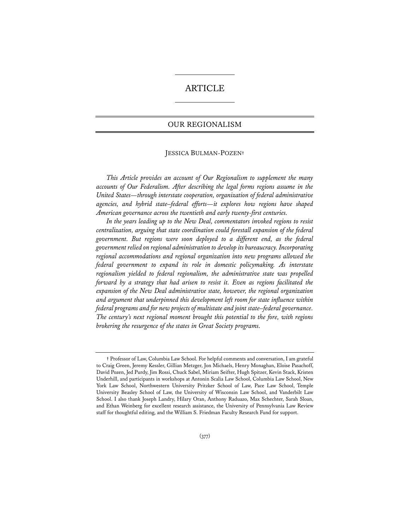# ARTICLE

## OUR REGIONALISM

## JESSICA BULMAN-POZEN**†**

*This Article provides an account of Our Regionalism to supplement the many accounts of Our Federalism. After describing the legal forms regions assume in the United States—through interstate cooperation, organization of federal administrative agencies, and hybrid state–federal efforts—it explores how regions have shaped American governance across the twentieth and early twenty-first centuries.* 

*In the years leading up to the New Deal, commentators invoked regions to resist centralization, arguing that state coordination could forestall expansion of the federal government. But regions were soon deployed to a different end, as the federal government relied on regional administration to develop its bureaucracy. Incorporating regional accommodations and regional organization into new programs allowed the federal government to expand its role in domestic policymaking. As interstate regionalism yielded to federal regionalism, the administrative state was propelled forward by a strategy that had arisen to resist it. Even as regions facilitated the expansion of the New Deal administrative state, however, the regional organization and argument that underpinned this development left room for state influence within federal programs and for new projects of multistate and joint state–federal governance. The century's next regional moment brought this potential to the fore, with regions brokering the resurgence of the states in Great Society programs.* 

**<sup>†</sup>** Professor of Law, Columbia Law School. For helpful comments and conversation, I am grateful to Craig Green, Jeremy Kessler, Gillian Metzger, Jon Michaels, Henry Monaghan, Eloise Pasachoff, David Pozen, Jed Purdy, Jim Rossi, Chuck Sabel, Miriam Seifter, Hugh Spitzer, Kevin Stack, Kristen Underhill, and participants in workshops at Antonin Scalia Law School, Columbia Law School, New York Law School, Northwestern University Pritzker School of Law, Pace Law School, Temple University Beasley School of Law, the University of Wisconsin Law School, and Vanderbilt Law School. I also thank Joseph Landry, Hilary Oran, Anthony Raduazo, Max Schechter, Sarah Sloan, and Ethan Weinberg for excellent research assistance, the University of Pennsylvania Law Review staff for thoughtful editing, and the William S. Friedman Faculty Research Fund for support.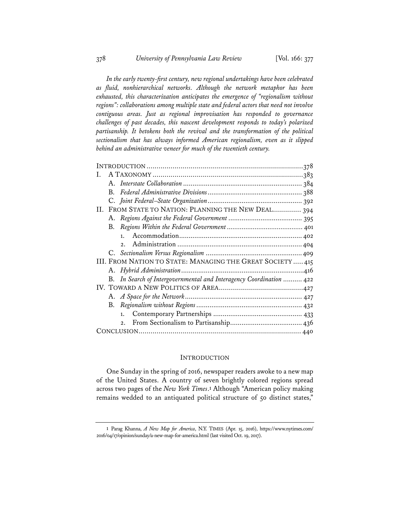*In the early twenty-first century, new regional undertakings have been celebrated as fluid, nonhierarchical networks. Although the network metaphor has been exhausted, this characterization anticipates the emergence of "regionalism without regions": collaborations among multiple state and federal actors that need not involve contiguous areas. Just as regional improvisation has responded to governance challenges of past decades, this nascent development responds to today's polarized partisanship. It betokens both the revival and the transformation of the political sectionalism that has always informed American regionalism, even as it slipped behind an administrative veneer for much of the twentieth century.* 

| $A_{\cdot}$                                                         |
|---------------------------------------------------------------------|
| B.                                                                  |
|                                                                     |
| FROM STATE TO NATION: PLANNING THE NEW DEAL 394<br>II.              |
|                                                                     |
| В.                                                                  |
| 1.                                                                  |
| 2.1                                                                 |
|                                                                     |
| III. FROM NATION TO STATE: MANAGING THE GREAT SOCIETY  415          |
|                                                                     |
| B. In Search of Intergovernmental and Interagency Coordination  422 |
|                                                                     |
|                                                                     |
|                                                                     |
|                                                                     |
| 2.                                                                  |
|                                                                     |

## INTRODUCTION

One Sunday in the spring of 2016, newspaper readers awoke to a new map of the United States. A country of seven brightly colored regions spread across two pages of the *New York Times*.**<sup>1</sup>** Although "American policy making remains wedded to an antiquated political structure of 50 distinct states,"

**<sup>1</sup>** Parag Khanna, *A New Map for America*, N.Y. TIMES (Apr. 15, 2016), https://www.nytimes.com/ 2016/04/17/opinion/sunday/a-new-map-for-america.html (last visited Oct. 19, 2017).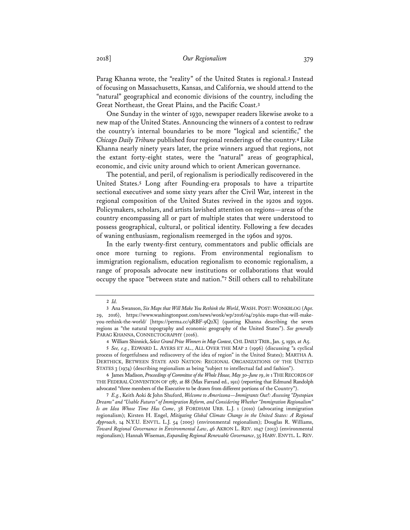Parag Khanna wrote, the "reality" of the United States is regional.**<sup>2</sup>** Instead of focusing on Massachusetts, Kansas, and California, we should attend to the "natural" geographical and economic divisions of the country, including the Great Northeast, the Great Plains, and the Pacific Coast.**<sup>3</sup>**

One Sunday in the winter of 1930, newspaper readers likewise awoke to a new map of the United States. Announcing the winners of a contest to redraw the country's internal boundaries to be more "logical and scientific," the *Chicago Daily Tribune* published four regional renderings of the country.**<sup>4</sup>** Like Khanna nearly ninety years later, the prize winners argued that regions, not the extant forty-eight states, were the "natural" areas of geographical, economic, and civic unity around which to orient American governance.

The potential, and peril, of regionalism is periodically rediscovered in the United States.**<sup>5</sup>** Long after Founding-era proposals to have a tripartite sectional executive**<sup>6</sup>** and some sixty years after the Civil War, interest in the regional composition of the United States revived in the 1920s and 1930s. Policymakers, scholars, and artists lavished attention on regions—areas of the country encompassing all or part of multiple states that were understood to possess geographical, cultural, or political identity. Following a few decades of waning enthusiasm, regionalism reemerged in the 1960s and 1970s.

In the early twenty-first century, commentators and public officials are once more turning to regions. From environmental regionalism to immigration regionalism, education regionalism to economic regionalism, a range of proposals advocate new institutions or collaborations that would occupy the space "between state and nation."**<sup>7</sup>** Still others call to rehabilitate

**6** James Madison, *Proceedings of Committee of the Whole House, May 30–June 19*, *in* 1 THE RECORDS OF THE FEDERAL CONVENTION OF 1787, at 88 (Max Farrand ed., 1911) (reporting that Edmund Randolph advocated "three members of the Executive to be drawn from different portions of the Country").

**<sup>2</sup>** *Id.*

**<sup>3</sup>** Ana Swanson, *Six Maps that Will Make You Rethink the World*, WASH. POST:WONKBLOG (Apr. 29, 2016), https://www.washingtonpost.com/news/wonk/wp/2016/04/29/six-maps-that-will-makeyou-rethink-the-world/ [https://perma.cc/9RBF-9Q2X] (quoting Khanna describing the seven regions as "the natural topography and economic geography of the United States"). *See generally* PARAG KHANNA, CONNECTOGRAPHY (2016).

**<sup>4</sup>** William Shinnick, *Select Grand Prize Winners in Map Contest*, CHI.DAILY TRIB., Jan. 5, 1930, at A5.

**<sup>5</sup>** *See, e.g.*, EDWARD L. AYERS ET AL., ALL OVER THE MAP 2 (1996) (discussing "a cyclical process of forgetfulness and rediscovery of the idea of region" in the United States); MARTHA A. DERTHICK, BETWEEN STATE AND NATION: REGIONAL ORGANIZATIONS OF THE UNITED STATES 3 (1974) (describing regionalism as being "subject to intellectual fad and fashion").

**<sup>7</sup>** *E.g.*, Keith Aoki & John Shuford, *Welcome to Amerizona—Immigrants Out!: Assessing "Dystopian Dreams" and "Usable Futures" of Immigration Reform, and Considering Whether "Immigration Regionalism" Is an Idea Whose Time Has Come*, 38 FORDHAM URB. L.J. 1 (2010) (advocating immigration regionalism); Kirsten H. Engel, *Mitigating Global Climate Change in the United States: A Regional Approach*, 14 N.Y.U. ENVTL. L.J. 54 (2005) (environmental regionalism); Douglas R. Williams, *Toward Regional Governance in Environmental Law*, 46 AKRON L. REV. 1047 (2013) (environmental regionalism); Hannah Wiseman, *Expanding Regional Renewable Governance*, 35 HARV. ENVTL. L. REV.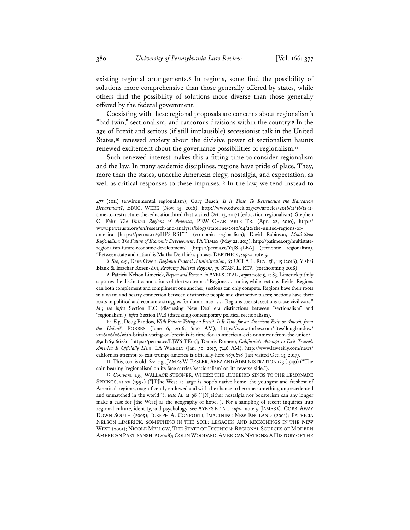existing regional arrangements.**<sup>8</sup>** In regions, some find the possibility of solutions more comprehensive than those generally offered by states, while others find the possibility of solutions more diverse than those generally offered by the federal government.

Coexisting with these regional proposals are concerns about regionalism's "bad twin," sectionalism, and rancorous divisions within the country.**<sup>9</sup>** In the age of Brexit and serious (if still implausible) secessionist talk in the United States,<sup>10</sup> renewed anxiety about the divisive power of sectionalism haunts renewed excitement about the governance possibilities of regionalism.**<sup>11</sup>**

Such renewed interest makes this a fitting time to consider regionalism and the law. In many academic disciplines, regions have pride of place. They, more than the states, underlie American elegy, nostalgia, and expectation, as well as critical responses to these impulses.**<sup>12</sup>** In the law, we tend instead to

regionalism-future-economic-development/ [https://perma.cc/Y7JS-4LBA] (economic regionalism). "Between state and nation" is Martha Derthick's phrase. DERTHICK, *supra* note 5.

**8** *See, e.g.*, Dave Owen, *Regional Federal Administration*, 63 UCLA L. REV. 58, 115 (2016); Yishai Blank & Issachar Rosen-Zvi, *Reviving Federal Regions*, 70 STAN. L. REV. (forthcoming 2018).

**9** Patricia Nelson Limerick, *Region and Reason*, *in*AYERS ET AL., *supra* note 5, at 83. Limerick pithily captures the distinct connotations of the two terms: "Regions . . . unite, while sections divide. Regions can both complement and compliment one another; sections can only compete. Regions have their roots in a warm and hearty connection between distinctive people and distinctive places; sections have their roots in political and economic struggles for dominance . . . . Regions coexist; sections cause civil wars." *Id.*; *see infra* Section II.C (discussing New Deal era distinctions between "sectionalism" and "regionalism"); *infra* Section IV.B (discussing contemporary political sectionalism).

**10** *E.g.*, Doug Bandow, *With Britain Voting on Brexit, Is It Time for an American Exit, or Amexit, from the Union?*, FORBES (June 6, 2016, 6:00 AM), https://www.forbes.com/sites/dougbandow/ 2016/06/06/with-britain-voting-on-brexit-is-it-time-for-an-american-exit-or-amexit-from-the-union/ #5ad765a66280 [https://perma.cc/LJW6-TE65]; Dennis Romero, *California's Attempt to Exit Trump's America Is Officially Here*, LA WEEKLY (Jan. 30, 2017, 7:46 AM), http://www.laweekly.com/news/ californias-attempt-to-exit-trumps-america-is-officially-here-7870678 (last visited Oct. 13, 2017).

**11** This, too, is old. *See, e.g.*, JAMES W. FESLER,AREA AND ADMINISTRATION 123 (1949) ("The coin bearing 'regionalism' on its face carries 'sectionalism' on its reverse side.").

**12** *Compare, e.g.*, WALLACE STEGNER, WHERE THE BLUEBIRD SINGS TO THE LEMONADE SPRINGS, at xv (1992) ("[T]he West at large is hope's native home, the youngest and freshest of America's regions, magnificently endowed and with the chance to become something unprecedented and unmatched in the world."), *with id.* at 98 ("[N]either nostalgia nor boosterism can any longer make a case for [the West] as the geography of hope."). For a sampling of recent inquiries into regional culture, identity, and psychology, see AYERS ET AL., *supra* note 5; JAMES C. COBB, AWAY DOWN SOUTH (2005); JOSEPH A. CONFORTI, IMAGINING NEW ENGLAND (2001); PATRICIA NELSON LIMERICK, SOMETHING IN THE SOIL: LEGACIES AND RECKONINGS IN THE NEW WEST (2001); NICOLE MELLOW, THE STATE OF DISUNION: REGIONAL SOURCES OF MODERN AMERICAN PARTISANSHIP (2008); COLIN WOODARD, AMERICAN NATIONS: A HISTORY OF THE

<sup>477 (2011) (</sup>environmental regionalism); Gary Beach, *Is it Time To Restructure the Education Department?*, EDUC. WEEK (Nov. 15, 2016), http://www.edweek.org/ew/articles/2016/11/16/is-ittime-to-restructure-the-education.html (last visited Oct. 13, 2017) (education regionalism); Stephen C. Fehr, *The United Regions of America*, PEW CHARITABLE TR. (Apr. 22, 2010), http:// www.pewtrusts.org/en/research-and-analysis/blogs/stateline/2010/04/22/the-united-regions-ofamerica [https://perma.cc/9HP8-RSFT] (economic regionalism); David Robinson, *Multi-State Regionalism: The Future of Economic Development*, PA TIMES (May 22, 2015), http://patimes.org/multistate-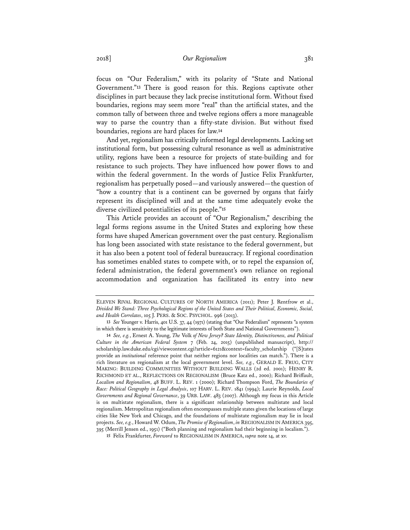focus on "Our Federalism," with its polarity of "State and National Government."**<sup>13</sup>** There is good reason for this. Regions captivate other disciplines in part because they lack precise institutional form. Without fixed boundaries, regions may seem more "real" than the artificial states, and the common tally of between three and twelve regions offers a more manageable way to parse the country than a fifty-state division. But without fixed boundaries, regions are hard places for law.**<sup>14</sup>**

And yet, regionalism has critically informed legal developments. Lacking set institutional form, but possessing cultural resonance as well as administrative utility, regions have been a resource for projects of state-building and for resistance to such projects. They have influenced how power flows to and within the federal government. In the words of Justice Felix Frankfurter, regionalism has perpetually posed—and variously answered—the question of "how a country that is a continent can be governed by organs that fairly represent its disciplined will and at the same time adequately evoke the diverse civilized potentialities of its people."**<sup>15</sup>**

This Article provides an account of "Our Regionalism," describing the legal forms regions assume in the United States and exploring how these forms have shaped American government over the past century. Regionalism has long been associated with state resistance to the federal government, but it has also been a potent tool of federal bureaucracy. If regional coordination has sometimes enabled states to compete with, or to repel the expansion of, federal administration, the federal government's own reliance on regional accommodation and organization has facilitated its entry into new

ELEVEN RIVAL REGIONAL CULTURES OF NORTH AMERICA (2011); Peter J. Rentfrow et al., *Divided We Stand: Three Psychological Regions of the United States and Their Political, Economic, Social, and Health Correlates*, 105 J. PERS. & SOC. PSYCHOL. 996 (2013).

**<sup>13</sup>** *See* Younger v. Harris, 401 U.S. 37, 44 (1971) (stating that "Our Federalism" represents "a system in which there is sensitivity to the legitimate interests of both State and National Governments").

**<sup>14</sup>** *See, e.g.*, Ernest A. Young, *The* Volk *of New Jersey? State Identity, Distinctiveness, and Political Culture in the American Federal System* 7 (Feb. 24, 2015) (unpublished manuscript), http:// scholarship.law.duke.edu/cgi/viewcontent.cgi?article=6121&context=faculty\_scholarship ("[S]tates provide an *institutional* reference point that neither regions nor localities can match."). There is a rich literature on regionalism at the local government level. *See, e.g.*, GERALD E. FRUG, CITY MAKING: BUILDING COMMUNITIES WITHOUT BUILDING WALLS (2d ed. 2001); HENRY R. RICHMOND ET AL., REFLECTIONS ON REGIONALISM (Bruce Katz ed., 2000); Richard Briffault, *Localism and Regionalism*, 48 BUFF. L. REV. 1 (2000); Richard Thompson Ford, *The Boundaries of Race: Political Geography in Legal Analysis*, 107 HARV. L. REV. 1841 (1994); Laurie Reynolds, *Local Governments and Regional Governance*, 39 URB. LAW. 483 (2007). Although my focus in this Article is on multistate regionalism, there is a significant relationship between multistate and local regionalism. Metropolitan regionalism often encompasses multiple states given the locations of large cities like New York and Chicago, and the foundations of multistate regionalism may lie in local projects. *See, e.g.*, Howard W. Odum, *The Promise of Regionalism*, *in* REGIONALISM IN AMERICA 395, 395 (Merrill Jensen ed., 1951) ("Both planning and regionalism had their beginning in localism.").

**<sup>15</sup>** Felix Frankfurter, *Foreword* to REGIONALISM IN AMERICA, *supra* note 14, at xv.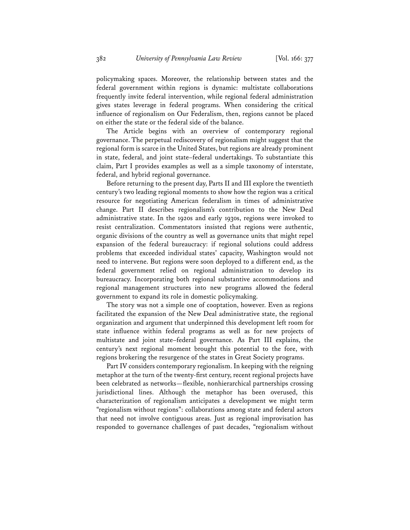policymaking spaces. Moreover, the relationship between states and the federal government within regions is dynamic: multistate collaborations frequently invite federal intervention, while regional federal administration gives states leverage in federal programs. When considering the critical influence of regionalism on Our Federalism, then, regions cannot be placed on either the state or the federal side of the balance.

The Article begins with an overview of contemporary regional governance. The perpetual rediscovery of regionalism might suggest that the regional form is scarce in the United States, but regions are already prominent in state, federal, and joint state–federal undertakings. To substantiate this claim, Part I provides examples as well as a simple taxonomy of interstate, federal, and hybrid regional governance.

Before returning to the present day, Parts II and III explore the twentieth century's two leading regional moments to show how the region was a critical resource for negotiating American federalism in times of administrative change. Part II describes regionalism's contribution to the New Deal administrative state. In the 1920s and early 1930s, regions were invoked to resist centralization. Commentators insisted that regions were authentic, organic divisions of the country as well as governance units that might repel expansion of the federal bureaucracy: if regional solutions could address problems that exceeded individual states' capacity, Washington would not need to intervene. But regions were soon deployed to a different end, as the federal government relied on regional administration to develop its bureaucracy. Incorporating both regional substantive accommodations and regional management structures into new programs allowed the federal government to expand its role in domestic policymaking.

The story was not a simple one of cooptation, however. Even as regions facilitated the expansion of the New Deal administrative state, the regional organization and argument that underpinned this development left room for state influence within federal programs as well as for new projects of multistate and joint state–federal governance. As Part III explains, the century's next regional moment brought this potential to the fore, with regions brokering the resurgence of the states in Great Society programs.

Part IV considers contemporary regionalism. In keeping with the reigning metaphor at the turn of the twenty-first century, recent regional projects have been celebrated as networks—flexible, nonhierarchical partnerships crossing jurisdictional lines. Although the metaphor has been overused, this characterization of regionalism anticipates a development we might term "regionalism without regions": collaborations among state and federal actors that need not involve contiguous areas. Just as regional improvisation has responded to governance challenges of past decades, "regionalism without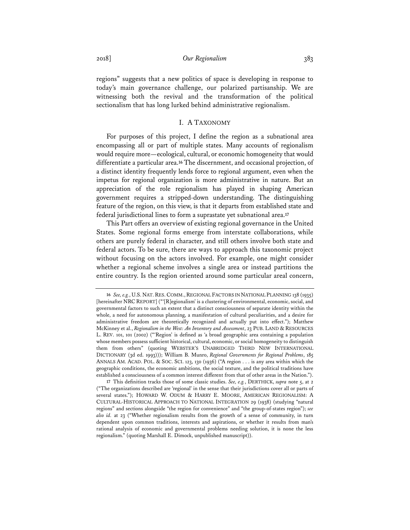regions" suggests that a new politics of space is developing in response to today's main governance challenge, our polarized partisanship. We are witnessing both the revival and the transformation of the political sectionalism that has long lurked behind administrative regionalism.

## I. A TAXONOMY

For purposes of this project, I define the region as a subnational area encompassing all or part of multiple states. Many accounts of regionalism would require more—ecological, cultural, or economic homogeneity that would differentiate a particular area.**<sup>16</sup>** The discernment, and occasional projection, of a distinct identity frequently lends force to regional argument, even when the impetus for regional organization is more administrative in nature. But an appreciation of the role regionalism has played in shaping American government requires a stripped-down understanding. The distinguishing feature of the region, on this view, is that it departs from established state and federal jurisdictional lines to form a suprastate yet subnational area.**<sup>17</sup>**

This Part offers an overview of existing regional governance in the United States. Some regional forms emerge from interstate collaborations, while others are purely federal in character, and still others involve both state and federal actors. To be sure, there are ways to approach this taxonomic project without focusing on the actors involved. For example, one might consider whether a regional scheme involves a single area or instead partitions the entire country. Is the region oriented around some particular areal concern,

<sup>16</sup> See, e.g., U.S. NAT. RES. COMM., REGIONAL FACTORS IN NATIONAL PLANNING 138 (1935) [hereinafter NRC REPORT] ("'[R]egionalism' is a clustering of environmental, economic, social, and governmental factors to such an extent that a distinct consciousness of separate identity within the whole, a need for autonomous planning, a manifestation of cultural peculiarities, and a desire for administrative freedom are theoretically recognized and actually put into effect."); Matthew McKinney et al., *Regionalism in the West: An Inventory and Assessment*, 23 PUB. LAND & RESOURCES L. REV. 101, 101 (2002) ("'Region' is defined as 'a broad geographic area containing a population whose members possess sufficient historical, cultural, economic, or social homogeneity to distinguish them from others" (quoting WEBSTER'S UNABRIDGED THIRD NEW INTERNATIONAL DICTIONARY (3d ed. 1993))); William B. Munro, *Regional Governments for Regional Problems*, 185 ANNALS AM. ACAD. POL. & SOC. SCI. 123, 130 (1936) ("A region . . . is any area within which the geographic conditions, the economic ambitions, the social texture, and the political traditions have established a consciousness of a common interest different from that of other areas in the Nation.").

**<sup>17</sup>** This definition tracks those of some classic studies. *See, e.g.*, DERTHICK, *supra* note 5, at 2 ("The organizations described are 'regional' in the sense that their jurisdictions cover all or parts of several states."); HOWARD W. ODUM & HARRY E. MOORE, AMERICAN REGIONALISM: A CULTURAL-HISTORICAL APPROACH TO NATIONAL INTEGRATION 29 (1938) (studying "natural regions" and sections alongside "the region for convenience" and "the group-of-states region"); *see also id.* at 23 ("Whether regionalism results from the growth of a sense of community, in turn dependent upon common traditions, interests and aspirations, or whether it results from man's rational analysis of economic and governmental problems needing solution, it is none the less regionalism." (quoting Marshall E. Dimock, unpublished manuscript)).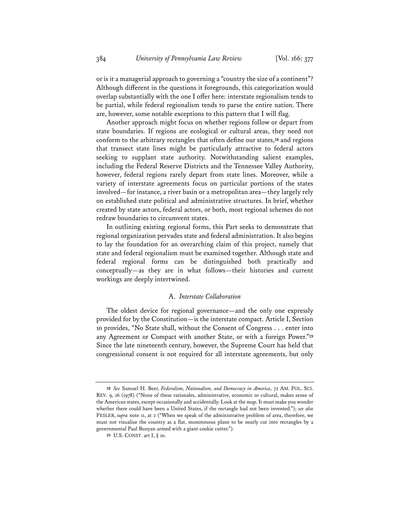or is it a managerial approach to governing a "country the size of a continent"? Although different in the questions it foregrounds, this categorization would overlap substantially with the one I offer here: interstate regionalism tends to be partial, while federal regionalism tends to parse the entire nation. There are, however, some notable exceptions to this pattern that I will flag.

Another approach might focus on whether regions follow or depart from state boundaries. If regions are ecological or cultural areas, they need not conform to the arbitrary rectangles that often define our states,**<sup>18</sup>** and regions that transect state lines might be particularly attractive to federal actors seeking to supplant state authority. Notwithstanding salient examples, including the Federal Reserve Districts and the Tennessee Valley Authority, however, federal regions rarely depart from state lines. Moreover, while a variety of interstate agreements focus on particular portions of the states involved—for instance, a river basin or a metropolitan area—they largely rely on established state political and administrative structures. In brief, whether created by state actors, federal actors, or both, most regional schemes do not redraw boundaries to circumvent states.

In outlining existing regional forms, this Part seeks to demonstrate that regional organization pervades state and federal administration. It also begins to lay the foundation for an overarching claim of this project, namely that state and federal regionalism must be examined together. Although state and federal regional forms can be distinguished both practically and conceptually—as they are in what follows—their histories and current workings are deeply intertwined.

#### A. *Interstate Collaboration*

The oldest device for regional governance—and the only one expressly provided for by the Constitution—is the interstate compact. Article I, Section 10 provides, "No State shall, without the Consent of Congress . . . enter into any Agreement or Compact with another State, or with a foreign Power."**<sup>19</sup>** Since the late nineteenth century, however, the Supreme Court has held that congressional consent is not required for all interstate agreements, but only

**<sup>18</sup>** *See* Samuel H. Beer, *Federalism, Nationalism, and Democracy in America*, 72 AM. POL. SCI. REV. 9, 16 (1978) ("None of these rationales, administrative, economic or cultural, makes sense of the American states, except occasionally and accidentally. Look at the map. It must make you wonder whether there could have been a United States, if the rectangle had not been invented."); *see also* FESLER, *supra* note 11, at 2 ("When we speak of the administrative problem of area, therefore, we must not visualize the country as a flat, monotonous plane to be neatly cut into rectangles by a governmental Paul Bunyan armed with a giant cookie cutter.").

**<sup>19</sup>** U.S. CONST. art I, § 10.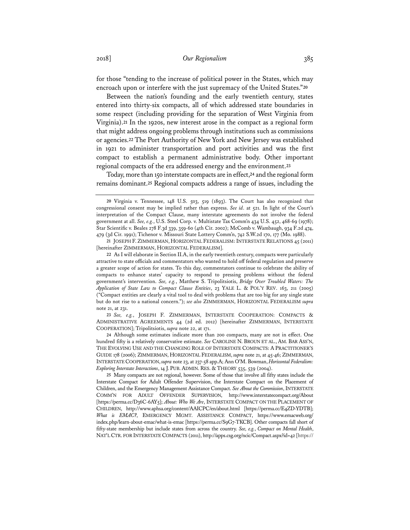for those "tending to the increase of political power in the States, which may encroach upon or interfere with the just supremacy of the United States."**<sup>20</sup>**

Between the nation's founding and the early twentieth century, states entered into thirty-six compacts, all of which addressed state boundaries in some respect (including providing for the separation of West Virginia from Virginia).**<sup>21</sup>** In the 1920s, new interest arose in the compact as a regional form that might address ongoing problems through institutions such as commissions or agencies.**<sup>22</sup>** The Port Authority of New York and New Jersey was established in 1921 to administer transportation and port activities and was the first compact to establish a permanent administrative body. Other important regional compacts of the era addressed energy and the environment.**<sup>23</sup>**

Today, more than 150 interstate compacts are in effect,**<sup>24</sup>** and the regional form remains dominant.**<sup>25</sup>** Regional compacts address a range of issues, including the

**23** *See, e.g.*, JOSEPH F. ZIMMERMAN, INTERSTATE COOPERATION: COMPACTS & ADMINISTRATIVE AGREEMENTS 44 (2d ed. 2012) [hereinafter ZIMMERMAN, INTERSTATE COOPERATION]; Tripolitsiotis, *supra* note 22, at 171.

**24** Although some estimates indicate more than 200 compacts, many are not in effect. One hundred fifty is a relatively conservative estimate. *See* CAROLINE N. BROUN ET AL., AM. BAR ASS'N, THE EVOLVING USE AND THE CHANGING ROLE OF INTERSTATE COMPACTS: A PRACTITIONER'S GUIDE 178 (2006); ZIMMERMAN, HORIZONTAL FEDERALISM, *supra* note 21, at 45-46; ZIMMERMAN, INTERSTATE COOPERATION, *supra* note 23, at 237-58 app.A; Ann O'M. Bowman, *Horizontal Federalism: Exploring Interstate Interactions*, 14 J. PUB.ADMIN. RES. & THEORY 535, 539 (2004).

**25** Many compacts are not regional, however. Some of those that involve all fifty states include the Interstate Compact for Adult Offender Supervision, the Interstate Compact on the Placement of Children, and the Emergency Management Assistance Compact. *See About the Commission*, INTERSTATE COMM'N FOR ADULT OFFENDER SUPERVISION, http://www.interstatecompact.org/About [https://perma.cc/D36C-6AY5]; *About: Who We Are*, INTERSTATE COMPACT ON THE PLACEMENT OF CHILDREN, http://www.aphsa.org/content/AAICPC/en/about.html [https://perma.cc/E4ZD-YDTB]; *What is EMAC?*, EMERGENCY MGMT. ASSISTANCE COMPACT, https://www.emacweb.org/ index.php/learn-about-emac/what-is-emac [https://perma.cc/S9G7-TKCB]. Other compacts fall short of fifty-state membership but include states from across the country. *See, e.g.*, *Compact on Mental Health*, NAT'L CTR. FOR INTERSTATE COMPACTS (2011), http://apps.csg.org/ncic/Compact.aspx?id=42 [https://

**<sup>20</sup>** Virginia v. Tennessee, 148 U.S. 503, 519 (1893). The Court has also recognized that congressional consent may be implied rather than express. *See id*. at 521. In light of the Court's interpretation of the Compact Clause, many interstate agreements do not involve the federal government at all. *See, e.g.*, U.S. Steel Corp. v. Multistate Tax Comm'n 434 U.S. 452, 468-69 (1978); Star Scientific v. Beales 278 F.3d 339, 359-60 (4th Cir. 2002); McComb v. Wambaugh, 934 F.2d 474, 479 (3d Cir. 1991); Tichenor v. Missouri State Lottery Comm'n, 742 S.W.2d 170, 177 (Mo. 1988).

**<sup>21</sup>** JOSEPH F. ZIMMERMAN, HORIZONTAL FEDERALISM:INTERSTATE RELATIONS 45 (2011) [hereinafter ZIMMERMAN, HORIZONTAL FEDERALISM].

**<sup>22</sup>** As I will elaborate in Section II.A, in the early twentieth century, compacts were particularly attractive to state officials and commentators who wanted to hold off federal regulation and preserve a greater scope of action for states. To this day, commentators continue to celebrate the ability of compacts to enhance states' capacity to respond to pressing problems without the federal government's intervention. *See, e.g.*, Matthew S. Tripolitsiotis, *Bridge Over Troubled Waters: The Application of State Law to Compact Clause Entities*, 23 YALE L. & POL'Y REV. 163, 211 (2005) ("Compact entities are clearly a vital tool to deal with problems that are too big for any single state but do not rise to a national concern."); *see also* ZIMMERMAN, HORIZONTAL FEDERALISM *supra* note 21, at 231.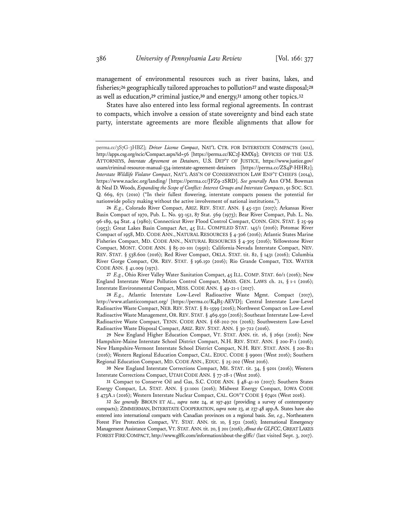management of environmental resources such as river basins, lakes, and fisheries;**<sup>26</sup>** geographically tailored approaches to pollution**<sup>27</sup>** and waste disposal;**<sup>28</sup>** as well as education,**<sup>29</sup>** criminal justice,**<sup>30</sup>** and energy,**<sup>31</sup>** among other topics.**<sup>32</sup>**

States have also entered into less formal regional agreements. In contrast to compacts, which involve a cession of state sovereignty and bind each state party, interstate agreements are more flexible alignments that allow for

**26** *E.g.*, Colorado River Compact, ARIZ. REV. STAT. ANN. § 45-1311 (2017); Arkansas River Basin Compact of 1970, Pub. L. No. 93-152, 87 Stat. 569 (1973); Bear River Compact, Pub. L. No. 96-189, 94 Stat. 4 (1980); Connecticut River Flood Control Compact, CONN. GEN. STAT. § 25-99 (1953); Great Lakes Basin Compact Act, 45 ILL. COMPILED STAT. 145/1 (2016); Potomac River Compact of 1958, MD. CODE ANN., NATURAL RESOURCES § 4-306 (2016); Atlantic States Marine Fisheries Compact, MD. CODE ANN., NATURAL RESOURCES § 4-305 (2016); Yellowstone River Compact, MONT. CODE ANN. § 85-20-101 (1950); California-Nevada Interstate Compact, NEV. REV. STAT. § 538.600 (2016); Red River Compact, OKLA. STAT. tit. 82, § 1431 (2016); Columbia River Gorge Compact, OR. REV. STAT. § 196.150 (2016); Rio Grande Compact, TEX. WATER CODE ANN. § 41.009 (1971).

**27** *E.g.*, Ohio River Valley Water Sanitation Compact, 45 ILL. COMP. STAT. 60/1 (2016); New England Interstate Water Pollution Control Compact, MASS. GEN. LAWS ch. 21, § 1-1 (2016); Interstate Environmental Compact, MISS. CODE ANN. § 49-21-1 (2017).

**28** *E.g.*, Atlantic Interstate Low-Level Radioactive Waste Mgmt. Compact (2017), http://www.atlanticcompact.org/ [https://perma.cc/K4B5-AEVD]; Central Interstate Low-Level Radioactive Waste Compact, NEB. REV. STAT. § 81-1599 (2016); Northwest Compact on Low-Level Radioactive Waste Management, OR. REV. STAT. § 469.930 (2016); Southeast Interstate Low-Level Radioactive Waste Compact, TENN. CODE ANN. § 68-202-701 (2016); Southwestern Low-Level Radioactive Waste Disposal Compact, ARIZ. REV. STAT. ANN. § 30-722 (2016).

**29** New England Higher Education Compact, VT. STAT. ANN. tit. 16, § 2691 (2016); New Hampshire-Maine Interstate School District Compact, N.H. REV. STAT. ANN. § 200-F:1 (2016); New Hampshire-Vermont Interstate School District Compact, N.H. REV. STAT. ANN. § 200-B:1 (2016); Western Regional Education Compact, CAL. EDUC. CODE § 99001 (West 2016); Southern Regional Education Compact, MD. CODE ANN., EDUC. § 25-202 (West 2016).

**30** New England Interstate Corrections Compact, ME. STAT. tit. 34, § 9201 (2016); Western Interstate Corrections Compact, UTAH CODE ANN. § 77-28-1 (West 2016).

**31** Compact to Conserve Oil and Gas, S.C. CODE ANN. § 48-41-10 (2017); Southern States Energy Compact, LA. STAT. ANN. § 51:1001 (2016); Midwest Energy Compact, IOWA CODE § 473A.1 (2016); Western Interstate Nuclear Compact, CAL. GOV'T CODE § 67401 (West 2016).

**32** *See generally* BROUN ET AL., *supra* note 24, at 197-492 (providing a survey of contemporary compacts); ZIMMERMAN, INTERSTATE COOPERATION, *supra* note 23, at 237-48 app.A. States have also entered into international compacts with Canadian provinces on a regional basis. *See, e.g.*, Northeastern Forest Fire Protection Compact, VT. STAT. ANN. tit. 10, § 2511 (2016); International Emergency Management Assistance Compact, VT. STAT.ANN.tit. 20, § 201 (2016); *About the GLFCC*, GREAT LAKES FOREST FIRE COMPACT, http://www.glffc.com/information/about-the-glffc/ (last visited Sept. 3, 2017).

perma.cc/3S7G-3HBZ]; *Driver License Compact*, NAT'L CTR. FOR INTERSTATE COMPACTS (2011), http://apps.csg.org/ncic/Compact.aspx?id=56 [https://perma.cc/KC2J-KMX9]; OFFICES OF THE U.S. ATTORNEYS, *Interstate Agreement on Detainers*, U.S. DEP'T OF JUSTICE, https://www.justice.gov/ usam/criminal-resource-manual-534-interstate-agreement-detainers [https://perma.cc/ZS4P-HHR2]; *Interstate Wildlife Violator Compact*, NAT'L ASS'N OF CONSERVATION LAW ENF'T CHIEFS (2014), https://www.naclec.org/landing/ [https://perma.cc/JFZ9-2SRD]. *See generally* Ann O'M. Bowman & Neal D. Woods, *Expanding the Scope of Conflict: Interest Groups and Interstate Compacts*, 91 SOC. SCI. Q. 669, 671 (2010) ("In their fullest flowering, interstate compacts possess the potential for nationwide policy making without the active involvement of national institutions.").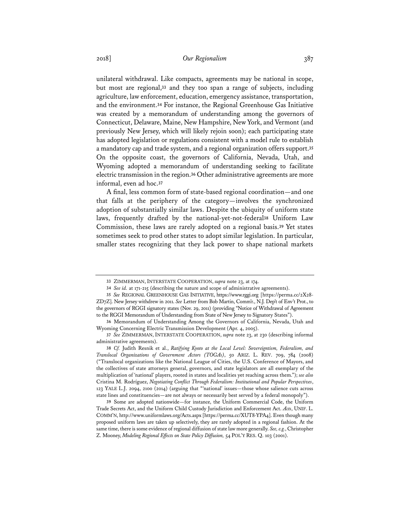unilateral withdrawal. Like compacts, agreements may be national in scope, but most are regional,**<sup>33</sup>** and they too span a range of subjects, including agriculture, law enforcement, education, emergency assistance, transportation, and the environment.**<sup>34</sup>** For instance, the Regional Greenhouse Gas Initiative was created by a memorandum of understanding among the governors of Connecticut, Delaware, Maine, New Hampshire, New York, and Vermont (and previously New Jersey, which will likely rejoin soon); each participating state has adopted legislation or regulations consistent with a model rule to establish a mandatory cap and trade system, and a regional organization offers support.**<sup>35</sup>** On the opposite coast, the governors of California, Nevada, Utah, and Wyoming adopted a memorandum of understanding seeking to facilitate electric transmission in the region.**<sup>36</sup>** Other administrative agreements are more informal, even ad hoc.**<sup>37</sup>**

A final, less common form of state-based regional coordination—and one that falls at the periphery of the category—involves the synchronized adoption of substantially similar laws. Despite the ubiquity of uniform state laws, frequently drafted by the national-yet-not-federal**<sup>38</sup>** Uniform Law Commission, these laws are rarely adopted on a regional basis.**<sup>39</sup>** Yet states sometimes seek to prod other states to adopt similar legislation. In particular, smaller states recognizing that they lack power to shape national markets

**39** Some are adopted nationwide—for instance, the Uniform Commercial Code, the Uniform Trade Secrets Act, and the Uniform Child Custody Jurisdiction and Enforcement Act. *Acts*, UNIF. L. COMM'N, http://www.uniformlaws.org/Acts.aspx [https://perma.cc/XUT8-YPA4]. Even though many proposed uniform laws are taken up selectively, they are rarely adopted in a regional fashion. At the same time, there is some evidence of regional diffusion of state law more generally. *See, e.g.*, Christopher Z. Mooney, *Modeling Regional Effects on State Policy Diffusion,* 54 POL'Y RES. Q. 103 (2001).

**<sup>33</sup>** ZIMMERMAN, INTERSTATE COOPERATION, *supra* note 23, at 174.

**<sup>34</sup>** *See id.* at 171-215 (describing the nature and scope of administrative agreements).

**<sup>35</sup>** *See* REGIONAL GREENHOUSE GAS INITIATIVE, https://www.rggi.org [https://perma.cc/2X28- ZD7Z]. New Jersey withdrew in 2011. *See* Letter from Bob Martin, Comm'r., N.J. Dep't of Env't Prot., to the governors of RGGI signatory states (Nov. 29, 2011) (providing "Notice of Withdrawal of Agreement to the RGGI Memorandum of Understanding from State of New Jersey to Signatory States").

**<sup>36</sup>** Memorandum of Understanding Among the Governors of California, Nevada, Utah and Wyoming Concerning Electric Transmission Development (Apr. 4, 2005).

**<sup>37</sup>** *See* ZIMMERMAN, INTERSTATE COOPERATION, *supra* note 23, at 230 (describing informal administrative agreements).

**<sup>38</sup>** *Cf.* Judith Resnik et al., *Ratifying Kyoto at the Local Level: Sovereigntism, Federalism, and Translocal Organizations of Government Actors (TOGAs)*, 50 ARIZ. L. REV. 709, 784 (2008) ("Translocal organizations like the National League of Cities, the U.S. Conference of Mayors, and the collectives of state attorneys general, governors, and state legislators are all exemplary of the multiplication of 'national' players, rooted in states and localities yet reaching across them."); *see also* Cristina M. Rodríguez, *Negotiating Conflict Through Federalism: Institutional and Popular Perspectives*, 123 YALE L.J. 2094, 2100 (2014) (arguing that "'national' issues—those whose salience cuts across state lines and constituencies—are not always or necessarily best served by a federal monopoly").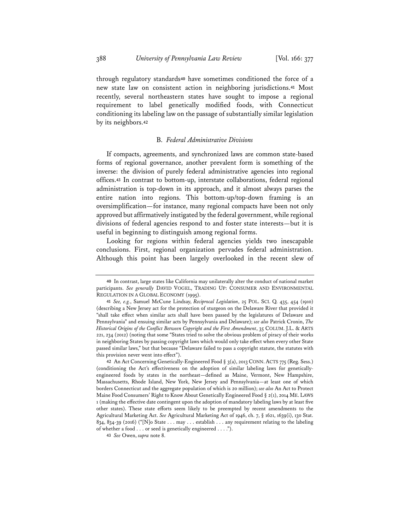through regulatory standards**<sup>40</sup>** have sometimes conditioned the force of a new state law on consistent action in neighboring jurisdictions.**<sup>41</sup>** Most recently, several northeastern states have sought to impose a regional requirement to label genetically modified foods, with Connecticut conditioning its labeling law on the passage of substantially similar legislation by its neighbors.**<sup>42</sup>**

## B. *Federal Administrative Divisions*

If compacts, agreements, and synchronized laws are common state-based forms of regional governance, another prevalent form is something of the inverse: the division of purely federal administrative agencies into regional offices.**<sup>43</sup>** In contrast to bottom-up, interstate collaborations, federal regional administration is top-down in its approach, and it almost always parses the entire nation into regions. This bottom-up/top-down framing is an oversimplification—for instance, many regional compacts have been not only approved but affirmatively instigated by the federal government, while regional divisions of federal agencies respond to and foster state interests—but it is useful in beginning to distinguish among regional forms.

Looking for regions within federal agencies yields two inescapable conclusions. First, regional organization pervades federal administration. Although this point has been largely overlooked in the recent slew of

**<sup>40</sup>** In contrast, large states like California may unilaterally alter the conduct of national market participants. *See generally* DAVID VOGEL, TRADING UP: CONSUMER AND ENVIRONMENTAL REGULATION IN A GLOBAL ECONOMY (1995).

**<sup>41</sup>** *See, e.g.*, Samuel McCune Lindsay, *Reciprocal Legislation*, 25 POL. SCI. Q. 435, 454 (1910) (describing a New Jersey act for the protection of sturgeon on the Delaware River that provided it "shall take effect when similar acts shall have been passed by the legislatures of Delaware and Pennsylvania" and ensuing similar acts by Pennsylvania and Delaware); *see also* Patrick Cronin, *The Historical Origins of the Conflict Between Copyright and the First Amendment*, 35 COLUM. J.L. & ARTS 221, 234 (2012) (noting that some "States tried to solve the obvious problem of piracy of their works in neighboring States by passing copyright laws which would only take effect when every other State passed similar laws," but that because "Delaware failed to pass a copyright statute, the statutes with this provision never went into effect").

**<sup>42</sup>** An Act Concerning Genetically-Engineered Food § 3(a), 2013 CONN.ACTS 775 (Reg. Sess.) (conditioning the Act's effectiveness on the adoption of similar labeling laws for geneticallyengineered foods by states in the northeast—defined as Maine, Vermont, New Hampshire, Massachusetts, Rhode Island, New York, New Jersey and Pennsylvania—at least one of which borders Connecticut and the aggregate population of which is 20 million); *see also* An Act to Protect Maine Food Consumers' Right to Know About Genetically Engineered Food § 2(1), 2014 ME. LAWS 1 (making the effective date contingent upon the adoption of mandatory labeling laws by at least five other states). These state efforts seem likely to be preempted by recent amendments to the Agricultural Marketing Act. *See* Agricultural Marketing Act of 1946, ch. 7, § 1621, 1639(i), 130 Stat. 834, 834-39 (2016) ("[N]o State . . . may . . . establish . . . any requirement relating to the labeling of whether a food . . . or seed is genetically engineered . . . .").

**<sup>43</sup>** *See* Owen, *supra* note 8.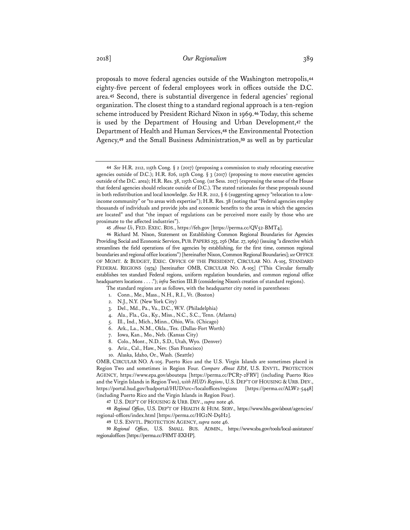proposals to move federal agencies outside of the Washington metropolis,**<sup>44</sup>** eighty-five percent of federal employees work in offices outside the D.C. area.**<sup>45</sup>** Second, there is substantial divergence in federal agencies' regional organization. The closest thing to a standard regional approach is a ten-region scheme introduced by President Richard Nixon in 1969.**<sup>46</sup>** Today, this scheme is used by the Department of Housing and Urban Development,**<sup>47</sup>** the Department of Health and Human Services,**<sup>48</sup>** the Environmental Protection Agency,**<sup>49</sup>** and the Small Business Administration,**<sup>50</sup>** as well as by particular

- 3. Del., Md., Pa., Va., D.C., W.V. (Philadelphia)
- 4. Ala., Fla., Ga., Ky., Miss., N.C., S.C., Tenn. (Atlanta)
- 5. Ill., Ind., Mich., Minn., Ohio, Wis. (Chicago)
- 6. Ark., La., N.M., Okla., Tex. (Dallas-Fort Worth)
- 7. Iowa, Kan., Mo., Neb. (Kansas City)
- 8. Colo., Mont., N.D., S.D., Utah, Wyo. (Denver)
- 9. Ariz., Cal., Haw., Nev. (San Francisco)
- 10. Alaska, Idaho, Or., Wash. (Seattle)

OMB, CIRCULAR NO. A-105. Puerto Rico and the U.S. Virgin Islands are sometimes placed in Region Two and sometimes in Region Four. *Compare About EPA*, U.S. ENVTL. PROTECTION AGENCY, https://www.epa.gov/aboutepa [https://perma.cc/PCR7-2FRV] (including Puerto Rico and the Virgin Islands in Region Two), *with HUD's Regions*, U.S. DEP'T OF HOUSING & URB. DEV., https://portal.hud.gov/hudportal/HUD?src=/localoffices/regions [https://perma.cc/ALW2-5448] (including Puerto Rico and the Virgin Islands in Region Four).

**47** U.S. DEP'T OF HOUSING & URB. DEV., *supra* note 46.

**48** *Regional Offices*, U.S. DEP'T OF HEALTH & HUM. SERV., https://www.hhs.gov/about/agencies/ regional-offices/index.html [https://perma.cc/HG2N-D9H2].

**49** U.S. ENVTL. PROTECTION AGENCY, *supra* note 46.

**50** *Regional Offices*, U.S. SMALL BUS. ADMIN., https://www.sba.gov/tools/local-assistance/ regionaloffices [https://perma.cc/F8MT-EXHP].

**<sup>44</sup>** *See* H.R. 2112, 115th Cong. § 2 (2017) (proposing a commission to study relocating executive agencies outside of D.C.); H.R. 826, 115th Cong. § 3 (2017) (proposing to move executive agencies outside of the D.C. area); H.R. Res. 38, 115th Cong. (1st Sess. 2017) (expressing the sense of the House that federal agencies should relocate outside of D.C.). The stated rationales for these proposals sound in both redistribution and local knowledge. *See* H.R. 2112, § 6 (suggesting agency "relocation to a lowincome community" or "to areas with expertise"); H.R. Res. 38 (noting that "Federal agencies employ thousands of individuals and provide jobs and economic benefits to the areas in which the agencies are located" and that "the impact of regulations can be perceived more easily by those who are proximate to the affected industries").

<sup>45</sup> About Us, FED. EXEC. BDS., https://feb.gov [https://perma.cc/QV52-BMT4].

**<sup>46</sup>** Richard M. Nixon, Statement on Establishing Common Regional Boundaries for Agencies Providing Social and Economic Services, PUB. PAPERS 255, 256 (Mar. 27, 1969) (issuing "a directive which streamlines the field operations of five agencies by establishing, for the first time, common regional boundaries and regional office locations") [hereinafter Nixon, Common Regional Boundaries]; see OFFICE OF MGMT. & BUDGET, EXEC. OFFICE OF THE PRESIDENT, CIRCULAR NO. A-105, STANDARD FEDERAL REGIONS (1974) [hereinafter OMB, CIRCULAR NO. A-105] ("This Circular formally establishes ten standard Federal regions, uniform regulation boundaries, and common regional office headquarters locations . . . ."); *infra* Section III.B (considering Nixon's creation of standard regions).

The standard regions are as follows, with the headquarter city noted in parentheses:

<sup>1.</sup> Conn., Me., Mass., N.H., R.I., Vt. (Boston)

<sup>2.</sup> N.J., N.Y. (New York City)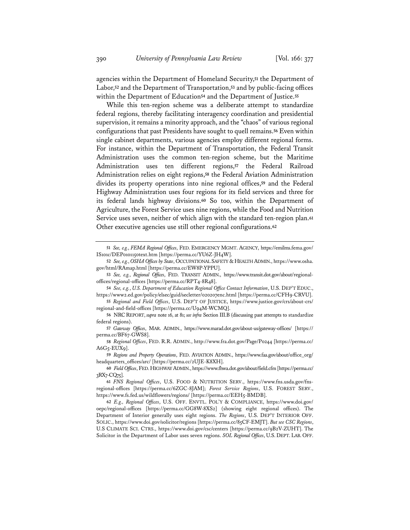agencies within the Department of Homeland Security,**<sup>51</sup>** the Department of Labor,**<sup>52</sup>** and the Department of Transportation,**<sup>53</sup>** and by public-facing offices within the Department of Education**<sup>54</sup>** and the Department of Justice.**<sup>55</sup>**

While this ten-region scheme was a deliberate attempt to standardize federal regions, thereby facilitating interagency coordination and presidential supervision, it remains a minority approach, and the "chaos" of various regional configurations that past Presidents have sought to quell remains.**<sup>56</sup>** Even within single cabinet departments, various agencies employ different regional forms. For instance, within the Department of Transportation, the Federal Transit Administration uses the common ten-region scheme, but the Maritime Administration uses ten different regions,**<sup>57</sup>** the Federal Railroad Administration relies on eight regions,**<sup>58</sup>** the Federal Aviation Administration divides its property operations into nine regional offices,**<sup>59</sup>** and the Federal Highway Administration uses four regions for its field services and three for its federal lands highway divisions.**<sup>60</sup>** So too, within the Department of Agriculture, the Forest Service uses nine regions, while the Food and Nutrition Service uses seven, neither of which align with the standard ten-region plan.**<sup>61</sup>** Other executive agencies use still other regional configurations.**<sup>62</sup>**

**<sup>51</sup>** *See, e.g.*, *FEMA Regional Offices*, FED. EMERGENCY MGMT. AGENCY, https://emilms.fema.gov/ IS101c/DEP0101150text.htm [https://perma.cc/YU6Z-JH4W].

**<sup>52</sup>** *See, e.g.*, *OSHA Offices by State*, OCCUPATIONAL SAFETY & HEALTH ADMIN., https://www.osha. gov/html/RAmap.html [https://perma.cc/EW8P-YPPU].

**<sup>53</sup>** *See, e.g.*, *Regional Offices*, FED. TRANSIT ADMIN., https://www.transit.dot.gov/about/regionaloffices/regional-offices [https://perma.cc/RPT4-8R48].

**<sup>54</sup>** *See, e.g.*, *U.S. Department of Education Regional Office Contact Information*, U.S. DEP'T EDUC., https://www2.ed.gov/policy/elsec/guid/secletter/020207enc.html [https://perma.cc/CFH9-CRVU].

**<sup>55</sup>** *Regional and Field Offices*, U.S. DEP'T OF JUSTICE, https://www.justice.gov/crs/about-crs/ regional-and-field-offices [https://perma.cc/U94M-WCMQ].

**<sup>56</sup>** NRCREPORT, *supra* note 16, at 81; *see infra* Section III.B (discussing past attempts to standardize federal regions).

**<sup>57</sup>** *Gateway Offices*, MAR. ADMIN., https://www.marad.dot.gov/about-us/gateway-offices/ [https:// perma.cc/BF67-GWS8].

**<sup>58</sup>** *Regional Offices*, FED. R.R. ADMIN., http://www.fra.dot.gov/Page/P0244 [https://perma.cc/  $A6G5$ -EUX9].

**<sup>59</sup>** *Regions and Property Operations*, FED. AVIATION ADMIN., https://www.faa.gov/about/office\_org/ headquarters\_offices/arc/ [https://perma.cc/2UJE-K8XH].

**<sup>60</sup>** *Field Offices*, FED.HIGHWAY ADMIN., https://www.fhwa.dot.gov/about/field.cfm [https://perma.cc/ 3RX7-CQ75].

**<sup>61</sup>** *FNS Regional Offices*, U.S. FOOD & NUTRITION SERV., https://www.fns.usda.gov/fnsregional-offices [https://perma.cc/6ZGC-8JAM]; *Forest Service Regions*, U.S. FOREST SERV., https://www.fs.fed.us/wildflowers/regions/ [https://perma.cc/EEH5-BMDB].

**<sup>62</sup>** *E.g., Regional Offices*, U.S. OFF. ENVTL. POL'Y & COMPLIANCE, https://www.doi.gov/ oepc/regional-offices [https://perma.cc/GG8W-8XS2] (showing eight regional offices). The Department of Interior generally uses eight regions. *The Regions*, U.S. DEP'T INTERIOR OFF. SOLIC., https://www.doi.gov/solicitor/regions [https://perma.cc/85CF-EMJT]. *But see CSC Regions*, U.S CLIMATE SCI. CTRS., https://www.doi.gov/csc/centers [https://perma.cc/9B2V-ZUHT]. The Solicitor in the Department of Labor uses seven regions. *SOL Regional Offices*, U.S. DEPT. LAB.OFF.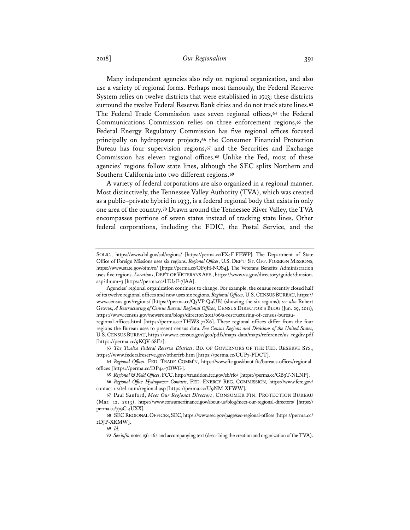## 2018] *Our Regionalism* 391

Many independent agencies also rely on regional organization, and also use a variety of regional forms. Perhaps most famously, the Federal Reserve System relies on twelve districts that were established in 1913; these districts surround the twelve Federal Reserve Bank cities and do not track state lines.**<sup>63</sup>** The Federal Trade Commission uses seven regional offices,**<sup>64</sup>** the Federal Communications Commission relies on three enforcement regions,**<sup>65</sup>** the Federal Energy Regulatory Commission has five regional offices focused principally on hydropower projects,**<sup>66</sup>** the Consumer Financial Protection Bureau has four supervision regions,**<sup>67</sup>** and the Securities and Exchange Commission has eleven regional offices.**<sup>68</sup>** Unlike the Fed, most of these agencies' regions follow state lines, although the SEC splits Northern and Southern California into two different regions.**<sup>69</sup>**

A variety of federal corporations are also organized in a regional manner. Most distinctively, the Tennessee Valley Authority (TVA), which was created as a public–private hybrid in 1933, is a federal regional body that exists in only one area of the country.**<sup>70</sup>** Drawn around the Tennessee River Valley, the TVA encompasses portions of seven states instead of tracking state lines. Other federal corporations, including the FDIC, the Postal Service, and the

SOLIC., https://www.dol.gov/sol/regions/ [https://perma.cc/FX4F-FEWP]. The Department of State Office of Foreign Missions uses six regions. *Regional Offices*, U.S. DEP'T ST. OFF. FOREIGN MISSIONS, https://www.state.gov/ofm/ro/ [https://perma.cc/QF9H-NQS4]. The Veterans Benefits Administration uses five regions. *Locations*, DEP'T OF VETERANS AFF., https://www.va.gov/directory/guide/division. asp?dnum=3 [https://perma.cc/HU4F-7JAA].

Agencies' regional organization continues to change. For example, the census recently closed half of its twelve regional offices and now uses six regions. *Regional Offices*, U.S.CENSUS BUREAU, https:// www.census.gov/regions/ [https://perma.cc/Q3VP-Q9UB] (showing the six regions); *see also* Robert Groves, *A Restructuring of Census Bureau Regional Offices*, CENSUS DIRECTOR'S BLOG (Jun. 29, 2011), https://www.census.gov/newsroom/blogs/director/2011/06/a-restructuring-of-census-bureau-

regional-offices.html [https://perma.cc/THW8-72X6]. These regional offices differ from the four regions the Bureau uses to present census data. *See Census Regions and Divisions of the United States*, U.S.CENSUS BUREAU, https://www2.census.gov/geo/pdfs/maps-data/maps/reference/us\_regdiv.pdf [https://perma.cc/9KQV-68F2].

**<sup>63</sup>** *The Twelve Federal Reserve Districts*, BD. OF GOVERNORS OF THE FED. RESERVE SYS., https://www.federalreserve.gov/otherfrb.htm [https://perma.cc/CUP7-FDCT].

**<sup>64</sup>** *Regional Offices*, FED. TRADE COMM'N, https://www.ftc.gov/about-ftc/bureaus-offices/regionaloffices [https://perma.cc/DP44-7DWG].

**<sup>65</sup>** *Regional & Field Offices*, FCC, http://transition.fcc.gov/eb/rfo/ [https://perma.cc/GB9T-NLNP].

**<sup>66</sup>** *Regional Office Hydropower Contacts*, FED. ENERGY REG. COMMISSION, https://www.ferc.gov/ contact-us/tel-num/regional.asp [https://perma.cc/U9NM-XFWW].

**<sup>67</sup>** Paul Sanford, *Meet Our Regional Directors*, CONSUMER FIN. PROTECTION BUREAU (Mar. 12, 2013), https://www.consumerfinance.gov/about-us/blog/meet-our-regional-directors/ [https:// perma.cc/779C-4UXX].

**<sup>68</sup>** SECREGIONAL OFFICES, SEC, https://www.sec.gov/page/sec-regional-offices[https://perma.cc/ 2DJP-XKMW].

**<sup>69</sup>** *Id.*

**<sup>70</sup>** *Seeinfra* notes 156–162 and accompanying text (describing the creation and organization of the TVA).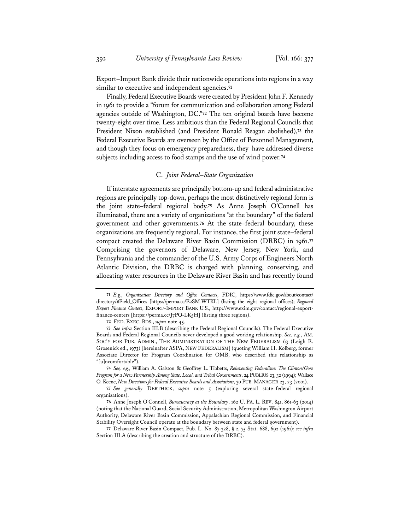Export–Import Bank divide their nationwide operations into regions in a way similar to executive and independent agencies.**<sup>71</sup>**

Finally, Federal Executive Boards were created by President John F. Kennedy in 1961 to provide a "forum for communication and collaboration among Federal agencies outside of Washington, DC."**<sup>72</sup>** The ten original boards have become twenty-eight over time. Less ambitious than the Federal Regional Councils that President Nixon established (and President Ronald Reagan abolished),**<sup>73</sup>** the Federal Executive Boards are overseen by the Office of Personnel Management, and though they focus on emergency preparedness, they have addressed diverse subjects including access to food stamps and the use of wind power.**<sup>74</sup>**

#### C. *Joint Federal–State Organization*

If interstate agreements are principally bottom-up and federal administrative regions are principally top-down, perhaps the most distinctively regional form is the joint state–federal regional body.**<sup>75</sup>** As Anne Joseph O'Connell has illuminated, there are a variety of organizations "at the boundary" of the federal government and other governments.**<sup>76</sup>** At the state–federal boundary, these organizations are frequently regional. For instance, the first joint state–federal compact created the Delaware River Basin Commission (DRBC) in 1961.**<sup>77</sup>** Comprising the governors of Delaware, New Jersey, New York, and Pennsylvania and the commander of the U.S. Army Corps of Engineers North Atlantic Division, the DRBC is charged with planning, conserving, and allocating water resources in the Delaware River Basin and has recently found

**72** FED. EXEC. BDS., *supra* note 45.

**<sup>71</sup>** *E.g.*, *Organization Directory and Office Contacts*, FDIC, https://www.fdic.gov/about/contact/ directory/#Field\_Offices [https://perma.cc/E2SM-WTKL] (listing the eight regional offices); *Regional Export Finance Centers*, EXPORT–IMPORT BANK U.S., http://www.exim.gov/contact/regional-exportfinance-centers [https://perma.cc/J7PQ-LK5H] (listing three regions).

**<sup>73</sup>** *See infra* Section III.B (describing the Federal Regional Councils). The Federal Executive Boards and Federal Regional Councils never developed a good working relationship. *See, e.g.*, AM. SOC'Y FOR PUB. ADMIN., THE ADMINISTRATION OF THE NEW FEDERALISM 63 (Leigh E. Grosenick ed., 1973) [hereinafter ASPA, NEW FEDERALISM] (quoting William H. Kolberg, former Associate Director for Program Coordination for OMB, who described this relationship as "[u]ncomfortable").

**<sup>74</sup>** *See, e.g.*, William A. Galston & Geoffrey L. Tibbetts, *Reinventing Federalism: The Clinton/Gore Program for a New Partnership Among State, Local, and Tribal Governments*, 24 PUBLIUS 23, 32 (1994); Wallace O. Keene, *New Directions for Federal Executive Boards and Associations*, 30 PUB. MANAGER 23, 23 (2001).

**<sup>75</sup>** *See generally* DERTHICK, *supra* note 5 (exploring several state–federal regional organizations).

**<sup>76</sup>** Anne Joseph O'Connell, *Bureaucracy at the Boundary*, 162 U. PA. L. REV. 841, 861-63 (2014) (noting that the National Guard, Social Security Administration, Metropolitan Washington Airport Authority, Delaware River Basin Commission, Appalachian Regional Commission, and Financial Stability Oversight Council operate at the boundary between state and federal government).

**<sup>77</sup>** Delaware River Basin Compact, Pub. L. No. 87-328, § 2, 75 Stat. 688, 692 (1961); *see infra* Section III.A (describing the creation and structure of the DRBC).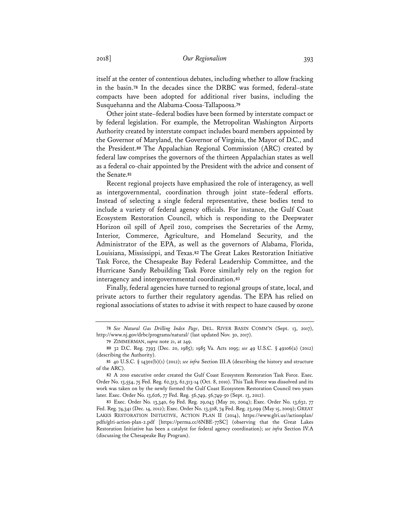itself at the center of contentious debates, including whether to allow fracking in the basin.**<sup>78</sup>** In the decades since the DRBC was formed, federal–state compacts have been adopted for additional river basins, including the Susquehanna and the Alabama-Coosa-Tallapoosa.**<sup>79</sup>**

Other joint state–federal bodies have been formed by interstate compact or by federal legislation. For example, the Metropolitan Washington Airports Authority created by interstate compact includes board members appointed by the Governor of Maryland, the Governor of Virginia, the Mayor of D.C., and the President.**<sup>80</sup>** The Appalachian Regional Commission (ARC) created by federal law comprises the governors of the thirteen Appalachian states as well as a federal co-chair appointed by the President with the advice and consent of the Senate.**<sup>81</sup>**

Recent regional projects have emphasized the role of interagency, as well as intergovernmental, coordination through joint state–federal efforts. Instead of selecting a single federal representative, these bodies tend to include a variety of federal agency officials. For instance, the Gulf Coast Ecosystem Restoration Council, which is responding to the Deepwater Horizon oil spill of April 2010, comprises the Secretaries of the Army, Interior, Commerce, Agriculture, and Homeland Security, and the Administrator of the EPA, as well as the governors of Alabama, Florida, Louisiana, Mississippi, and Texas.**<sup>82</sup>** The Great Lakes Restoration Initiative Task Force, the Chesapeake Bay Federal Leadership Committee, and the Hurricane Sandy Rebuilding Task Force similarly rely on the region for interagency and intergovernmental coordination.**<sup>83</sup>**

Finally, federal agencies have turned to regional groups of state, local, and private actors to further their regulatory agendas. The EPA has relied on regional associations of states to advise it with respect to haze caused by ozone

**<sup>78</sup>** *See Natural Gas Drilling Index Page*, DEL. RIVER BASIN COMM'N (Sept. 13, 2017), http://www.nj.gov/drbc/programs/natural/ (last updated Nov. 30, 2017).

**<sup>79</sup>** ZIMMERMAN, *supra* note 21, at 249.

**<sup>80</sup>** 32 D.C. Reg. 7393 (Dec. 20, 1985); 1985 Va. Acts 1095; *see* 49 U.S.C. § 49106(a) (2012) (describing the Authority).

**<sup>81</sup>** 40 U.S.C. § 14301(b)(1) (2012); *see infra* Section III.A (describing the history and structure of the ARC).

**<sup>82</sup>** A 2010 executive order created the Gulf Coast Ecosystem Restoration Task Force. Exec. Order No. 13,554, 75 Fed. Reg. 62,313, 62,313-14 (Oct. 8, 2010). This Task Force was dissolved and its work was taken on by the newly formed the Gulf Coast Ecosystem Restoration Council two years later. Exec. Order No. 13,626, 77 Fed. Reg. 56,749, 56,749-50 (Sept. 13, 2012).

**<sup>83</sup>** Exec. Order No. 13,340, 69 Fed. Reg. 29,043 (May 20, 2004); Exec. Order No. 13,632, 77 Fed. Reg. 74,341 (Dec. 14, 2012); Exec. Order No. 13,508, 74 Fed. Reg. 23,099 (May 15, 2009); GREAT LAKES RESTORATION INITIATIVE, ACTION PLAN II (2014), https://www.glri.us//actionplan/ pdfs/glri-action-plan-2.pdf [https://perma.cc/6NBE-77SC] (observing that the Great Lakes Restoration Initiative has been a catalyst for federal agency coordination); *see infra* Section IV.A (discussing the Chesapeake Bay Program).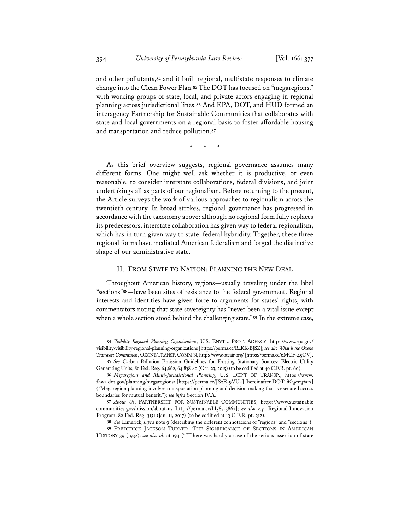and other pollutants,**<sup>84</sup>** and it built regional, multistate responses to climate change into the Clean Power Plan.**<sup>85</sup>** The DOT has focused on "megaregions," with working groups of state, local, and private actors engaging in regional planning across jurisdictional lines.**<sup>86</sup>** And EPA, DOT, and HUD formed an interagency Partnership for Sustainable Communities that collaborates with state and local governments on a regional basis to foster affordable housing and transportation and reduce pollution.**<sup>87</sup>**

\* \* \*

As this brief overview suggests, regional governance assumes many different forms. One might well ask whether it is productive, or even reasonable, to consider interstate collaborations, federal divisions, and joint undertakings all as parts of our regionalism. Before returning to the present, the Article surveys the work of various approaches to regionalism across the twentieth century. In broad strokes, regional governance has progressed in accordance with the taxonomy above: although no regional form fully replaces its predecessors, interstate collaboration has given way to federal regionalism, which has in turn given way to state–federal hybridity. Together, these three regional forms have mediated American federalism and forged the distinctive shape of our administrative state.

## II. FROM STATE TO NATION: PLANNING THE NEW DEAL

Throughout American history, regions—usually traveling under the label "sections"**<sup>88</sup>**—have been sites of resistance to the federal government. Regional interests and identities have given force to arguments for states' rights, with commentators noting that state sovereignty has "never been a vital issue except when a whole section stood behind the challenging state."**<sup>89</sup>** In the extreme case,

**<sup>84</sup>** *Visibility*–*Regional Planning Organizations*, U.S. ENVTL. PROT. AGENCY, https://www.epa.gov/ visibility/visibility-regional-planning-organizations [https://perma.cc/B4KK-BJSZ]; *see also What is the Ozone Transport Commission*, OZONE TRANSP.COMM'N, http://www.otcair.org/ [https://perma.cc/6MCF-45CV].

**<sup>85</sup>** *See* Carbon Pollution Emission Guidelines for Existing Stationary Sources: Electric Utility Generating Units, 80 Fed. Reg. 64,662, 64,838-40 (Oct. 23, 2015) (to be codified at 40 C.F.R. pt. 60).

**<sup>86</sup>** *Megaregions and Multi-Jurisdictional Planning*, U.S. DEP'T OF TRANSP., https://www. fhwa.dot.gov/planning/megaregions/ [https://perma.cc/JS2E-9VU4] [hereinafter DOT, *Megaregions*] ("Megaregion planning involves transportation planning and decision making that is executed across boundaries for mutual benefit."); *see infra* Section IV.A.

**<sup>87</sup>** *About Us*, PARTNERSHIP FOR SUSTAINABLE COMMUNITIES, https://www.sustainable communities.gov/mission/about-us [http://perma.cc/H587-3862]; *see also, e.g.*, Regional Innovation Program, 82 Fed. Reg. 3131 (Jan. 11, 2017) (to be codified at 13 C.F.R. pt. 312).

**<sup>88</sup>** *See* Limerick, *supra* note 9 (describing the different connotations of "regions" and "sections").

**<sup>89</sup>** FREDERICK JACKSON TURNER, THE SIGNIFICANCE OF SECTIONS IN AMERICAN HISTORY 39 (1932); *see also id.* at 194 ("[T]here was hardly a case of the serious assertion of state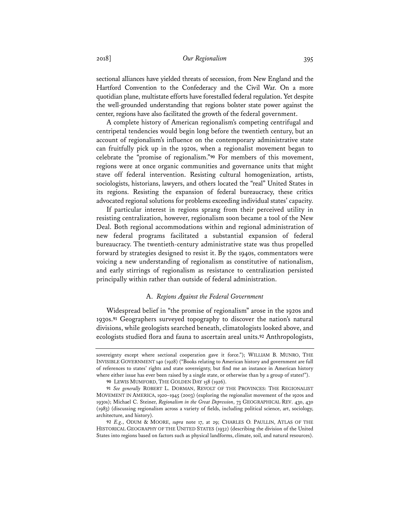## 2018] *Our Regionalism* 395

sectional alliances have yielded threats of secession, from New England and the Hartford Convention to the Confederacy and the Civil War. On a more quotidian plane, multistate efforts have forestalled federal regulation. Yet despite the well-grounded understanding that regions bolster state power against the center, regions have also facilitated the growth of the federal government.

A complete history of American regionalism's competing centrifugal and centripetal tendencies would begin long before the twentieth century, but an account of regionalism's influence on the contemporary administrative state can fruitfully pick up in the 1920s, when a regionalist movement began to celebrate the "promise of regionalism."**<sup>90</sup>** For members of this movement, regions were at once organic communities and governance units that might stave off federal intervention. Resisting cultural homogenization, artists, sociologists, historians, lawyers, and others located the "real" United States in its regions. Resisting the expansion of federal bureaucracy, these critics advocated regional solutions for problems exceeding individual states' capacity.

If particular interest in regions sprang from their perceived utility in resisting centralization, however, regionalism soon became a tool of the New Deal. Both regional accommodations within and regional administration of new federal programs facilitated a substantial expansion of federal bureaucracy. The twentieth-century administrative state was thus propelled forward by strategies designed to resist it. By the 1940s, commentators were voicing a new understanding of regionalism as constitutive of nationalism, and early stirrings of regionalism as resistance to centralization persisted principally within rather than outside of federal administration.

## A. *Regions Against the Federal Government*

Widespread belief in "the promise of regionalism" arose in the 1920s and 1930s.**<sup>91</sup>** Geographers surveyed topography to discover the nation's natural divisions, while geologists searched beneath, climatologists looked above, and ecologists studied flora and fauna to ascertain areal units.**<sup>92</sup>** Anthropologists,

sovereignty except where sectional cooperation gave it force."); WILLIAM B. MUNRO, THE INVISIBLE GOVERNMENT 140 (1928) ("Books relating to American history and government are full of references to states' rights and state sovereignty, but find me an instance in American history where either issue has ever been raised by a single state, or otherwise than by a group of states!").

**<sup>90</sup>** LEWIS MUMFORD, THE GOLDEN DAY 158 (1926).

**<sup>91</sup>** *See generally* ROBERT L. DORMAN, REVOLT OF THE PROVINCES: THE REGIONALIST MOVEMENT IN AMERICA, 1920–1945 (2003) (exploring the regionalist movement of the 1920s and 1930s); Michael C. Steiner, *Regionalism in the Great Depression*, 73 GEOGRAPHICAL REV. 430, 430 (1983) (discussing regionalism across a variety of fields, including political science, art, sociology, architecture, and history).

**<sup>92</sup>** *E.g*., ODUM & MOORE, *supra* note 17, at 29; CHARLES O. PAULLIN, ATLAS OF THE HISTORICAL GEOGRAPHY OF THE UNITED STATES (1932) (describing the division of the United States into regions based on factors such as physical landforms, climate, soil, and natural resources).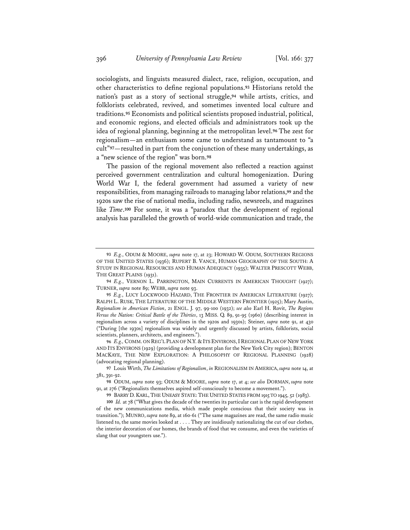sociologists, and linguists measured dialect, race, religion, occupation, and other characteristics to define regional populations.**<sup>93</sup>** Historians retold the nation's past as a story of sectional struggle,**<sup>94</sup>** while artists, critics, and folklorists celebrated, revived, and sometimes invented local culture and traditions.**<sup>95</sup>** Economists and political scientists proposed industrial, political, and economic regions, and elected officials and administrators took up the idea of regional planning, beginning at the metropolitan level.**<sup>96</sup>** The zest for regionalism—an enthusiasm some came to understand as tantamount to "a cult"**<sup>97</sup>**—resulted in part from the conjunction of these many undertakings, as a "new science of the region" was born.**<sup>98</sup>**

The passion of the regional movement also reflected a reaction against perceived government centralization and cultural homogenization. During World War I, the federal government had assumed a variety of new responsibilities, from managing railroads to managing labor relations,**<sup>99</sup>** and the 1920s saw the rise of national media, including radio, newsreels, and magazines like *Time*.**<sup>100</sup>** For some, it was a "paradox that the development of regional analysis has paralleled the growth of world-wide communication and trade, the

**96** *E.g.,* COMM. ON REG'L PLAN OF N.Y. & ITS ENVIRONS,IREGIONAL PLAN OF NEW YORK AND ITS ENVIRONS (1929) (providing a development plan for the New York City region); BENTON MACKAYE, THE NEW EXPLORATION: A PHILOSOPHY OF REGIONAL PLANNING (1928) (advocating regional planning).

**<sup>93</sup>** *E.g.*, ODUM & MOORE, *supra* note 17, at 23; HOWARD W. ODUM, SOUTHERN REGIONS OF THE UNITED STATES (1936); RUPERT B. VANCE, HUMAN GEOGRAPHY OF THE SOUTH: A STUDY IN REGIONAL RESOURCES AND HUMAN ADEQUACY (1935); WALTER PRESCOTT WEBB, THE GREAT PLAINS (1931).

**<sup>94</sup>** *E.g.*, VERNON L. PARRINGTON, MAIN CURRENTS IN AMERICAN THOUGHT (1927); TURNER, *supra* note 89; WEBB, *supra* note 93.

**<sup>95</sup>** *E.g.*, LUCY LOCKWOOD HAZARD, THE FRONTIER IN AMERICAN LITERATURE (1927); RALPH L. RUSK, THE LITERATURE OF THE MIDDLE WESTERN FRONTIER (1925); Mary Austin, *Regionalism in American Fiction*, 21 ENGL. J. 97, 99-100 (1932); *see also* Earl H. Rovit, *The Regions Versus the Nation: Critical Battle of the Thirties*, 13 MISS. Q. 89, 91-95 (1960) (describing interest in regionalism across a variety of disciplines in the 1920s and 1930s); Steiner, *supra* note 91, at 430 ("During [the 1930s] regionalism was widely and urgently discussed by artists, folklorists, social scientists, planners, architects, and engineers.")

**<sup>97</sup>** Louis Wirth, *The Limitations of Regionalism*, *in* REGIONALISM IN AMERICA, *supra* note 14, at 381, 391-92.

**<sup>98</sup>** ODUM, *supra* note 93; ODUM & MOORE, *supra* note 17, at 4; *see also* DORMAN, *supra* note 91, at 276 ("Regionalists themselves aspired self-consciously to become a movement.").

**<sup>99</sup>** BARRY D. KARL, THE UNEASY STATE: THE UNITED STATES FROM 1915 TO 1945, 52 (1983).

**<sup>100</sup>** *Id.* at 78 ("What gives the decade of the twenties its particular cast is the rapid development of the new communications media, which made people conscious that their society was in transition."); MUNRO, *supra* note 89, at 160-61 ("The same magazines are read, the same radio music listened to, the same movies looked at . . . . They are insidiously nationalizing the cut of our clothes, the interior decoration of our homes, the brands of food that we consume, and even the varieties of slang that our youngsters use.").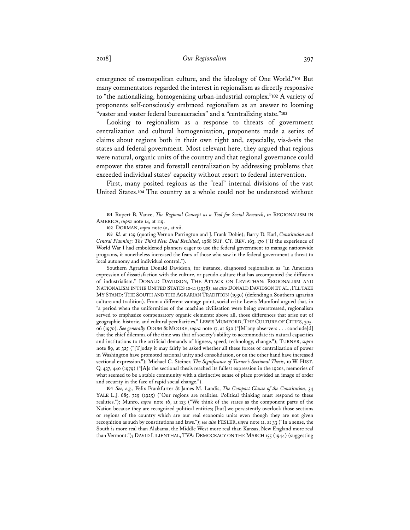emergence of cosmopolitan culture, and the ideology of One World."**<sup>101</sup>** But many commentators regarded the interest in regionalism as directly responsive to "the nationalizing, homogenizing urban-industrial complex."**<sup>102</sup>** A variety of proponents self-consciously embraced regionalism as an answer to looming "vaster and vaster federal bureaucracies" and a "centralizing state."**<sup>103</sup>**

Looking to regionalism as a response to threats of government centralization and cultural homogenization, proponents made a series of claims about regions both in their own right and, especially, vis-à-vis the states and federal government. Most relevant here, they argued that regions were natural, organic units of the country and that regional governance could empower the states and forestall centralization by addressing problems that exceeded individual states' capacity without resort to federal intervention.

First, many posited regions as the "real" internal divisions of the vast United States.**<sup>104</sup>** The country as a whole could not be understood without

Southern Agrarian Donald Davidson, for instance, diagnosed regionalism as "an American expression of dissatisfaction with the culture, or pseudo-culture that has accompanied the diffusion of industrialism." DONALD DAVIDSON, THE ATTACK ON LEVIATHAN: REGIONALISM AND NATIONALISM IN THE UNITED STATES 10-11 (1938); *see also* DONALD DAVIDSON ET AL.,I'LL TAKE MY STAND: THE SOUTH AND THE AGRARIAN TRADITION (1930) (defending a Southern agrarian culture and tradition). From a different vantage point, social critic Lewis Mumford argued that, in "a period when the uniformities of the machine civilization were being overstressed, regionalism served to emphasize compensatory organic elements: above all, those differences that arise out of geographic, historic, and cultural peculiarities." LEWIS MUMFORD,THE CULTURE OF CITIES, 305- 06 (1970). *See generally* ODUM & MOORE, *supra* note 17, at 630 ("[M]any observers . . . conclude[d] that the chief dilemma of the time was that of society's ability to accommodate its natural capacities and institutions to the artificial demands of bigness, speed, technology, change."); TURNER, *supra* note 89, at 325 ("[T]oday it may fairly be asked whether all these forces of centralization of power in Washington have promoted national unity and consolidation, or on the other hand have increased sectional expression."); Michael C. Steiner, *The Significance of Turner's Sectional Thesis*, 10 W. HIST. Q. 437, 440 (1979) ("[A]s the sectional thesis reached its fullest expression in the 1920s, memories of what seemed to be a stable community with a distinctive sense of place provided an image of order and security in the face of rapid social change.").

**104** *See, e.g.*, Felix Frankfurter & James M. Landis, *The Compact Clause of the Constitution*, 34 YALE L.J. 685, 729 (1925) ("Our regions are realities. Political thinking must respond to these realities."); Munro, *supra* note 16, at 123 ("We think of the states as the component parts of the Nation because they are recognized political entities; [but] we persistently overlook those sections or regions of the country which are our real economic units even though they are not given recognition as such by constitutions and laws."); *see also* FESLER, *supra* note 11, at 33 ("In a sense, the South is more real than Alabama, the Middle West more real than Kansas, New England more real than Vermont."); DAVID LILIENTHAL, TVA: DEMOCRACY ON THE MARCH 155 (1944) (suggesting

**<sup>101</sup>** Rupert B. Vance, *The Regional Concept as a Tool for Social Research*, *in* REGIONALISM IN AMERICA, *supra* note 14, at 119.

**<sup>102</sup>** DORMAN, *supra* note 91, at xii.

**<sup>103</sup>** *Id.* at 129 (quoting Vernon Parrington and J. Frank Dobie); Barry D. Karl, *Constitution and Central Planning: The Third New Deal Revisited*, 1988 SUP. CT. REV. 163, 170 ("If the experience of World War I had emboldened planners eager to use the federal government to manage nationwide programs, it nonetheless increased the fears of those who saw in the federal government a threat to local autonomy and individual control.").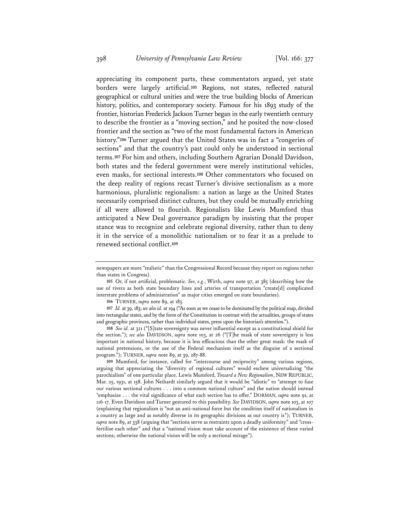appreciating its component parts, these commentators argued, yet state borders were largely artificial.**<sup>105</sup>** Regions, not states, reflected natural geographical or cultural unities and were the true building blocks of American history, politics, and contemporary society. Famous for his 1893 study of the frontier, historian Frederick Jackson Turner began in the early twentieth century to describe the frontier as a "moving section," and he posited the now-closed frontier and the section as "two of the most fundamental factors in American history."**<sup>106</sup>** Turner argued that the United States was in fact a "congeries of sections" and that the country's past could only be understood in sectional terms.**<sup>107</sup>** For him and others, including Southern Agrarian Donald Davidson, both states and the federal government were merely institutional vehicles, even masks, for sectional interests.**<sup>108</sup>** Other commentators who focused on the deep reality of regions recast Turner's divisive sectionalism as a more harmonious, pluralistic regionalism: a nation as large as the United States necessarily comprised distinct cultures, but they could be mutually enriching if all were allowed to flourish. Regionalists like Lewis Mumford thus anticipated a New Deal governance paradigm by insisting that the proper stance was to recognize and celebrate regional diversity, rather than to deny it in the service of a monolithic nationalism or to fear it as a prelude to renewed sectional conflict.**<sup>109</sup>**

**105** Or, if not artificial, problematic. *See, e.g.*, Wirth, *supra* note 97, at 385 (describing how the use of rivers as both state boundary lines and arteries of transportation "create[d] complicated interstate problems of administration" as major cities emerged on state boundaries).

**106** TURNER, *supra* note 89, at 183.

**107** *Id.* at 39, 183; *see alsoid.* at 194 ("As soon as we cease to be dominated by the political map, divided into rectangular states, and by the form of the Constitution in contrast with the actualities, groups of states and geographic provinces, rather than individual states, press upon the historian's attention.").

**108** *See id.* at 321 ("[S]tate sovereignty was never influential except as a constitutional shield for the section."); *see also* DAVIDSON, *supra* note 103, at 26 ("[T]he mask of state sovereignty is less important in national history, because it is less efficacious than the other great mask: the mask of national pretensions, or the use of the Federal mechanism itself as the disguise of a sectional program."); TURNER, *supra* note 89, at 39, 287-88.

**109** Mumford, for instance, called for "intercourse and reciprocity" among various regions, arguing that appreciating the "diversity of regional cultures" would eschew universalizing "the parochialism" of one particular place. Lewis Mumford, *Toward a New Regionalism*, NEW REPUBLIC, Mar. 25, 1931, at 158. John Neihardt similarly argued that it would be "idiotic" to "attempt to fuse our various sectional cultures . . . into a common national culture" and the nation should instead "emphasize . . . the vital significance of what each section has to offer." DORMAN, *supra* note 91, at 116-17. Even Davidson and Turner gestured to this possibility. *See* DAVIDSON, *supra* note 103, at 107 (explaining that regionalism is "not an anti-national force but the condition itself of nationalism in a country as large and as notably diverse in its geographic divisions as our country is"); TURNER, *supra* note 89, at 338 (arguing that "sections serve as restraints upon a deadly uniformity" and "crossfertilize each other" and that a "national vision must take account of the existence of these varied sections; otherwise the national vision will be only a sectional mirage").

newspapers are more "realistic" than the Congressional Record because they report on regions rather than states in Congress).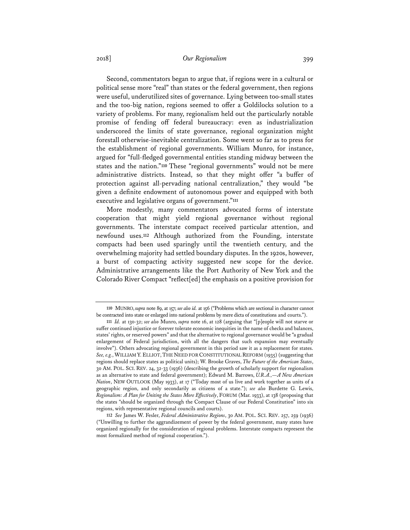## 2018] *Our Regionalism* 399

Second, commentators began to argue that, if regions were in a cultural or political sense more "real" than states or the federal government, then regions were useful, underutilized sites of governance. Lying between too-small states and the too-big nation, regions seemed to offer a Goldilocks solution to a variety of problems. For many, regionalism held out the particularly notable promise of fending off federal bureaucracy: even as industrialization underscored the limits of state governance, regional organization might forestall otherwise-inevitable centralization. Some went so far as to press for the establishment of regional governments. William Munro, for instance, argued for "full-fledged governmental entities standing midway between the states and the nation."**<sup>110</sup>** These "regional governments" would not be mere administrative districts. Instead, so that they might offer "a buffer of protection against all-pervading national centralization," they would "be given a definite endowment of autonomous power and equipped with both executive and legislative organs of government."**<sup>111</sup>**

More modestly, many commentators advocated forms of interstate cooperation that might yield regional governance without regional governments. The interstate compact received particular attention, and newfound uses.**<sup>112</sup>** Although authorized from the Founding, interstate compacts had been used sparingly until the twentieth century, and the overwhelming majority had settled boundary disputes. In the 1920s, however, a burst of compacting activity suggested new scope for the device. Administrative arrangements like the Port Authority of New York and the Colorado River Compact "reflect[ed] the emphasis on a positive provision for

**<sup>110</sup>** MUNRO, *supra* note 89, at 157; *see alsoid.* at 156 ("Problems which are sectional in character cannot be contracted into state or enlarged into national problems by mere dicta of constitutions and courts.").

**<sup>111</sup>** *Id.* at 130-32; *see also* Munro, *supra* note 16, at 128 (arguing that "[p]eople will not starve or suffer continued injustice or forever tolerate economic inequities in the name of checks and balances, states' rights, or reserved powers" and that the alternative to regional governance would be "a gradual enlargement of Federal jurisdiction, with all the dangers that such expansion may eventually involve"). Others advocating regional government in this period saw it as a replacement for states. *See, e.g.*, WILLIAM Y. ELLIOT,THE NEED FOR CONSTITUTIONAL REFORM (1935) (suggesting that regions should replace states as political units); W. Brooke Graves, *The Future of the American States*, 30 AM. POL. SCI. REV. 24, 32-33 (1936) (describing the growth of scholarly support for regionalism as an alternative to state and federal government); Edward M. Barrows, *U.R.A.,—A New American Nation*, NEW OUTLOOK (May 1933), at 17 ("Today most of us live and work together as units of a geographic region, and only secondarily as citizens of a state."); *see also* Burdette G. Lewis, *Regionalism: A Plan for Uniting the States More Effectively*, FORUM (Mar. 1933), at 138 (proposing that the states "should be organized through the Compact Clause of our Federal Constitution" into six regions, with representative regional councils and courts).

**<sup>112</sup>** *See* James W. Fesler, *Federal Administrative Regions*, 30 AM. POL. SCI. REV. 257, 259 (1936) ("Unwilling to further the aggrandizement of power by the federal government, many states have organized regionally for the consideration of regional problems. Interstate compacts represent the most formalized method of regional cooperation.").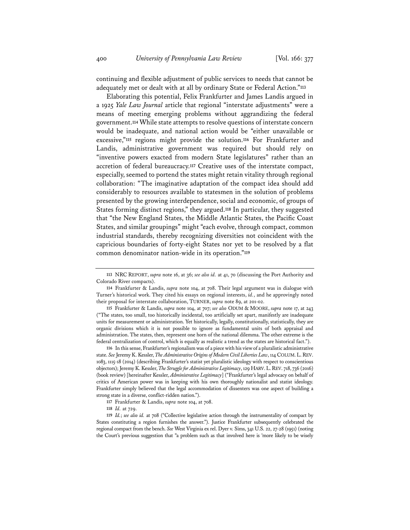continuing and flexible adjustment of public services to needs that cannot be adequately met or dealt with at all by ordinary State or Federal Action."**<sup>113</sup>**

Elaborating this potential, Felix Frankfurter and James Landis argued in a 1925 *Yale Law Journal* article that regional "interstate adjustments" were a means of meeting emerging problems without aggrandizing the federal government.**<sup>114</sup>** While state attempts to resolve questions of interstate concern would be inadequate, and national action would be "either unavailable or excessive,"**<sup>115</sup>** regions might provide the solution.**<sup>116</sup>** For Frankfurter and Landis, administrative government was required but should rely on "inventive powers exacted from modern State legislatures" rather than an accretion of federal bureaucracy.**<sup>117</sup>** Creative uses of the interstate compact, especially, seemed to portend the states might retain vitality through regional collaboration: "The imaginative adaptation of the compact idea should add considerably to resources available to statesmen in the solution of problems presented by the growing interdependence, social and economic, of groups of States forming distinct regions," they argued.**<sup>118</sup>** In particular, they suggested that "the New England States, the Middle Atlantic States, the Pacific Coast States, and similar groupings" might "each evolve, through compact, common industrial standards, thereby recognizing diversities not coincident with the capricious boundaries of forty-eight States nor yet to be resolved by a flat common denominator nation-wide in its operation."**<sup>119</sup>**

**115** Frankfurter & Landis, *supra* note 104, at 707; *see also* ODUM & MOORE, *supra* note 17, at 243 ("The states, too small, too historically incidental, too artificially set apart, manifestly are inadequate units for measurement or administration. Yet historically, legally, constitutionally, statistically, they are organic divisions which it is not possible to ignore as fundamental units of both appraisal and administration. The states, then, represent one horn of the national dilemma. The other extreme is the federal centralization of control, which is equally as realistic a trend as the states are historical fact.").

**116** In this sense, Frankfurter's regionalism was of a piece with his view of a pluralistic administrative state. *See* Jeremy K. Kessler, *The Administrative Origins of Modern Civil Liberties Law*, 114 COLUM.L.REV. 1083, 1115-18 (2014) (describing Frankfurter's statist yet pluralistic ideology with respect to conscientious objectors); Jeremy K. Kessler, *The Struggle for Administrative Legitimacy*, 129 HARV.L.REV. 718, 736 (2016) (book review) [hereinafter Kessler, *Administrative Legitimacy*] ("Frankfurter's legal advocacy on behalf of critics of American power was in keeping with his own thoroughly nationalist and statist ideology. Frankfurter simply believed that the legal accommodation of dissenters was one aspect of building a strong state in a diverse, conflict-ridden nation.").

**<sup>113</sup>** NRC REPORT, *supra* note 16, at 36; *see also id.* at 41, 70 (discussing the Port Authority and Colorado River compacts).

**<sup>114</sup>** Frankfurter & Landis, *supra* note 104, at 708. Their legal argument was in dialogue with Turner's historical work. They cited his essays on regional interests, *id.*, and he approvingly noted their proposal for interstate collaboration, TURNER, *supra* note 89, at 201-02.

**<sup>117</sup>** Frankfurter & Landis, *supra* note 104, at 708.

**<sup>118</sup>** *Id.* at 729.

**<sup>119</sup>** *Id.*; *see also id.* at 708 ("Collective legislative action through the instrumentality of compact by States constituting a region furnishes the answer."). Justice Frankfurter subsequently celebrated the regional compact from the bench. *See* West Virginia ex rel. Dyer v. Sims, 341 U.S. 22, 27-28 (1951) (noting the Court's previous suggestion that "a problem such as that involved here is 'more likely to be wisely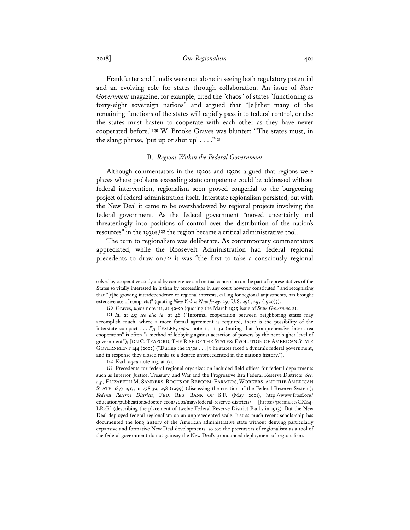2018] *Our Regionalism* 401

Frankfurter and Landis were not alone in seeing both regulatory potential and an evolving role for states through collaboration. An issue of *State Government* magazine, for example, cited the "chaos" of states "functioning as forty-eight sovereign nations" and argued that "[e]ither many of the remaining functions of the states will rapidly pass into federal control, or else the states must hasten to cooperate with each other as they have never cooperated before."**<sup>120</sup>** W. Brooke Graves was blunter: "The states must, in the slang phrase, 'put up or shut up' . . . ."**<sup>121</sup>**

#### B. *Regions Within the Federal Government*

Although commentators in the 1920s and 1930s argued that regions were places where problems exceeding state competence could be addressed without federal intervention, regionalism soon proved congenial to the burgeoning project of federal administration itself. Interstate regionalism persisted, but with the New Deal it came to be overshadowed by regional projects involving the federal government. As the federal government "moved uncertainly and threateningly into positions of control over the distribution of the nation's resources" in the 1930s,**<sup>122</sup>** the region became a critical administrative tool.

The turn to regionalism was deliberate. As contemporary commentators appreciated, while the Roosevelt Administration had federal regional precedents to draw on,**<sup>123</sup>** it was "the first to take a consciously regional

solved by cooperative study and by conference and mutual concession on the part of representatives of the States so vitally interested in it than by proceedings in any court however constituted'" and recognizing that "[t]he growing interdependence of regional interests, calling for regional adjustments, has brought extensive use of compacts)" (quoting *New York v. New Jersey*, 256 U.S. 296, 297 (1920))).

**<sup>120</sup>** Graves, *supra* note 111, at 49-50 (quoting the March 1935 issue of *State Government*).

**<sup>121</sup>** *Id.* at 45; *see also id.* at 46 ("Informal cooperation between neighboring states may accomplish much; where a more formal agreement is required, there is the possibility of the interstate compact . . . ."); FESLER, *supra* note 11, at 39 (noting that "comprehensive inter-area cooperation" is often "a method of lobbying against accretion of powers by the next higher level of government"); JON C. TEAFORD, THE RISE OF THE STATES: EVOLUTION OF AMERICAN STATE GOVERNMENT 144 (2002) ("During the 1930s . . . [t]he states faced a dynamic federal government, and in response they closed ranks to a degree unprecedented in the nation's history.").

**<sup>122</sup>** Karl, *supra* note 103, at 171.

**<sup>123</sup>** Precedents for federal regional organization included field offices for federal departments such as Interior, Justice, Treasury, and War and the Progressive Era Federal Reserve Districts. *See, e.g.,* ELIZABETH M. SANDERS, ROOTS OF REFORM: FARMERS, WORKERS, AND THE AMERICAN STATE, 1877-1917, at 238-39, 258 (1999) (discussing the creation of the Federal Reserve System); *Federal Reserve Districts*, FED. RES. BANK OF S.F. (May 2001), http://www.frbsf.org/ education/publications/doctor-econ/2001/may/federal-reserve-districts/ [https://perma.cc/CXZ4- LR2R] (describing the placement of twelve Federal Reserve District Banks in 1913). But the New Deal deployed federal regionalism on an unprecedented scale. Just as much recent scholarship has documented the long history of the American administrative state without denying particularly expansive and formative New Deal developments, so too the precursors of regionalism as a tool of the federal government do not gainsay the New Deal's pronounced deployment of regionalism.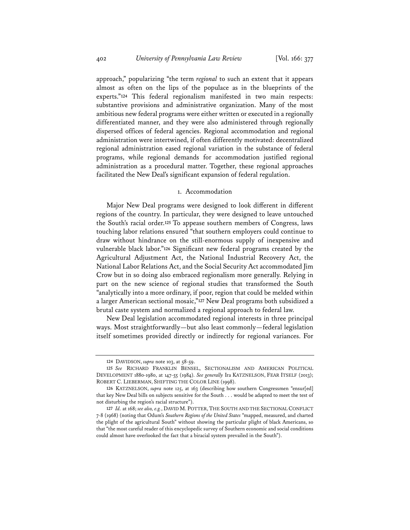approach," popularizing "the term *regional* to such an extent that it appears almost as often on the lips of the populace as in the blueprints of the experts."**<sup>124</sup>** This federal regionalism manifested in two main respects: substantive provisions and administrative organization. Many of the most ambitious new federal programs were either written or executed in a regionally differentiated manner, and they were also administered through regionally dispersed offices of federal agencies. Regional accommodation and regional administration were intertwined, if often differently motivated: decentralized regional administration eased regional variation in the substance of federal programs, while regional demands for accommodation justified regional administration as a procedural matter. Together, these regional approaches facilitated the New Deal's significant expansion of federal regulation.

#### 1. Accommodation

Major New Deal programs were designed to look different in different regions of the country. In particular, they were designed to leave untouched the South's racial order.**<sup>125</sup>** To appease southern members of Congress, laws touching labor relations ensured "that southern employers could continue to draw without hindrance on the still-enormous supply of inexpensive and vulnerable black labor."**<sup>126</sup>** Significant new federal programs created by the Agricultural Adjustment Act, the National Industrial Recovery Act, the National Labor Relations Act, and the Social Security Act accommodated Jim Crow but in so doing also embraced regionalism more generally. Relying in part on the new science of regional studies that transformed the South "analytically into a more ordinary, if poor, region that could be melded within a larger American sectional mosaic,"**<sup>127</sup>** New Deal programs both subsidized a brutal caste system and normalized a regional approach to federal law.

New Deal legislation accommodated regional interests in three principal ways. Most straightforwardly—but also least commonly—federal legislation itself sometimes provided directly or indirectly for regional variances. For

**<sup>124</sup>** DAVIDSON, *supra* note 103, at 58-59.

**<sup>125</sup>** *See* RICHARD FRANKLIN BENSEL, SECTIONALISM AND AMERICAN POLITICAL DEVELOPMENT 1880-1980, at 147-55 (1984). *See generally* Ira KATZNELSON, FEAR ITSELF (2013); ROBERT C. LIEBERMAN, SHIFTING THE COLOR LINE (1998).

**<sup>126</sup>** KATZNELSON, *supra* note 125, at 163 (describing how southern Congressmen "ensur[ed] that key New Deal bills on subjects sensitive for the South . . . would be adapted to meet the test of not disturbing the region's racial structure").

**<sup>127</sup>** *Id.* at 168; *see also, e.g.*, DAVID M. POTTER, THE SOUTH AND THE SECTIONAL CONFLICT 7-8 (1968) (noting that Odum's *Southern Regions of the United States* "mapped, measured, and charted the plight of the agricultural South" without showing the particular plight of black Americans, so that "the most careful reader of this encyclopedic survey of Southern economic and social conditions could almost have overlooked the fact that a biracial system prevailed in the South").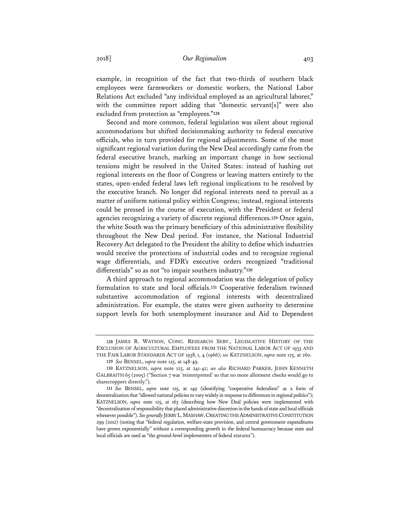example, in recognition of the fact that two-thirds of southern black employees were farmworkers or domestic workers, the National Labor Relations Act excluded "any individual employed as an agricultural laborer," with the committee report adding that "domestic servant[s]" were also excluded from protection as "employees."**<sup>128</sup>**

Second and more common, federal legislation was silent about regional accommodations but shifted decisionmaking authority to federal executive officials, who in turn provided for regional adjustments. Some of the most significant regional variation during the New Deal accordingly came from the federal executive branch, marking an important change in how sectional tensions might be resolved in the United States: instead of hashing out regional interests on the floor of Congress or leaving matters entirely to the states, open-ended federal laws left regional implications to be resolved by the executive branch. No longer did regional interests need to prevail as a matter of uniform national policy within Congress; instead, regional interests could be pressed in the course of execution, with the President or federal agencies recognizing a variety of discrete regional differences.**<sup>129</sup>** Once again, the white South was the primary beneficiary of this administrative flexibility throughout the New Deal period. For instance, the National Industrial Recovery Act delegated to the President the ability to define which industries would receive the protections of industrial codes and to recognize regional wage differentials, and FDR's executive orders recognized "traditional differentials" so as not "to impair southern industry."**<sup>130</sup>**

A third approach to regional accommodation was the delegation of policy formulation to state and local officials.**<sup>131</sup>** Cooperative federalism twinned substantive accommodation of regional interests with decentralized administration. For example, the states were given authority to determine support levels for both unemployment insurance and Aid to Dependent

**<sup>128</sup>** JAMES R. WATSON, CONG. RESEARCH SERV., LEGISLATIVE HISTORY OF THE EXCLUSION OF AGRICULTURAL EMPLOYEES FROM THE NATIONAL LABOR ACT OF 1935 AND THE FAIR LABOR STANDARDS ACT OF 1938, 1, 4 (1966); *see* KATZNELSON, *supra* note 125, at 260.

**<sup>129</sup>** *See* BENSEL, *supra* note 125, at 148-49.

**<sup>130</sup>** KATZNELSON, *supra* note 125, at 241-42; *see also* RICHARD PARKER, JOHN KENNETH GALBRAITH 65 (2005) ("Section 7 was 'reinterpreted' so that no more allotment checks would go to sharecroppers directly.").

**<sup>131</sup>** *See* BENSEL, *supra* note 125, at 149 (identifying "cooperative federalism" as a form of decentralization that "allowed national policies to vary widely in response to differences in regional politics"); KATZNELSON, *supra* note 125, at 163 (describing how New Deal policies were implemented with "decentralization of responsibility that placed administrative discretion in the hands of state and local officials whenever possible"). *See generally* JERRY L.MASHAW,CREATING THE ADMINISTRATIVE CONSTITUTION 299 (2012) (noting that "federal regulation, welfare-state provision, and central government expenditures have grown exponentially" without a corresponding growth in the federal bureaucracy because state and local officials are used as "the ground-level implementers of federal statutes").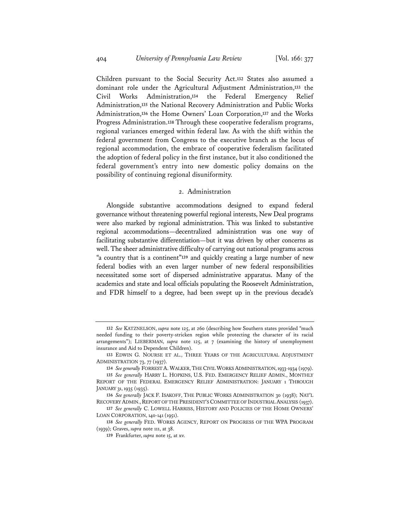Children pursuant to the Social Security Act.**<sup>132</sup>** States also assumed a dominant role under the Agricultural Adjustment Administration,**<sup>133</sup>** the Civil Works Administration,**<sup>134</sup>** the Federal Emergency Relief Administration,**<sup>135</sup>** the National Recovery Administration and Public Works Administration,**<sup>136</sup>** the Home Owners' Loan Corporation,**<sup>137</sup>** and the Works Progress Administration.**<sup>138</sup>** Through these cooperative federalism programs, regional variances emerged within federal law. As with the shift within the federal government from Congress to the executive branch as the locus of regional accommodation, the embrace of cooperative federalism facilitated the adoption of federal policy in the first instance, but it also conditioned the federal government's entry into new domestic policy domains on the possibility of continuing regional disuniformity.

#### 2. Administration

Alongside substantive accommodations designed to expand federal governance without threatening powerful regional interests, New Deal programs were also marked by regional administration. This was linked to substantive regional accommodations—decentralized administration was one way of facilitating substantive differentiation—but it was driven by other concerns as well. The sheer administrative difficulty of carrying out national programs across "a country that is a continent"**<sup>139</sup>** and quickly creating a large number of new federal bodies with an even larger number of new federal responsibilities necessitated some sort of dispersed administrative apparatus. Many of the academics and state and local officials populating the Roosevelt Administration, and FDR himself to a degree, had been swept up in the previous decade's

**<sup>132</sup>** *See* KATZNELSON, *supra* note 125, at 260 (describing how Southern states provided "much needed funding to their poverty-stricken region while protecting the character of its racial arrangements"); LIEBERMAN, *supra* note 125, at 7 (examining the history of unemployment insurance and Aid to Dependent Children).

**<sup>133</sup>** EDWIN G. NOURSE ET AL., THREE YEARS OF THE AGRICULTURAL ADJUSTMENT ADMINISTRATION 73, 77 (1937).

**<sup>134</sup>** *See generally* FORREST A. WALKER,THE CIVIL WORKS ADMINISTRATION,1933-1934 (1979).

**<sup>135</sup>** *See generally* HARRY L. HOPKINS, U.S. FED. EMERGENCY RELIEF ADMIN., MONTHLY REPORT OF THE FEDERAL EMERGENCY RELIEF ADMINISTRATION: JANUARY 1 THROUGH JANUARY 31, 1935 (1935).

**<sup>136</sup>** *See generally* JACK F. ISAKOFF, THE PUBLIC WORKS ADMINISTRATION 30 (1938); NAT'L RECOVERY ADMIN., REPORT OF THE PRESIDENT'S COMMITTEE OF INDUSTRIAL ANALYSIS (1937).

**<sup>137</sup>** *See generally* C. LOWELL HARRISS, HISTORY AND POLICIES OF THE HOME OWNERS' LOAN CORPORATION, 140-141 (1951).

**<sup>138</sup>** *See generally* FED. WORKS AGENCY, REPORT ON PROGRESS OF THE WPA PROGRAM (1939); Graves, *supra* note 111, at 38.

**<sup>139</sup>** Frankfurter, *supra* note 15, at xv.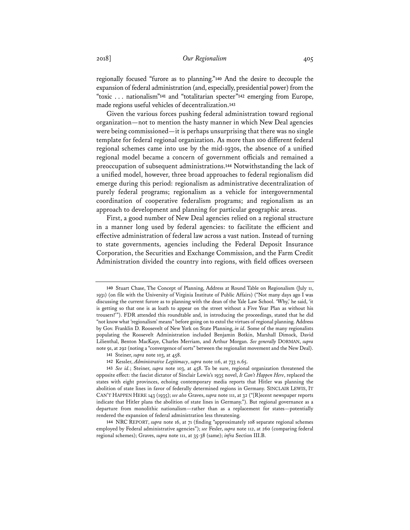regionally focused "furore as to planning."**<sup>140</sup>** And the desire to decouple the expansion of federal administration (and, especially, presidential power) from the "toxic . . . nationalism"**<sup>141</sup>** and "totalitarian specter"**<sup>142</sup>** emerging from Europe, made regions useful vehicles of decentralization.**<sup>143</sup>**

Given the various forces pushing federal administration toward regional organization—not to mention the hasty manner in which New Deal agencies were being commissioned—it is perhaps unsurprising that there was no single template for federal regional organization. As more than 100 different federal regional schemes came into use by the mid-1930s, the absence of a unified regional model became a concern of government officials and remained a preoccupation of subsequent administrations.**<sup>144</sup>** Notwithstanding the lack of a unified model, however, three broad approaches to federal regionalism did emerge during this period: regionalism as administrative decentralization of purely federal programs; regionalism as a vehicle for intergovernmental coordination of cooperative federalism programs; and regionalism as an approach to development and planning for particular geographic areas.

First, a good number of New Deal agencies relied on a regional structure in a manner long used by federal agencies: to facilitate the efficient and effective administration of federal law across a vast nation. Instead of turning to state governments, agencies including the Federal Deposit Insurance Corporation, the Securities and Exchange Commission, and the Farm Credit Administration divided the country into regions, with field offices overseen

**<sup>140</sup>** Stuart Chase, The Concept of Planning, Address at Round Table on Regionalism (July 11, 1931) (on file with the University of Virginia Institute of Public Affairs) ("Not many days ago I was discussing the current furore as to planning with the dean of the Yale Law School. 'Why,' he said, 'it is getting so that one is as loath to appear on the street without a Five Year Plan as without his trousers!'"). FDR attended this roundtable and, in introducing the proceedings, stated that he did "not know what 'regionalism' means" before going on to extol the virtues of regional planning. Address by Gov. Franklin D. Roosevelt of New York on State Planning, *in id.* Some of the many regionalists populating the Roosevelt Administration included Benjamin Botkin, Marshall Dimock, David Lilienthal, Benton MacKaye, Charles Merriam, and Arthur Morgan. *See generally* DORMAN, *supra* note 91, at 292 (noting a "convergence of sorts" between the regionalist movement and the New Deal).

**<sup>141</sup>** Steiner, *supra* note 103, at 458.

**<sup>142</sup>** Kessler, *Administrative Legitimacy*, *supra* note 116, at 733 n.65.

**<sup>143</sup>** *See id.*; Steiner, *supra* note 103, at 458. To be sure, regional organization threatened the opposite effect: the fascist dictator of Sinclair Lewis's 1935 novel, *It Can't Happen Here*, replaced the states with eight provinces, echoing contemporary media reports that Hitler was planning the abolition of state lines in favor of federally determined regions in Germany. SINCLAIR LEWIS, IT CAN'T HAPPEN HERE 143 (1935); *see also* Graves, *supra* note 111, at 32 ("[R]ecent newspaper reports indicate that Hitler plans the abolition of state lines in Germany."). But regional governance as a departure from monolithic nationalism—rather than as a replacement for states—potentially rendered the expansion of federal administration less threatening.

**<sup>144</sup>** NRC REPORT, *supra* note 16, at 71 (finding "approximately 108 separate regional schemes employed by Federal administrative agencies"); *see* Fesler, *supra* note 112, at 260 (comparing federal regional schemes); Graves, *supra* note 111, at 35-38 (same); *infra* Section III.B.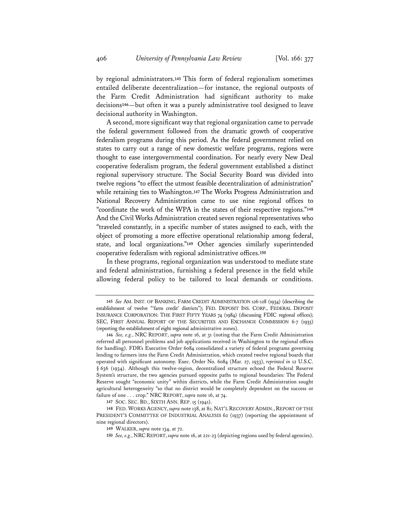by regional administrators.**<sup>145</sup>** This form of federal regionalism sometimes entailed deliberate decentralization—for instance, the regional outposts of the Farm Credit Administration had significant authority to make decisions**<sup>146</sup>**—but often it was a purely administrative tool designed to leave decisional authority in Washington.

A second, more significant way that regional organization came to pervade the federal government followed from the dramatic growth of cooperative federalism programs during this period. As the federal government relied on states to carry out a range of new domestic welfare programs, regions were thought to ease intergovernmental coordination. For nearly every New Deal cooperative federalism program, the federal government established a distinct regional supervisory structure. The Social Security Board was divided into twelve regions "to effect the utmost feasible decentralization of administration" while retaining ties to Washington.**<sup>147</sup>** The Works Progress Administration and National Recovery Administration came to use nine regional offices to "coordinate the work of the WPA in the states of their respective regions."**<sup>148</sup>** And the Civil Works Administration created seven regional representatives who "traveled constantly, in a specific number of states assigned to each, with the object of promoting a more effective operational relationship among federal, state, and local organizations."**<sup>149</sup>** Other agencies similarly superintended cooperative federalism with regional administrative offices.**<sup>150</sup>**

In these programs, regional organization was understood to mediate state and federal administration, furnishing a federal presence in the field while allowing federal policy to be tailored to local demands or conditions.

**<sup>145</sup>** *See* AM. INST. OF BANKING, FARM CREDIT ADMINISTRATION 126-128 (1934) (describing the establishment of twelve "'farm credit' districts"); FED. DEPOSIT INS. CORP., FEDERAL DEPOSIT INSURANCE CORPORATION: THE FIRST FIFTY YEARS 74 (1984) (discussing FDIC regional offices); SEC, FIRST ANNUAL REPORT OF THE SECURITIES AND EXCHANGE COMMISSION 6-7 (1935) (reporting the establishment of eight regional administrative zones).

**<sup>146</sup>** *See, e.g.*, NRC REPORT, *supra* note 16, at 31 (noting that the Farm Credit Administration referred all personnel problems and job applications received in Washington to the regional offices for handling). FDR's Executive Order 6084 consolidated a variety of federal programs governing lending to farmers into the Farm Credit Administration, which created twelve regional boards that operated with significant autonomy. Exec. Order No. 6084 (Mar. 27, 1933), *reprinted in* 12 U.S.C. § 636 (1934). Although this twelve-region, decentralized structure echoed the Federal Reserve System's structure, the two agencies pursued opposite paths to regional boundaries: The Federal Reserve sought "economic unity" within districts, while the Farm Credit Administration sought agricultural heterogeneity "so that no district would be completely dependent on the success or failure of one . . . crop." NRC REPORT, *supra* note 16, at 74.

**<sup>147</sup>** SOC. SEC. BD., SIXTH ANN. REP. 15 (1941).

**<sup>148</sup>** FED. WORKS AGENCY, *supra* note 138, at 81; NAT'L RECOVERY ADMIN., REPORT OF THE PRESIDENT'S COMMITTEE OF INDUSTRIAL ANALYSIS 62 (1937) (reporting the appointment of nine regional directors).

**<sup>149</sup>** WALKER, *supra* note 134, at 72.

**<sup>150</sup>** *See, e.g.*, NRCREPORT, *supra* note 16, at 221-23 (depicting regions used by federal agencies).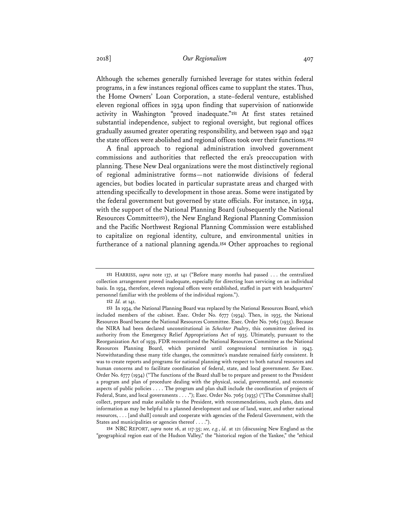Although the schemes generally furnished leverage for states within federal programs, in a few instances regional offices came to supplant the states. Thus, the Home Owners' Loan Corporation, a state–federal venture, established eleven regional offices in 1934 upon finding that supervision of nationwide activity in Washington "proved inadequate."**<sup>151</sup>** At first states retained substantial independence, subject to regional oversight, but regional offices gradually assumed greater operating responsibility, and between 1940 and 1942 the state offices were abolished and regional offices took over their functions.**<sup>152</sup>**

A final approach to regional administration involved government commissions and authorities that reflected the era's preoccupation with planning. These New Deal organizations were the most distinctively regional of regional administrative forms—not nationwide divisions of federal agencies, but bodies located in particular suprastate areas and charged with attending specifically to development in those areas. Some were instigated by the federal government but governed by state officials. For instance, in 1934, with the support of the National Planning Board (subsequently the National Resources Committee**<sup>153</sup>**), the New England Regional Planning Commission and the Pacific Northwest Regional Planning Commission were established to capitalize on regional identity, culture, and environmental unities in furtherance of a national planning agenda.**<sup>154</sup>** Other approaches to regional

**154** NRC REPORT, *supra* note 16, at 117-35; *see, e.g.*, *id.* at 121 (discussing New England as the "geographical region east of the Hudson Valley," the "historical region of the Yankee," the "ethical

**<sup>151</sup>** HARRISS, *supra* note 137, at 141 ("Before many months had passed . . . the centralized collection arrangement proved inadequate, especially for directing loan servicing on an individual basis. In 1934, therefore, eleven regional offices were established, staffed in part with headquarters' personnel familiar with the problems of the individual regions.").

**<sup>152</sup>** *Id.* at 141.

**<sup>153</sup>** In 1934, the National Planning Board was replaced by the National Resources Board, which included members of the cabinet. Exec. Order No. 6777 (1934). Then, in 1935, the National Resources Board became the National Resources Committee. Exec. Order No. 7065 (1935). Because the NIRA had been declared unconstitutional in *Schechter Poultry*, this committee derived its authority from the Emergency Relief Appropriations Act of 1935. Ultimately, pursuant to the Reorganization Act of 1939, FDR reconstituted the National Resources Committee as the National Resources Planning Board, which persisted until congressional termination in 1943. Notwithstanding these many title changes, the committee's mandate remained fairly consistent. It was to create reports and programs for national planning with respect to both natural resources and human concerns and to facilitate coordination of federal, state, and local government. *See* Exec. Order No. 6777 (1934) ("The functions of the Board shall be to prepare and present to the President a program and plan of procedure dealing with the physical, social, governmental, and economic aspects of public policies . . . . The program and plan shall include the coordination of projects of Federal, State, and local governments . . . ."); Exec. Order No. 7065 (1935) ("[The Committee shall] collect, prepare and make available to the President, with recommendations, such plans, data and information as may be helpful to a planned development and use of land, water, and other national resources, . . . [and shall] consult and cooperate with agencies of the Federal Government, with the States and municipalities or agencies thereof . . . .").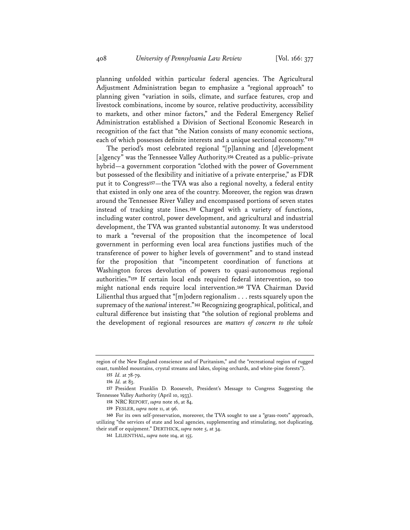planning unfolded within particular federal agencies. The Agricultural Adjustment Administration began to emphasize a "regional approach" to planning given "variation in soils, climate, and surface features, crop and livestock combinations, income by source, relative productivity, accessibility to markets, and other minor factors," and the Federal Emergency Relief Administration established a Division of Sectional Economic Research in recognition of the fact that "the Nation consists of many economic sections, each of which possesses definite interests and a unique sectional economy."**<sup>155</sup>**

The period's most celebrated regional "[p]lanning and [d]evelopment [a]gency" was the Tennessee Valley Authority.**<sup>156</sup>** Created as a public–private hybrid—a government corporation "clothed with the power of Government but possessed of the flexibility and initiative of a private enterprise," as FDR put it to Congress**<sup>157</sup>**—the TVA was also a regional novelty, a federal entity that existed in only one area of the country. Moreover, the region was drawn around the Tennessee River Valley and encompassed portions of seven states instead of tracking state lines.**<sup>158</sup>** Charged with a variety of functions, including water control, power development, and agricultural and industrial development, the TVA was granted substantial autonomy. It was understood to mark a "reversal of the proposition that the incompetence of local government in performing even local area functions justifies much of the transference of power to higher levels of government" and to stand instead for the proposition that "incompetent coordination of functions at Washington forces devolution of powers to quasi-autonomous regional authorities."**<sup>159</sup>** If certain local ends required federal intervention, so too might national ends require local intervention.**<sup>160</sup>** TVA Chairman David Lilienthal thus argued that "[m]odern regionalism . . . rests squarely upon the supremacy of the *national* interest."**<sup>161</sup>** Recognizing geographical, political, and cultural difference but insisting that "the solution of regional problems and the development of regional resources are *matters of concern to the whole* 

region of the New England conscience and of Puritanism," and the "recreational region of rugged coast, tumbled mountains, crystal streams and lakes, sloping orchards, and white-pine forests").

**<sup>155</sup>** *Id.* at 78-79.

**<sup>156</sup>** *Id.* at 83.

**<sup>157</sup>** President Franklin D. Roosevelt, President's Message to Congress Suggesting the Tennessee Valley Authority (April 10, 1933).

**<sup>158</sup>** NRC REPORT, *supra* note 16, at 84.

**<sup>159</sup>** FESLER, *supra* note 11, at 96.

**<sup>160</sup>** For its own self-preservation, moreover, the TVA sought to use a "grass-roots" approach, utilizing "the services of state and local agencies, supplementing and stimulating, not duplicating, their staff or equipment." DERTHICK, *supra* note 5, at 34.

**<sup>161</sup>** LILIENTHAL, *supra* note 104, at 155.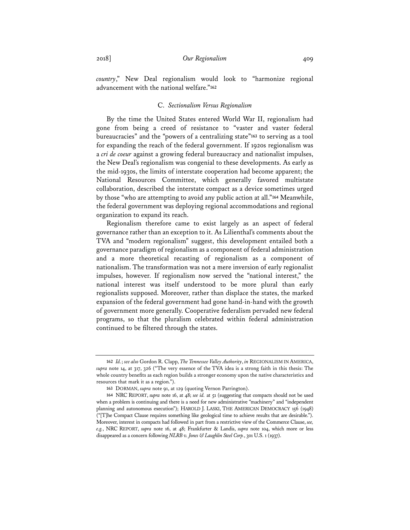*country*," New Deal regionalism would look to "harmonize regional advancement with the national welfare."**<sup>162</sup>**

#### C. *Sectionalism Versus Regionalism*

By the time the United States entered World War II, regionalism had gone from being a creed of resistance to "vaster and vaster federal bureaucracies" and the "powers of a centralizing state"**<sup>163</sup>** to serving as a tool for expanding the reach of the federal government. If 1920s regionalism was a *cri de coeur* against a growing federal bureaucracy and nationalist impulses, the New Deal's regionalism was congenial to these developments. As early as the mid-1930s, the limits of interstate cooperation had become apparent; the National Resources Committee, which generally favored multistate collaboration, described the interstate compact as a device sometimes urged by those "who are attempting to avoid any public action at all."**<sup>164</sup>** Meanwhile, the federal government was deploying regional accommodations and regional organization to expand its reach.

Regionalism therefore came to exist largely as an aspect of federal governance rather than an exception to it. As Lilienthal's comments about the TVA and "modern regionalism" suggest, this development entailed both a governance paradigm of regionalism as a component of federal administration and a more theoretical recasting of regionalism as a component of nationalism. The transformation was not a mere inversion of early regionalist impulses, however. If regionalism now served the "national interest," the national interest was itself understood to be more plural than early regionalists supposed. Moreover, rather than displace the states, the marked expansion of the federal government had gone hand-in-hand with the growth of government more generally. Cooperative federalism pervaded new federal programs, so that the pluralism celebrated within federal administration continued to be filtered through the states.

**<sup>162</sup>** *Id.*; *see also* Gordon R. Clapp, *The Tennessee Valley Authority*, *in* REGIONALISM IN AMERICA, *supra* note 14, at 317, 326 ("The very essence of the TVA idea is a strong faith in this thesis: The whole country benefits as each region builds a stronger economy upon the native characteristics and resources that mark it as a region.").

**<sup>163</sup>** DORMAN, *supra* note 91, at 129 (quoting Vernon Parrington).

**<sup>164</sup>** NRC REPORT, *supra* note 16, at 48; *see id.* at 51 (suggesting that compacts should not be used when a problem is continuing and there is a need for new administrative "machinery" and "independent planning and autonomous execution"); HAROLD J. LASKI, THE AMERICAN DEMOCRACY 156 (1948) ("[T]he Compact Clause requires something like geological time to achieve results that are desirable."). Moreover, interest in compacts had followed in part from a restrictive view of the Commerce Clause, *see, e.g.*, NRC REPORT, *supra* note 16, at 48; Frankfurter & Landis, *supra* note 104, which more or less disappeared as a concern following *NLRB v. Jones & Laughlin Steel Corp.*, 301 U.S. 1 (1937).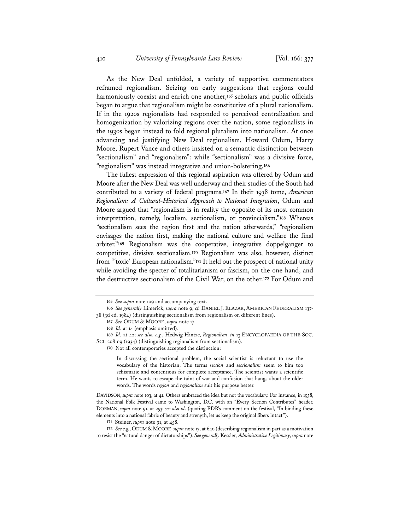As the New Deal unfolded, a variety of supportive commentators reframed regionalism. Seizing on early suggestions that regions could harmoniously coexist and enrich one another,**<sup>165</sup>** scholars and public officials began to argue that regionalism might be constitutive of a plural nationalism. If in the 1920s regionalists had responded to perceived centralization and homogenization by valorizing regions over the nation, some regionalists in the 1930s began instead to fold regional pluralism into nationalism. At once advancing and justifying New Deal regionalism, Howard Odum, Harry Moore, Rupert Vance and others insisted on a semantic distinction between "sectionalism" and "regionalism": while "sectionalism" was a divisive force, "regionalism" was instead integrative and union-bolstering.**<sup>166</sup>**

The fullest expression of this regional aspiration was offered by Odum and Moore after the New Deal was well underway and their studies of the South had contributed to a variety of federal programs.**<sup>167</sup>** In their 1938 tome, *American Regionalism: A Cultural-Historical Approach to National Integration*, Odum and Moore argued that "regionalism is in reality the opposite of its most common interpretation, namely, localism, sectionalism, or provincialism."**<sup>168</sup>** Whereas "sectionalism sees the region first and the nation afterwards," "regionalism envisages the nation first, making the national culture and welfare the final arbiter."**<sup>169</sup>** Regionalism was the cooperative, integrative doppelganger to competitive, divisive sectionalism.**<sup>170</sup>** Regionalism was also, however, distinct from "'toxic' European nationalism."**<sup>171</sup>** It held out the prospect of national unity while avoiding the specter of totalitarianism or fascism, on the one hand, and the destructive sectionalism of the Civil War, on the other.**<sup>172</sup>** For Odum and

In discussing the sectional problem, the social scientist is reluctant to use the vocabulary of the historian. The terms *section* and *sectionalism* seem to him too schismatic and contentious for complete acceptance. The scientist wants a scientific term. He wants to escape the taint of war and confusion that hangs about the older words. The words *region* and *regionalism* suit his purpose better.

DAVIDSON, *supra* note 103, at 41. Others embraced the idea but not the vocabulary. For instance, in 1938, the National Folk Festival came to Washington, D.C. with an "Every Section Contributes" header. DORMAN, *supra* note 91, at 253; *see also id*. (quoting FDR's comment on the festival, "In binding these elements into a national fabric of beauty and strength, let us keep the original fibers intact").

**171** Steiner, *supra* note 91, at 458.

172 *See e.g.*, ODUM & MOORE, *supra* note 17, at 640 (describing regionalism in part as a motivation to resist the "natural danger of dictatorships"). *See generally* Kessler, *Administrative Legitimacy*, *supra* note

**<sup>165</sup>** *See supra* note 109 and accompanying text.

**<sup>166</sup>** *See generally* Limerick, *supra* note 9; *cf.* DANIEL J. ELAZAR, AMERICAN FEDERALISM 137- 38 (3d ed. 1984) (distinguishing sectionalism from regionalism on different lines).

**<sup>167</sup>** *See* ODUM & MOORE, *supra* note 17.

**<sup>168</sup>** *Id.* at 14 (emphasis omitted).

**<sup>169</sup>** *Id.* at 42; *see also, e.g.*, Hedwig Hintze, *Regionalism*, *in* 13 ENCYCLOPAEDIA OF THE SOC. SCI. 208-09 (1934) (distinguishing regionalism from sectionalism).

**<sup>170</sup>** Not all contemporaries accepted the distinction: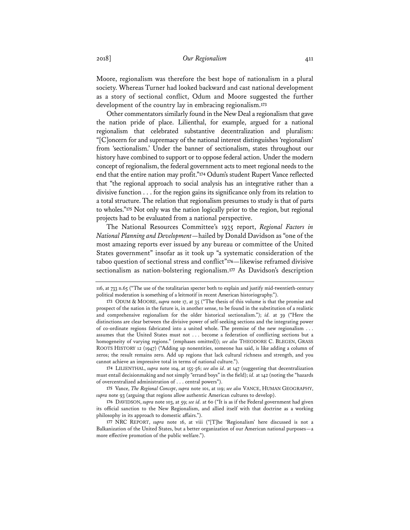Moore, regionalism was therefore the best hope of nationalism in a plural society. Whereas Turner had looked backward and cast national development as a story of sectional conflict, Odum and Moore suggested the further development of the country lay in embracing regionalism.**<sup>173</sup>**

Other commentators similarly found in the New Deal a regionalism that gave the nation pride of place. Lilienthal, for example, argued for a national regionalism that celebrated substantive decentralization and pluralism: "[C]oncern for and supremacy of the national interest distinguishes 'regionalism' from 'sectionalism.' Under the banner of sectionalism, states throughout our history have combined to support or to oppose federal action. Under the modern concept of regionalism, the federal government acts to meet regional needs to the end that the entire nation may profit."**<sup>174</sup>** Odum's student Rupert Vance reflected that "the regional approach to social analysis has an integrative rather than a divisive function . . . for the region gains its significance only from its relation to a total structure. The relation that regionalism presumes to study is that of parts to wholes."**<sup>175</sup>** Not only was the nation logically prior to the region, but regional projects had to be evaluated from a national perspective.

The National Resources Committee's 1935 report, *Regional Factors in National Planning and Development*—hailed by Donald Davidson as "one of the most amazing reports ever issued by any bureau or committee of the United States government" insofar as it took up "a systematic consideration of the taboo question of sectional stress and conflict"**<sup>176</sup>**—likewise reframed divisive sectionalism as nation-bolstering regionalism.**<sup>177</sup>** As Davidson's description

<sup>116,</sup> at 733 n.65 ("The use of the totalitarian specter both to explain and justify mid-twentieth-century political moderation is something of a leitmotif in recent American historiography.").

**<sup>173</sup>** ODUM & MOORE, *supra* note 17, at 35 ("The thesis of this volume is that the promise and prospect of the nation in the future is, in another sense, to be found in the substitution of a realistic and comprehensive regionalism for the older historical sectionalism."); *id.* at 39 ("Here the distinctions are clear between the divisive power of self-seeking sections and the integrating power of co-ordinate regions fabricated into a united whole. The premise of the new regionalism . . . assumes that the United States must not . . . become a federation of conflicting sections but a homogeneity of varying regions." (emphases omitted)); *see also* THEODORE C. BLEGEN, GRASS ROOTS HISTORY 12 (1947) ("Adding up nonentities, someone has said, is like adding a column of zeros; the result remains zero. Add up regions that lack cultural richness and strength, and you cannot achieve an impressive total in terms of national culture.").

**<sup>174</sup>** LILIENTHAL, *supra* note 104, at 155-56; *see also id*. at 147 (suggesting that decentralization must entail decisionmaking and not simply "errand boys" in the field); *id.* at 142 (noting the "hazards of overcentralized administration of . . . central powers").

**<sup>175</sup>** Vance, *The Regional Concept*, *supra* note 101, at 119; *see also* VANCE, HUMAN GEOGRAPHY, *supra* note 93 (arguing that regions allow authentic American cultures to develop).

**<sup>176</sup>** DAVIDSON, *supra* note 103, at 59; *see id.* at 60 ("It is as if the Federal government had given its official sanction to the New Regionalism, and allied itself with that doctrine as a working philosophy in its approach to domestic affairs.").

**<sup>177</sup>** NRC REPORT, *supra* note 16, at viii ("[T]he 'Regionalism' here discussed is not a Balkanization of the United States, but a better organization of our American national purposes—a more effective promotion of the public welfare.").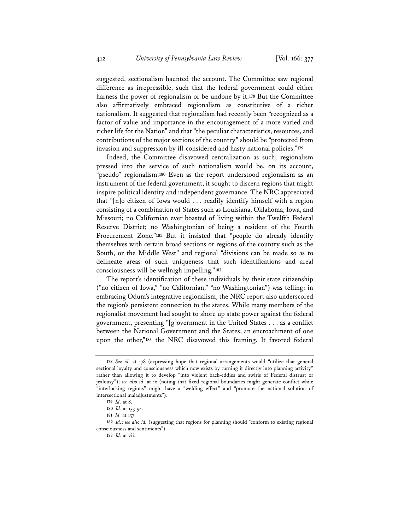suggested, sectionalism haunted the account. The Committee saw regional difference as irrepressible, such that the federal government could either harness the power of regionalism or be undone by it.**<sup>178</sup>** But the Committee also affirmatively embraced regionalism as constitutive of a richer nationalism. It suggested that regionalism had recently been "recognized as a factor of value and importance in the encouragement of a more varied and richer life for the Nation" and that "the peculiar characteristics, resources, and contributions of the major sections of the country" should be "protected from invasion and suppression by ill-considered and hasty national policies."**<sup>179</sup>**

Indeed, the Committee disavowed centralization as such; regionalism pressed into the service of such nationalism would be, on its account, "pseudo" regionalism.**<sup>180</sup>** Even as the report understood regionalism as an instrument of the federal government, it sought to discern regions that might inspire political identity and independent governance. The NRC appreciated that "[n]o citizen of Iowa would . . . readily identify himself with a region consisting of a combination of States such as Louisiana, Oklahoma, Iowa, and Missouri; no Californian ever boasted of living within the Twelfth Federal Reserve District; no Washingtonian of being a resident of the Fourth Procurement Zone."**<sup>181</sup>** But it insisted that "people do already identify themselves with certain broad sections or regions of the country such as the South, or the Middle West" and regional "divisions can be made so as to delineate areas of such uniqueness that such identifications and areal consciousness will be wellnigh impelling."**<sup>182</sup>**

The report's identification of these individuals by their state citizenship ("no citizen of Iowa," "no Californian," "no Washingtonian") was telling: in embracing Odum's integrative regionalism, the NRC report also underscored the region's persistent connection to the states. While many members of the regionalist movement had sought to shore up state power against the federal government, presenting "[g]overnment in the United States . . . as a conflict between the National Government and the States, an encroachment of one upon the other,"**<sup>183</sup>** the NRC disavowed this framing. It favored federal

**<sup>178</sup>** *See id.* at 178 (expressing hope that regional arrangements would "utilize that general sectional loyalty and consciousness which now exists by turning it directly into planning activity" rather than allowing it to develop "into violent back-eddies and swirls of Federal distrust or jealousy"); *see also id*. at ix (noting that fixed regional boundaries might generate conflict while "interlocking regions" might have a "welding effect" and "promote the national solution of intersectional maladjustments").

**<sup>179</sup>** *Id.* at 8.

**<sup>180</sup>** *Id.* at 153-54.

**<sup>181</sup>** *Id.* at 157.

**<sup>182</sup>** *Id.*; *see also id.* (suggesting that regions for planning should "conform to existing regional consciousness and sentiments").

**<sup>183</sup>** *Id.* at vii.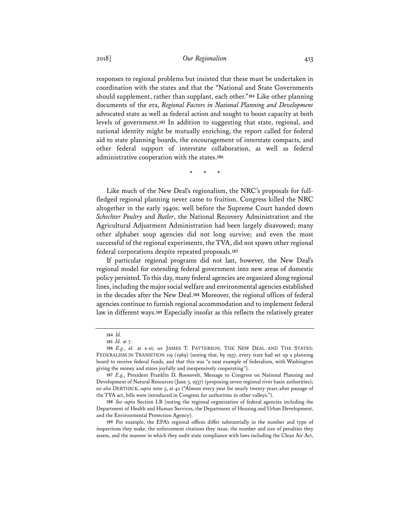responses to regional problems but insisted that these must be undertaken in coordination with the states and that the "National and State Governments should supplement, rather than supplant, each other."**<sup>184</sup>** Like other planning documents of the era, *Regional Factors in National Planning and Development* advocated state as well as federal action and sought to boost capacity at both levels of government.**<sup>185</sup>** In addition to suggesting that state, regional, and national identity might be mutually enriching, the report called for federal aid to state planning boards, the encouragement of interstate compacts, and other federal support of interstate collaboration, as well as federal administrative cooperation with the states.**<sup>186</sup>**

\* \* \*

Like much of the New Deal's regionalism, the NRC's proposals for fullfledged regional planning never came to fruition. Congress killed the NRC altogether in the early 1940s; well before the Supreme Court handed down *Schechter Poultry* and *Butler*, the National Recovery Administration and the Agricultural Adjustment Administration had been largely disavowed; many other alphabet soup agencies did not long survive; and even the most successful of the regional experiments, the TVA, did not spawn other regional federal corporations despite repeated proposals.**<sup>187</sup>**

If particular regional programs did not last, however, the New Deal's regional model for extending federal government into new areas of domestic policy persisted. To this day, many federal agencies are organized along regional lines, including the major social welfare and environmental agencies established in the decades after the New Deal.**<sup>188</sup>** Moreover, the regional offices of federal agencies continue to furnish regional accommodation and to implement federal law in different ways.**<sup>189</sup>** Especially insofar as this reflects the relatively greater

**<sup>184</sup>** *Id.*

**<sup>185</sup>** *Id.* at 7.

**<sup>186</sup>** *E.g.*, *id.* at x-xi; *see* JAMES T. PATTERSON, THE NEW DEAL AND THE STATES: FEDERALISM IN TRANSITION 119 (1969) (noting that, by 1937, every state had set up a planning board to receive federal funds, and that this was "a neat example of federalism, with Washington giving the money and states joyfully and inexpensively cooperating").

**<sup>187</sup>** *E.g.*, President Franklin D. Roosevelt, Message to Congress on National Planning and Development of Natural Resources (June 3, 1937) (proposing seven regional river basin authorities); *see also* DERTHICK, *supra* note 5, at 42 ("Almost every year for nearly twenty years after passage of the TVA act, bills were introduced in Congress for authorities in other valleys.").

**<sup>188</sup>** *See supra* Section I.B (noting the regional organization of federal agencies including the Department of Health and Human Services, the Department of Housing and Urban Development, and the Environmental Protection Agency).

**<sup>189</sup>** For example, the EPA's regional offices differ substantially in the number and type of inspections they make, the enforcement citations they issue, the number and size of penalties they assess, and the manner in which they audit state compliance with laws including the Clean Air Act,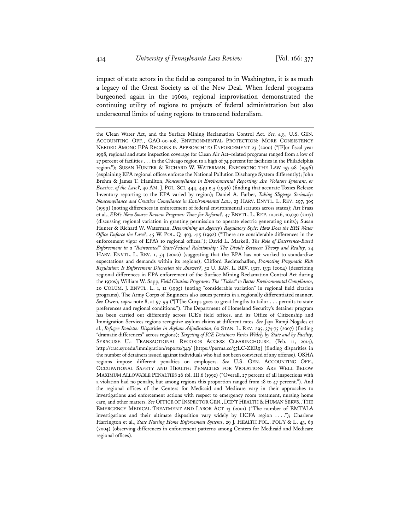impact of state actors in the field as compared to in Washington, it is as much a legacy of the Great Society as of the New Deal. When federal programs burgeoned again in the 1960s, regional improvisation demonstrated the continuing utility of regions to projects of federal administration but also underscored limits of using regions to transcend federalism.

the Clean Water Act, and the Surface Mining Reclamation Control Act. *See, e.g.*, U.S. GEN. ACCOUNTING OFF., GAO-00-108, ENVIRONMENTAL PROTECTION: MORE CONSISTENCY NEEDED AMONG EPA REGIONS IN APPROACH TO ENFORCEMENT 23 (2000) ("[F]or fiscal year 1998, regional and state inspection coverage for Clean Air Act–related programs ranged from a low of 27 percent of facilities . . . in the Chicago region to a high of 74 percent for facilities in the Philadelphia region."); SUSAN HUNTER & RICHARD W. WATERMAN, ENFORCING THE LAW 157-98 (1996) (explaining EPA regional offices enforce the National Pollution Discharge System differently); John Brehm & James T. Hamilton, *Noncompliance in Environmental Reporting: Are Violators Ignorant, or Evasive, of the Law?*, 40 AM. J. POL. SCI. 444, 449 n.5 (1996) (finding that accurate Toxics Release Inventory reporting to the EPA varied by region); Daniel A. Farber, *Taking Slippage Seriously: Noncompliance and Creative Compliance in Environmental Law*, 23 HARV. ENVTL. L. REV. 297, 305 (1999) (noting differences in enforcement of federal environmental statutes across states); Art Fraas et al., *EPA's New Source Review Program: Time for Reform?*, 47 ENVTL. L. REP. 10,026, 10,030 (2017) (discussing regional variation in granting permission to operate electric generating units); Susan Hunter & Richard W. Waterman, *Determining an Agency's Regulatory Style: How Does the EPA Water Office Enforce the Law?*, 45 W. POL. Q. 403, 415 (1992) ("There are considerable differences in the enforcement vigor of EPA's 10 regional offices."); David L. Markell, *The Role of Deterrence-Based Enforcement in a "Reinvented" State/Federal Relationship: The Divide Between Theory and Reality*, 24 HARV. ENVTL. L. REV. 1, 54 (2000) (suggesting that the EPA has not worked to standardize expectations and demands within its regions); Clifford Rechtschaffen, *Promoting Pragmatic Risk Regulation: Is Enforcement Discretion the Answer?*, 52 U. KAN. L. REV. 1327, 1331 (2004) (describing regional differences in EPA enforcement of the Surface Mining Reclamation Control Act during the 1970s); William W. Sapp, *Field Citation Programs: The "Ticket" to Better Environmental Compliance*, 20 COLUM. J. ENVTL. L. 1, 12 (1995) (noting "considerable variation" in regional field citation programs). The Army Corps of Engineers also issues permits in a regionally differentiated manner. *See* Owen, *supra* note 8, at 97-99 ("[T]he Corps goes to great lengths to tailor . . . permits to state preferences and regional conditions."). The Department of Homeland Security's detainer program has been carried out differently across ICE's field offices, and its Office of Citizenship and Immigration Services regions recognize asylum claims at different rates. *See* Jaya Ramji-Nogales et al., *Refugee Roulette: Disparities in Asylum Adjudication*, 60 STAN. L. REV. 295, 374-75 (2007) (finding "dramatic differences" across regions); *Targeting of ICE Detainers Varies Widely by State and by Facility*, SYRACUSE U.: TRANSACTIONAL RECORDS ACCESS CLEARINGHOUSE, (Feb. 11, 2014), http://trac.syr.edu/immigration/reports/343/ [https://perma.cc/55LC-ZER9] (finding disparities in the number of detainers issued against individuals who had not been convicted of any offense). OSHA regions impose different penalties on employers. *See* U.S. GEN. ACCOUNTING OFF., OCCUPATIONAL SAFETY AND HEALTH: PENALTIES FOR VIOLATIONS ARE WELL BELOW MAXIMUM ALLOWABLE PENALTIES 26 tbl. III.6 (1992) ("Overall, 27 percent of all inspections with a violation had no penalty, but among regions this proportion ranged from 18 to 47 percent."). And the regional offices of the Centers for Medicaid and Medicare vary in their approaches to investigations and enforcement actions with respect to emergency room treatment, nursing home care, and other matters. *See* OFFICE OF INSPECTOR GEN., DEP'T HEALTH & HUMAN SERVS.,THE EMERGENCY MEDICAL TREATMENT AND LABOR ACT 13 (2001) ("The number of EMTALA investigations and their ultimate disposition vary widely by HCFA region . . . ."); Charlene Harrington et al., *State Nursing Home Enforcement Systems*, 29 J. HEALTH POL., POL'Y & L. 43, 69 (2004) (observing differences in enforcement patterns among Centers for Medicaid and Medicare regional offices).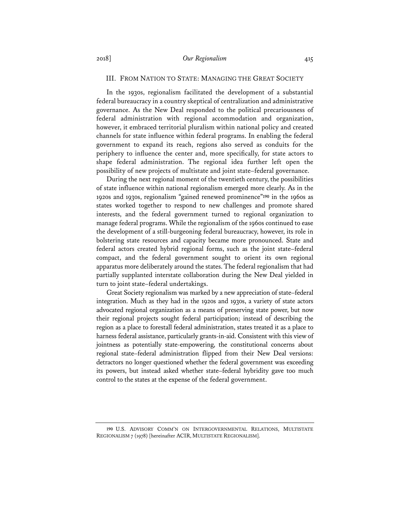## III. FROM NATION TO STATE: MANAGING THE GREAT SOCIETY

In the 1930s, regionalism facilitated the development of a substantial federal bureaucracy in a country skeptical of centralization and administrative governance. As the New Deal responded to the political precariousness of federal administration with regional accommodation and organization, however, it embraced territorial pluralism within national policy and created channels for state influence within federal programs. In enabling the federal government to expand its reach, regions also served as conduits for the periphery to influence the center and, more specifically, for state actors to shape federal administration. The regional idea further left open the possibility of new projects of multistate and joint state–federal governance.

During the next regional moment of the twentieth century, the possibilities of state influence within national regionalism emerged more clearly. As in the 1920s and 1930s, regionalism "gained renewed prominence"**<sup>190</sup>** in the 1960s as states worked together to respond to new challenges and promote shared interests, and the federal government turned to regional organization to manage federal programs. While the regionalism of the 1960s continued to ease the development of a still-burgeoning federal bureaucracy, however, its role in bolstering state resources and capacity became more pronounced. State and federal actors created hybrid regional forms, such as the joint state–federal compact, and the federal government sought to orient its own regional apparatus more deliberately around the states. The federal regionalism that had partially supplanted interstate collaboration during the New Deal yielded in turn to joint state–federal undertakings.

Great Society regionalism was marked by a new appreciation of state–federal integration. Much as they had in the 1920s and 1930s, a variety of state actors advocated regional organization as a means of preserving state power, but now their regional projects sought federal participation; instead of describing the region as a place to forestall federal administration, states treated it as a place to harness federal assistance, particularly grants-in-aid. Consistent with this view of jointness as potentially state-empowering, the constitutional concerns about regional state–federal administration flipped from their New Deal versions: detractors no longer questioned whether the federal government was exceeding its powers, but instead asked whether state–federal hybridity gave too much control to the states at the expense of the federal government.

**<sup>190</sup>** U.S. ADVISORY COMM'N ON INTERGOVERNMENTAL RELATIONS, MULTISTATE REGIONALISM 7 (1978) [hereinafter ACIR, MULTISTATE REGIONALISM].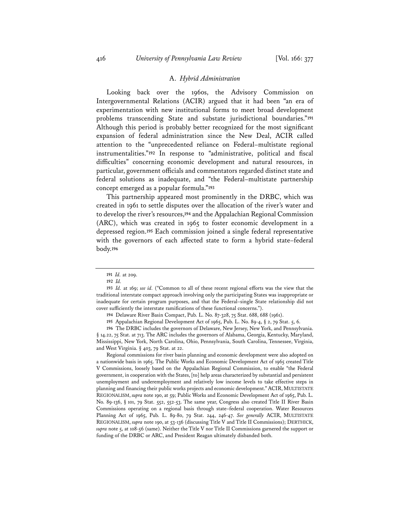#### A. *Hybrid Administration*

Looking back over the 1960s, the Advisory Commission on Intergovernmental Relations (ACIR) argued that it had been "an era of experimentation with new institutional forms to meet broad development problems transcending State and substate jurisdictional boundaries."**<sup>191</sup>** Although this period is probably better recognized for the most significant expansion of federal administration since the New Deal, ACIR called attention to the "unprecedented reliance on Federal–multistate regional instrumentalities."**<sup>192</sup>** In response to "administrative, political and fiscal difficulties" concerning economic development and natural resources, in particular, government officials and commentators regarded distinct state and federal solutions as inadequate, and "the Federal–multistate partnership concept emerged as a popular formula."**<sup>193</sup>**

This partnership appeared most prominently in the DRBC, which was created in 1961 to settle disputes over the allocation of the river's water and to develop the river's resources,**<sup>194</sup>** and the Appalachian Regional Commission (ARC), which was created in 1965 to foster economic development in a depressed region.**<sup>195</sup>** Each commission joined a single federal representative with the governors of each affected state to form a hybrid state–federal body.**<sup>196</sup>**

Regional commissions for river basin planning and economic development were also adopted on a nationwide basis in 1965. The Public Works and Economic Development Act of 1965 created Title V Commissions, loosely based on the Appalachian Regional Commission, to enable "the Federal government, in cooperation with the States, [to] help areas characterized by substantial and persistent unemployment and underemployment and relatively low income levels to take effective steps in planning and financing their public works projects and economic development."ACIR, MULTISTATE REGIONALISM, *supra* note 190, at 59; Public Works and Economic Development Act of 1965, Pub. L. No. 89-136, § 101, 79 Stat. 552, 552-53. The same year, Congress also created Title II River Basin Commissions operating on a regional basis through state–federal cooperation. Water Resources Planning Act of 1965, Pub. L. 89-80, 79 Stat. 244, 246-47. *See generally* ACIR, MULTISTATE REGIONALISM, *supra* note 190, at 53-136 (discussing Title V and Title II Commissions); DERTHICK, *supra* note 5, at 108-56 (same). Neither the Title V nor Title II Commissions garnered the support or funding of the DRBC or ARC, and President Reagan ultimately disbanded both.

**<sup>191</sup>** *Id.* at 209.

**<sup>192</sup>** *Id.*

**<sup>193</sup>** *Id.* at 169; *see id.* ("Common to all of these recent regional efforts was the view that the traditional interstate compact approach involving only the participating States was inappropriate or inadequate for certain program purposes, and that the Federal–single State relationship did not cover sufficiently the interstate ramifications of these functional concerns.").

**<sup>194</sup>** Delaware River Basin Compact, Pub. L. No. 87-328, 75 Stat. 688, 688 (1961).

**<sup>195</sup>** Appalachian Regional Development Act of 1965, Pub. L. No. 89-4, § 2, 79 Stat. 5, 6.

**<sup>196</sup>** The DRBC includes the governors of Delaware, New Jersey, New York, and Pennsylvania. § 14.22, 75 Stat. at 713. The ARC includes the governors of Alabama, Georgia, Kentucky, Maryland, Mississippi, New York, North Carolina, Ohio, Pennsylvania, South Carolina, Tennessee, Virginia, and West Virginia. § 403, 79 Stat. at 22.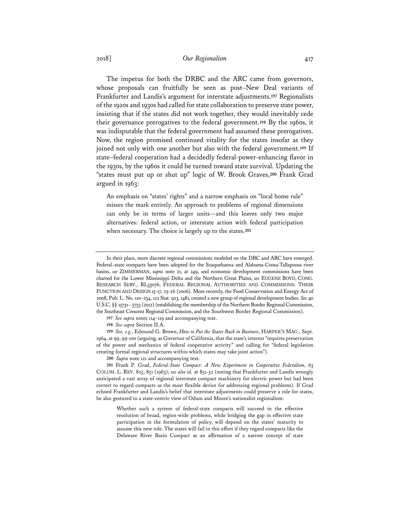## 2018] *Our Regionalism* 417

The impetus for both the DRBC and the ARC came from governors, whose proposals can fruitfully be seen as post–New Deal variants of Frankfurter and Landis's argument for interstate adjustments.**<sup>197</sup>** Regionalists of the 1920s and 1930s had called for state collaboration to preserve state power, insisting that if the states did not work together, they would inevitably cede their governance prerogatives to the federal government.**<sup>198</sup>** By the 1960s, it was indisputable that the federal government had assumed these prerogatives. Now, the region promised continued vitality for the states insofar as they joined not only with one another but also with the federal government.**<sup>199</sup>** If state–federal cooperation had a decidedly federal-power-enhancing flavor in the 1930s, by the 1960s it could be turned toward state survival. Updating the "states must put up or shut up" logic of W. Brook Graves,**<sup>200</sup>** Frank Grad argued in 1963:

An emphasis on "states' rights" and a narrow emphasis on "local home rule" misses the mark entirely. An approach to problems of regional dimensions can only be in terms of larger units—and this leaves only two major alternatives: federal action, or interstate action with federal participation when necessary. The choice is largely up to the states.**<sup>201</sup>**

- **197** *See supra* notes 114–119 and accompanying text.
- **198** *See supra* Section II.A.

**199** *See, e.g.*, Edmund G. Brown, *How to Put the States Back in Business*, HARPER'S MAG., Sept. 1964, at 99, 99-100 (arguing, as Governor of California, that the state's interest "requires preservation of the power and mechanics of federal cooperative activity" and calling for "federal legislation creating formal regional structures within which states may take joint action").

**200** *Supra* note 121 and accompanying text.

**201** Frank P. Grad, *Federal-State Compact: A New Experiment in Cooperative Federalism*, 63 COLUM. L. REV. 825, 851 (1963); *see also id.* at 851-52 (noting that Frankfurter and Landis wrongly anticipated a vast array of regional interstate compact machinery for electric power but had been correct to regard compacts as the most flexible device for addressing regional problems). If Grad echoed Frankfurter and Landis's belief that interstate adjustments could preserve a role for states, he also gestured to a state-centric view of Odum and Moore's nationalist regionalism:

Whether such a system of federal-state compacts will succeed in the effective resolution of broad, region-wide problems, while bridging the gap in effective state participation in the formulation of policy, will depend on the states' maturity to assume this new role. The states will fail in this effort if they regard compacts like the Delaware River Basin Compact as an affirmation of a narrow concept of state

In their place, more discrete regional commissions modeled on the DRC and ARC have emerged. Federal–state compacts have been adopted for the Susquehanna and Alabama-Coosa-Tallapoosa river basins, *see* ZIMMERMAN, *supra* note 21, at 249, and economic development commissions have been charted for the Lower Mississippi Delta and the Northern Great Plains, *see* EUGENE BOYD, CONG. RESEARCH SERV., RL33076, FEDERAL REGIONAL AUTHORITIES AND COMMISSIONS: THEIR FUNCTION AND DESIGN 15-17, 25-26 (2006). More recently, the Food Conservation and Energy Act of 2008, Pub. L. No. 110–234, 122 Stat. 923, 1481, created a new group of regional development bodies. *See* 40 U.S.C. §§ 15731- 5733 (2012) (establishing the membership of the Northern Border Regional Commission, the Southeast Crescent Regional Commission, and the Southwest Border Regional Commission).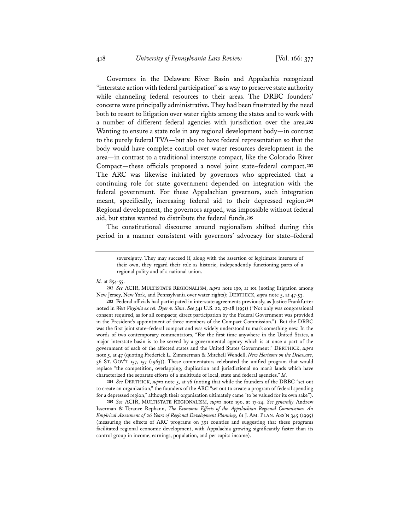Governors in the Delaware River Basin and Appalachia recognized "interstate action with federal participation" as a way to preserve state authority while channeling federal resources to their areas. The DRBC founders' concerns were principally administrative. They had been frustrated by the need both to resort to litigation over water rights among the states and to work with a number of different federal agencies with jurisdiction over the area.**<sup>202</sup>** Wanting to ensure a state role in any regional development body—in contrast to the purely federal TVA—but also to have federal representation so that the body would have complete control over water resources development in the area—in contrast to a traditional interstate compact, like the Colorado River Compact—these officials proposed a novel joint state–federal compact.**<sup>203</sup>** The ARC was likewise initiated by governors who appreciated that a continuing role for state government depended on integration with the federal government. For these Appalachian governors, such integration meant, specifically, increasing federal aid to their depressed region.**<sup>204</sup>** Regional development, the governors argued, was impossible without federal aid, but states wanted to distribute the federal funds.**<sup>205</sup>**

The constitutional discourse around regionalism shifted during this period in a manner consistent with governors' advocacy for state–federal

#### *Id.* at 854-55.

**202** *See* ACIR, MULTISTATE REGIONALISM, *supra* note 190, at 101 (noting litigation among New Jersey, New York, and Pennsylvania over water rights); DERTHICK, *supra* note 5, at 47-53.

**203** Federal officials had participated in interstate agreements previously, as Justice Frankfurter noted in *West Virginia ex rel. Dyer v. Sims*. *See* 341 U.S. 22, 27-28 (1951) ("Not only was congressional consent required, as for all compacts; direct participation by the Federal Government was provided in the President's appointment of three members of the Compact Commission."). But the DRBC was the first joint state–federal compact and was widely understood to mark something new. In the words of two contemporary commentators, "For the first time anywhere in the United States, a major interstate basin is to be served by a governmental agency which is at once a part of the government of each of the affected states and the United States Government." DERTHICK, *supra* note 5, at 47 (quoting Frederick L. Zimmerman & Mitchell Wendell, *New Horizons on the Delaware*, 36 ST. GOV'T 157, 157 (1963)). These commentators celebrated the unified program that would replace "the competition, overlapping, duplication and jurisdictional no man's lands which have characterized the separate efforts of a multitude of local, state and federal agencies." *Id.*

**204** *See* DERTHICK, *supra* note 5, at 76 (noting that while the founders of the DRBC "set out to create an organization," the founders of the ARC "set out to create a program of federal spending for a depressed region," although their organization ultimately came "to be valued for its own sake").

**205** *See* ACIR, MULTISTATE REGIONALISM, *supra* note 190, at 17-24. *See generally* Andrew Isserman & Terance Rephann, *The Economic Effects of the Appalachian Regional Commission: An Empirical Assessment of 26 Years of Regional Development Planning*, 61 J. AM. PLAN. ASS'N 345 (1995) (measuring the effects of ARC programs on 391 counties and suggesting that these programs facilitated regional economic development, with Appalachia growing significantly faster than its control group in income, earnings, population, and per capita income).

sovereignty. They may succeed if, along with the assertion of legitimate interests of their own, they regard their role as historic, independently functioning parts of a regional polity and of a national union.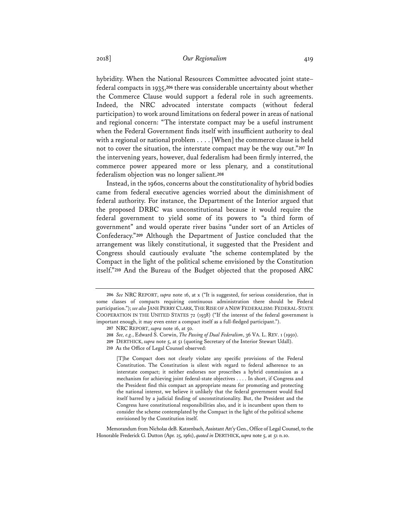hybridity. When the National Resources Committee advocated joint state– federal compacts in 1935,**<sup>206</sup>** there was considerable uncertainty about whether the Commerce Clause would support a federal role in such agreements. Indeed, the NRC advocated interstate compacts (without federal participation) to work around limitations on federal power in areas of national and regional concern: "The interstate compact may be a useful instrument when the Federal Government finds itself with insufficient authority to deal with a regional or national problem . . . . [When] the commerce clause is held not to cover the situation, the interstate compact may be the way out."**<sup>207</sup>** In the intervening years, however, dual federalism had been firmly interred, the commerce power appeared more or less plenary, and a constitutional federalism objection was no longer salient.**<sup>208</sup>**

Instead, in the 1960s, concerns about the constitutionality of hybrid bodies came from federal executive agencies worried about the diminishment of federal authority. For instance, the Department of the Interior argued that the proposed DRBC was unconstitutional because it would require the federal government to yield some of its powers to "a third form of government" and would operate river basins "under sort of an Articles of Confederacy."**<sup>209</sup>** Although the Department of Justice concluded that the arrangement was likely constitutional, it suggested that the President and Congress should cautiously evaluate "the scheme contemplated by the Compact in the light of the political scheme envisioned by the Constitution itself."**<sup>210</sup>** And the Bureau of the Budget objected that the proposed ARC

[T]he Compact does not clearly violate any specific provisions of the Federal Constitution. The Constitution is silent with regard to federal adherence to an interstate compact; it neither endorses nor proscribes a hybrid commission as a mechanism for achieving joint federal-state objectives . . . . In short, if Congress and the President find this compact an appropriate means for promoting and protecting the national interest, we believe it unlikely that the federal government would find itself barred by a judicial finding of unconstitutionality. But, the President and the Congress have constitutional responsibilities also, and it is incumbent upon them to consider the scheme contemplated by the Compact in the light of the political scheme envisioned by the Constitution itself.

Memorandum from Nicholas deB. Katzenbach, Assistant Att'y Gen., Office of Legal Counsel, to the Honorable Frederick G. Dutton (Apr. 25, 1961), *quoted in* DERTHICK, *supra* note 5, at 51 n.10.

**<sup>206</sup>** *See* NRC REPORT, *supra* note 16, at x ("It is suggested, for serious consideration, that in some classes of compacts requiring continuous administration there should be Federal participation."); *see also* JANE PERRY CLARK,THE RISE OF A NEW FEDERALISM: FEDERAL-STATE COOPERATION IN THE UNITED STATES 72 (1938) ("If the interest of the federal government is important enough, it may even enter a compact itself as a full-fledged participant.").

**<sup>207</sup>** NRC REPORT, *supra* note 16, at 50.

**<sup>208</sup>** *See, e.g.*, Edward S. Corwin, *The Passing of Dual Federalism*, 36 VA. L. REV. 1 (1950).

**<sup>209</sup>** DERTHICK, *supra* note 5, at 51 (quoting Secretary of the Interior Stewart Udall).

**<sup>210</sup>** As the Office of Legal Counsel observed: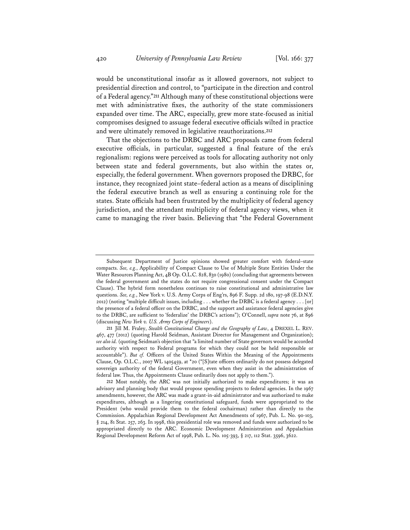would be unconstitutional insofar as it allowed governors, not subject to presidential direction and control, to "participate in the direction and control of a Federal agency."**<sup>211</sup>** Although many of these constitutional objections were met with administrative fixes, the authority of the state commissioners expanded over time. The ARC, especially, grew more state-focused as initial compromises designed to assuage federal executive officials wilted in practice and were ultimately removed in legislative reauthorizations.**<sup>212</sup>**

That the objections to the DRBC and ARC proposals came from federal executive officials, in particular, suggested a final feature of the era's regionalism: regions were perceived as tools for allocating authority not only between state and federal governments, but also within the states or, especially, the federal government. When governors proposed the DRBC, for instance, they recognized joint state–federal action as a means of disciplining the federal executive branch as well as ensuring a continuing role for the states. State officials had been frustrated by the multiplicity of federal agency jurisdiction, and the attendant multiplicity of federal agency views, when it came to managing the river basin. Believing that "the Federal Government

Subsequent Department of Justice opinions showed greater comfort with federal–state compacts. *See, e.g.*, Applicability of Compact Clause to Use of Multiple State Entities Under the Water Resources Planning Act, 4B Op. O.L.C. 828, 830 (1980) (concluding that agreements between the federal government and the states do not require congressional consent under the Compact Clause). The hybrid form nonetheless continues to raise constitutional and administrative law questions. *See, e.g.*, New York v. U.S. Army Corps of Eng'rs, 896 F. Supp. 2d 180, 197-98 (E.D.N.Y. 2012) (noting "multiple difficult issues, including . . . whether the DRBC is a federal agency . . . [or] the presence of a federal officer on the DRBC, and the support and assistance federal agencies give to the DRBC, are sufficient to 'federalize' the DRBC's actions"); O'Connell, *supra* note 76, at 896 (discussing *New York v. U.S. Army Corps of Engineers*).

**<sup>211</sup>** Jill M. Fraley, *Stealth Constitutional Change and the Geography of Law*, 4 DREXEL L. REV. 467, 477 (2012) (quoting Harold Seidman, Assistant Director for Management and Organization); *see also id.* (quoting Seidman's objection that "a limited number of State governors would be accorded authority with respect to Federal programs for which they could not be held responsible or accountable"). *But cf.* Officers of the United States Within the Meaning of the Appointments Clause, Op. O.L.C., 2007 WL 1405459, at \*20 ("[S]tate officers ordinarily do not possess delegated sovereign authority of the federal Government, even when they assist in the administration of federal law. Thus, the Appointments Clause ordinarily does not apply to them.").

**<sup>212</sup>** Most notably, the ARC was not initially authorized to make expenditures; it was an advisory and planning body that would propose spending projects to federal agencies. In the 1967 amendments, however, the ARC was made a grant-in-aid administrator and was authorized to make expenditures, although as a lingering constitutional safeguard, funds were appropriated to the President (who would provide them to the federal cochairman) rather than directly to the Commission. Appalachian Regional Development Act Amendments of 1967, Pub. L. No. 90-103, § 214, 81 Stat. 257, 263. In 1998, this presidential role was removed and funds were authorized to be appropriated directly to the ARC. Economic Development Administration and Appalachian Regional Development Reform Act of 1998, Pub. L. No. 105-393, § 217, 112 Stat. 3596, 3622.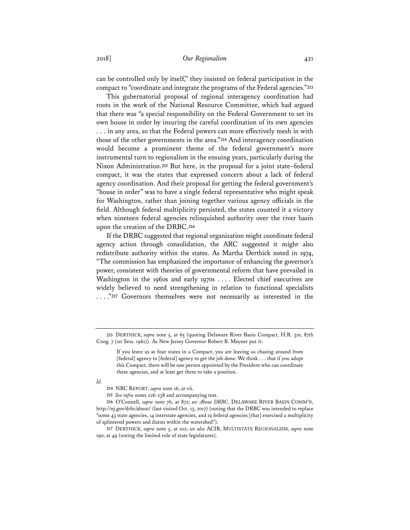can be controlled only by itself," they insisted on federal participation in the compact to "coordinate and integrate the programs of the Federal agencies."**<sup>213</sup>**

This gubernatorial proposal of regional interagency coordination had roots in the work of the National Resource Committee, which had argued that there was "a special responsibility on the Federal Government to set its own house in order by insuring the careful coordination of its own agencies . . . in any area, so that the Federal powers can more effectively mesh in with those of the other governments in the area."**<sup>214</sup>** And interagency coordination would become a prominent theme of the federal government's more instrumental turn to regionalism in the ensuing years, particularly during the Nixon Administration.**<sup>215</sup>** But here, in the proposal for a joint state–federal compact, it was the states that expressed concern about a lack of federal agency coordination. And their proposal for getting the federal government's "house in order" was to have a single federal representative who might speak for Washington, rather than joining together various agency officials in the field. Although federal multiplicity persisted, the states counted it a victory when nineteen federal agencies relinquished authority over the river basin upon the creation of the DRBC.**<sup>216</sup>**

If the DRBC suggested that regional organization might coordinate federal agency action through consolidation, the ARC suggested it might also redistribute authority within the states. As Martha Derthick noted in 1974, "The commission has emphasized the importance of enhancing the governor's power, consistent with theories of governmental reform that have prevailed in Washington in the 1960s and early 1970s . . . . Elected chief executives are widely believed to need strengthening in relation to functional specialists . . . ."**<sup>217</sup>** Governors themselves were not necessarily as interested in the

*Id.*

**<sup>213</sup>** DERTHICK, *supra* note 5, at 65 (quoting Delaware River Basin Compact, H.R. 310, 87th Cong. 7 (1st Sess. 1961)). As New Jersey Governor Robert B. Meyner put it:

If you leave us as four states in a Compact, you are leaving us chasing around from [federal] agency to [federal] agency to get the job done. We think . . . that if you adopt this Compact, there will be one person appointed by the President who can coordinate these agencies, and at least get them to take a position.

**<sup>214</sup>** NRC REPORT, *supra* note 16, at vii.

**<sup>215</sup>** *See infra* notes 226-238 and accompanying text.

**<sup>216</sup>** O'Connell, *supra* note 76, at 872; *see About DRBC*, DELAWARE RIVER BASIN COMM'N, http://nj.gov/drbc/about/ (last visited Oct. 13, 2017) (noting that the DRBC was intended to replace "some 43 state agencies, 14 interstate agencies, and 19 federal agencies [that] exercised a multiplicity of splintered powers and duties within the watershed").

**<sup>217</sup>** DERTHICK, *supra* note 5, at 102; *see also* ACIR, MULTISTATE REGIONALISM, *supra* note 190, at 49 (noting the limited role of state legislatures).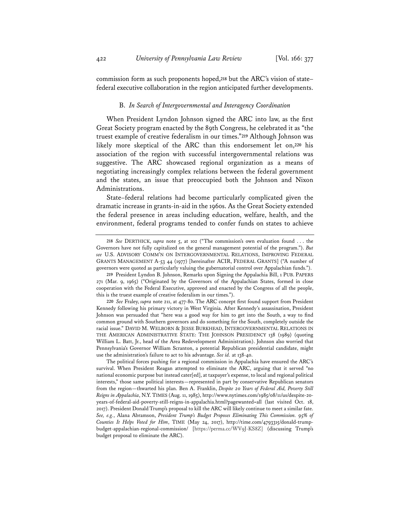commission form as such proponents hoped,**<sup>218</sup>** but the ARC's vision of state– federal executive collaboration in the region anticipated further developments.

#### B. *In Search of Intergovernmental and Interagency Coordination*

When President Lyndon Johnson signed the ARC into law, as the first Great Society program enacted by the 89th Congress, he celebrated it as "the truest example of creative federalism in our times."**<sup>219</sup>** Although Johnson was likely more skeptical of the ARC than this endorsement let on,**<sup>220</sup>** his association of the region with successful intergovernmental relations was suggestive. The ARC showcased regional organization as a means of negotiating increasingly complex relations between the federal government and the states, an issue that preoccupied both the Johnson and Nixon Administrations.

State–federal relations had become particularly complicated given the dramatic increase in grants-in-aid in the 1960s. As the Great Society extended the federal presence in areas including education, welfare, health, and the environment, federal programs tended to confer funds on states to achieve

**<sup>218</sup>** *See* DERTHICK, *supra* note 5, at 102 ("The commission's own evaluation found . . . the Governors have not fully capitalized on the general management potential of the program."). *But see* U.S. ADVISORY COMM'N ON INTERGOVERNMENTAL RELATIONS, IMPROVING FEDERAL GRANTS MANAGEMENT A-53 44 (1977) [hereinafter ACIR, FEDERAL GRANTS] ("A number of governors were quoted as particularly valuing the gubernatorial control over Appalachian funds.").

**<sup>219</sup>** President Lyndon B. Johnson, Remarks upon Signing the Appalachia Bill, 1 PUB. PAPERS 271 (Mar. 9, 1965) ("Originated by the Governors of the Appalachian States, formed in close cooperation with the Federal Executive, approved and enacted by the Congress of all the people, this is the truest example of creative federalism in our times.").

**<sup>220</sup>** *See* Fraley, *supra* note 211, at 477-80. The ARC concept first found support from President Kennedy following his primary victory in West Virginia. After Kennedy's assassination, President Johnson was persuaded that "here was a good way for him to get into the South, a way to find common ground with Southern governors and do something for the South, completely outside the racial issue." DAVID M. WELBORN & JESSE BURKHEAD, INTERGOVERNMENTAL RELATIONS IN THE AMERICAN ADMINISTRATIVE STATE: THE JOHNSON PRESIDENCY 138 (1989) (quoting William L. Batt, Jr., head of the Area Redevelopment Administration). Johnson also worried that Pennsylvania's Governor William Scranton, a potential Republican presidential candidate, might use the administration's failure to act to his advantage. *See id.* at 138-40.

The political forces pushing for a regional commission in Appalachia have ensured the ARC's survival. When President Reagan attempted to eliminate the ARC, arguing that it served "no national economic purpose but instead cater[ed], at taxpayer's expense, to local and regional political interests," those same political interests—represented in part by conservative Republican senators from the region—thwarted his plan. Ben A. Franklin, *Despite 20 Years of Federal Aid, Poverty Still Reigns in Appalachia*, N.Y. TIMES (Aug. 11, 1985), http://www.nytimes.com/1985/08/11/us/despite-20 years-of-federal-aid-poverty-still-reigns-in-appalachia.html?pagewanted=all (last visited Oct. 18, 2017). President Donald Trump's proposal to kill the ARC will likely continue to meet a similar fate. *See, e.g.*, Alana Abramson, *President Trump's Budget Proposes Eliminating This Commission. 95% of Counties It Helps Voted for Him*, TIME (May 24, 2017), http://time.com/4793315/donald-trumpbudget-appalachian-regional-commission/ [https://perma.cc/WV9J-KS8Z] (discussing Trump's budget proposal to eliminate the ARC).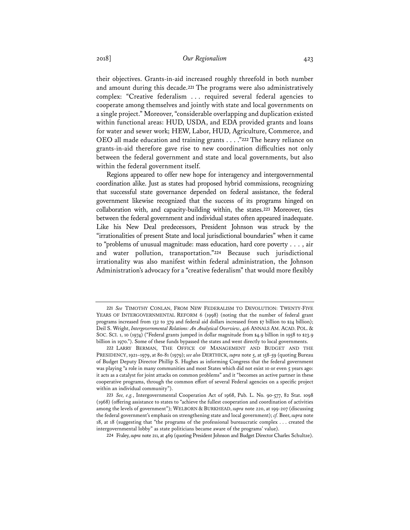their objectives. Grants-in-aid increased roughly threefold in both number and amount during this decade.**<sup>221</sup>** The programs were also administratively complex: "Creative federalism . . . required several federal agencies to cooperate among themselves and jointly with state and local governments on a single project." Moreover, "considerable overlapping and duplication existed within functional areas: HUD, USDA, and EDA provided grants and loans for water and sewer work; HEW, Labor, HUD, Agriculture, Commerce, and OEO all made education and training grants . . . ."**<sup>222</sup>** The heavy reliance on grants-in-aid therefore gave rise to new coordination difficulties not only between the federal government and state and local governments, but also within the federal government itself.

Regions appeared to offer new hope for interagency and intergovernmental coordination alike. Just as states had proposed hybrid commissions, recognizing that successful state governance depended on federal assistance, the federal government likewise recognized that the success of its programs hinged on collaboration with, and capacity-building within, the states.**<sup>223</sup>** Moreover, ties between the federal government and individual states often appeared inadequate. Like his New Deal predecessors, President Johnson was struck by the "irrationalities of present State and local jurisdictional boundaries" when it came to "problems of unusual magnitude: mass education, hard core poverty . . . , air and water pollution, transportation."**<sup>224</sup>** Because such jurisdictional irrationality was also manifest within federal administration, the Johnson Administration's advocacy for a "creative federalism" that would more flexibly

**<sup>221</sup>** *See* TIMOTHY CONLAN, FROM NEW FEDERALISM TO DEVOLUTION: TWENTY-FIVE YEARS OF INTERGOVERNMENTAL REFORM 6 (1998) (noting that the number of federal grant programs increased from 132 to 379 and federal aid dollars increased from \$7 billion to \$24 billion); Deil S. Wright, *Intergovernmental Relations: An Analytical Overview*, 416 ANNALS AM. ACAD. POL. & SOC. SCI. 1, 10 (1974) ("Federal grants jumped in dollar magnitude from \$4.9 billion in 1958 to \$23.9 billion in 1970."). Some of these funds bypassed the states and went directly to local governments.

**<sup>222</sup>** LARRY BERMAN, THE OFFICE OF MANAGEMENT AND BUDGET AND THE PRESIDENCY, 1921–1979, at 80-81 (1979); *see also* DERTHICK, *supra* note 5, at 158-59 (quoting Bureau of Budget Deputy Director Phillip S. Hughes as informing Congress that the federal government was playing "a role in many communities and most States which did not exist 10 or even 5 years ago: it acts as a catalyst for joint attacks on common problems" and it "becomes an active partner in these cooperative programs, through the common effort of several Federal agencies on a specific project within an individual community").

**<sup>223</sup>** *See, e.g.*, Intergovernmental Cooperation Act of 1968, Pub. L. No. 90-577, 82 Stat. 1098 (1968) (offering assistance to states to "achieve the fullest cooperation and coordination of activities among the levels of government"); WELBORN & BURKHEAD, *supra* note 220, at 199-207 (discussing the federal government's emphasis on strengthening state and local government); *cf.* Beer, *supra* note 18, at 18 (suggesting that "the programs of the professional bureaucratic complex . . . created the intergovernmental lobby" as state politicians became aware of the programs' value).

**<sup>224</sup>** Fraley, *supra* note 211, at 469 (quoting President Johnson and Budget Director Charles Schultze).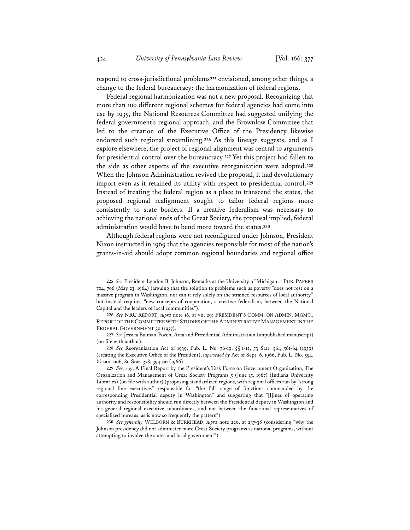respond to cross-jurisdictional problems**<sup>225</sup>** envisioned, among other things, a change to the federal bureaucracy: the harmonization of federal regions.

Federal regional harmonization was not a new proposal. Recognizing that more than 100 different regional schemes for federal agencies had come into use by 1935, the National Resources Committee had suggested unifying the federal government's regional approach, and the Brownlow Committee that led to the creation of the Executive Office of the Presidency likewise endorsed such regional streamlining.**<sup>226</sup>** As this lineage suggests, and as I explore elsewhere, the project of regional alignment was central to arguments for presidential control over the bureaucracy.**<sup>227</sup>** Yet this project had fallen to the side as other aspects of the executive reorganization were adopted.**<sup>228</sup>** When the Johnson Administration revived the proposal, it had devolutionary import even as it retained its utility with respect to presidential control.**<sup>229</sup>** Instead of treating the federal region as a place to transcend the states, the proposed regional realignment sought to tailor federal regions more consistently to state borders. If a creative federalism was necessary to achieving the national ends of the Great Society, the proposal implied, federal administration would have to bend more toward the states.**<sup>230</sup>**

Although federal regions were not reconfigured under Johnson, President Nixon instructed in 1969 that the agencies responsible for most of the nation's grants-in-aid should adopt common regional boundaries and regional office

**<sup>225</sup>** *See* President Lyndon B. Johnson, Remarks at the University of Michigan, 1 PUB. PAPERS 704, 706 (May 23, 1964) (arguing that the solution to problems such as poverty "does not rest on a massive program in Washington, nor can it rely solely on the strained resources of local authority" but instead requires "new concepts of cooperation, a creative federalism, between the National Capital and the leaders of local communities").

**<sup>226</sup>** *See* NRC REPORT, *supra* note 16, at vii, 29; PRESIDENT'S COMM. ON ADMIN. MGMT., REPORT OF THE COMMITTEE WITH STUDIES OF THE ADMINISTRATIVE MANAGEMENT IN THE FEDERAL GOVERNMENT 30 (1937).

**<sup>227</sup>** *See* Jessica Bulman-Pozen, Area and Presidential Administration (unpublished manuscript) (on file with author).

**<sup>228</sup>** *See* Reorganization Act of 1939, Pub. L. No. 76-19, §§ 1-12, 53 Stat. 561, 561-64 (1939) (creating the Executive Office of the President), *superseded by* Act of Sept. 6, 1966, Pub. L. No. 554, §§ 901–906, 80 Stat. 378, 394-96 (1966).

**<sup>229</sup>** *See, e.g.*, A Final Report by the President's Task Force on Government Organization, The Organization and Management of Great Society Programs 5 (June 15, 1967) (Indiana University Libraries) (on file with author) (proposing standardized regions, with regional offices run by "strong regional line executives" responsible for "the full range of functions commanded by the corresponding Presidential deputy in Washington" and suggesting that "[l]ines of operating authority and responsibility should run directly between the Presidential deputy in Washington and his general regional executive subordinates, and not between the functional representatives of specialized bureaus, as is now so frequently the pattern").

**<sup>230</sup>** *See generally* WELBORN & BURKHEAD, *supra* note 220, at 237-38 (considering "why the Johnson presidency did not administer more Great Society programs as national programs, without attempting to involve the states and local government").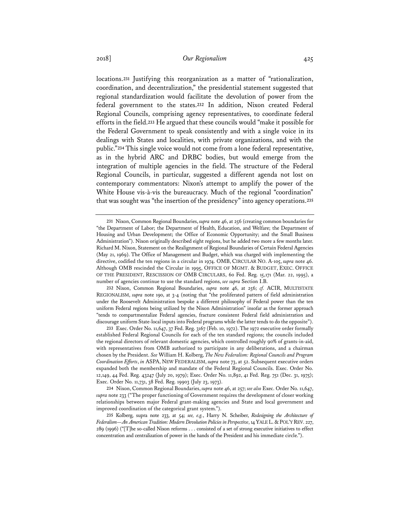locations.**<sup>231</sup>** Justifying this reorganization as a matter of "rationalization, coordination, and decentralization," the presidential statement suggested that regional standardization would facilitate the devolution of power from the federal government to the states.**<sup>232</sup>** In addition, Nixon created Federal Regional Councils, comprising agency representatives, to coordinate federal efforts in the field.**<sup>233</sup>** He argued that these councils would "make it possible for the Federal Government to speak consistently and with a single voice in its dealings with States and localities, with private organizations, and with the public."**<sup>234</sup>** This single voice would not come from a lone federal representative, as in the hybrid ARC and DRBC bodies, but would emerge from the integration of multiple agencies in the field. The structure of the Federal Regional Councils, in particular, suggested a different agenda not lost on contemporary commentators: Nixon's attempt to amplify the power of the White House vis-à-vis the bureaucracy. Much of the regional "coordination" that was sought was "the insertion of the presidency" into agency operations.**<sup>235</sup>**

**232** Nixon, Common Regional Boundaries, *supra* note 46, at 256; *cf.* ACIR, MULTISTATE REGIONALISM, *supra* note 190, at 3-4 (noting that "the proliferated pattern of field administration under the Roosevelt Administration bespoke a different philosophy of Federal power than the ten uniform Federal regions being utilized by the Nixon Administration" insofar as the former approach "tends to compartmentalize Federal agencies, fracture consistent Federal field administration and discourage uniform State-local inputs into Federal programs while the latter tends to do the opposite").

**233** Exec. Order No. 11,647, 37 Fed. Reg. 3167 (Feb. 10, 1972). The 1972 executive order formally established Federal Regional Councils for each of the ten standard regions; the councils included the regional directors of relevant domestic agencies, which controlled roughly 90% of grants-in-aid, with representatives from OMB authorized to participate in any deliberations, and a chairman chosen by the President. *See* William H. Kolberg, *The New Federalism: Regional Councils and Program Coordination Efforts*, *in* ASPA, NEW FEDERALISM, *supra* note 73, at 52. Subsequent executive orders expanded both the membership and mandate of the Federal Regional Councils. Exec. Order No. 12,149, 44 Fed. Reg. 43247 (July 20, 1979); Exec. Order No. 11,892, 41 Fed. Reg. 751 (Dec. 31, 1975); Exec. Order No. 11,731, 38 Fed. Reg. 19903 (July 23, 1973).

**234** Nixon, Common Regional Boundaries, *supra* note 46, at 257; *see also* Exec. Order No. 11,647, *supra* note 233 ("The proper functioning of Government requires the development of closer working relationships between major Federal grant-making agencies and State and local government and improved coordination of the categorical grant system.").

**235** Kolberg, supra note 233, at 54; *see, e.g.*, Harry N. Scheiber, *Redesigning the Architecture of Federalism—An American Tradition: Modern Devolution Policies in Perspective*, 14 YALE L.&POL'Y REV. 227, 289 (1996) ("[T]he so-called Nixon reforms . . . consisted of a set of strong executive initiatives to effect concentration and centralization of power in the hands of the President and his immediate circle.").

**<sup>231</sup>** Nixon, Common Regional Boundaries, *supra* note 46, at 256 (creating common boundaries for "the Department of Labor; the Department of Health, Education, and Welfare; the Department of Housing and Urban Development; the Office of Economic Opportunity; and the Small Business Administration"). Nixon originally described eight regions, but he added two more a few months later. Richard M. Nixon, Statement on the Realignment of Regional Boundaries of Certain Federal Agencies (May 21, 1969). The Office of Management and Budget, which was charged with implementing the directive, codified the ten regions in a circular in 1974. OMB, CIRCULAR NO. A-105, *supra* note 46. Although OMB rescinded the Circular in 1995, OFFICE OF MGMT. & BUDGET, EXEC. OFFICE OF THE PRESIDENT, RESCISSION OF OMB CIRCULARS, 60 Fed. Reg. 15,171 (Mar. 22, 1995), a number of agencies continue to use the standard regions, *see supra* Section I.B.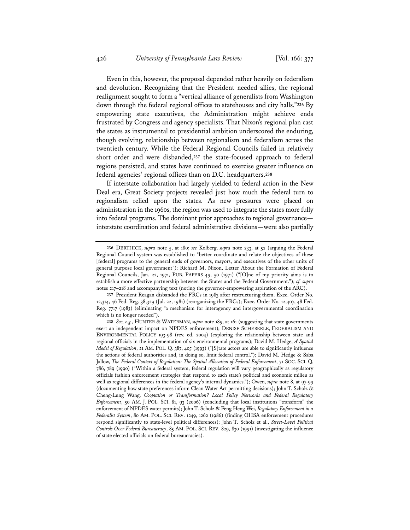Even in this, however, the proposal depended rather heavily on federalism and devolution. Recognizing that the President needed allies, the regional realignment sought to form a "vertical alliance of generalists from Washington down through the federal regional offices to statehouses and city halls."**<sup>236</sup>** By empowering state executives, the Administration might achieve ends frustrated by Congress and agency specialists. That Nixon's regional plan cast the states as instrumental to presidential ambition underscored the enduring, though evolving, relationship between regionalism and federalism across the twentieth century. While the Federal Regional Councils failed in relatively short order and were disbanded,**<sup>237</sup>** the state-focused approach to federal regions persisted, and states have continued to exercise greater influence on federal agencies' regional offices than on D.C. headquarters.**<sup>238</sup>**

If interstate collaboration had largely yielded to federal action in the New Deal era, Great Society projects revealed just how much the federal turn to regionalism relied upon the states. As new pressures were placed on administration in the 1960s, the region was used to integrate the states more fully into federal programs. The dominant prior approaches to regional governance interstate coordination and federal administrative divisions—were also partially

**237** President Reagan disbanded the FRCs in 1983 after restructuring them. Exec. Order No. 12,314, 46 Fed. Reg. 38,329 (Jul. 22, 1981) (reorganizing the FRCs); Exec. Order No. 12,407, 48 Fed. Reg. 7717 (1983) (eliminating "a mechanism for interagency and intergovernmental coordination which is no longer needed").

**<sup>236</sup>** DERTHICK, *supra* note 5, at 180; *see* Kolberg, *supra* note 233, at 52 (arguing the Federal Regional Council system was established to "better coordinate and relate the objectives of these [federal] programs to the general ends of governors, mayors, and executives of the other units of general purpose local government"); Richard M. Nixon, Letter About the Formation of Federal Regional Councils, Jan. 22, 1971, PUB. PAPERS 49, 50 (1971) ("[O]ne of my priority aims is to establish a more effective partnership between the States and the Federal Government."); *cf. supra* notes 217–218 and accompanying text (noting the governor-empowering aspiration of the ARC).

**<sup>238</sup>** *See, e.g.*, HUNTER & WATERMAN, *supra* note 189, at 161 (suggesting that state governments exert an independent impact on NPDES enforcement); DENISE SCHEBERLE, FEDERALISM AND ENVIRONMENTAL POLICY 193-98 (rev. ed. 2004) (exploring the relationship between state and regional officials in the implementation of six environmental programs); David M. Hedge, *A Spatial Model of Regulation*, 21 AM. POL. Q. 387, 405 (1993) ("[S]tate actors are able to significantly influence the actions of federal authorities and, in doing so, limit federal control."); David M. Hedge & Saba Jallow, *The Federal Context of Regulation: The Spatial Allocation of Federal Enforcement*, 71 SOC. SCI. Q. 786, 789 (1990) ("Within a federal system, federal regulation will vary geographically as regulatory officials fashion enforcement strategies that respond to each state's political and economic milieu as well as regional differences in the federal agency's internal dynamics."); Owen, *supra* note 8, at 97-99 (documenting how state preferences inform Clean Water Act permitting decisions); John T. Scholz & Cheng-Lung Wang, *Cooptation or Transformation? Local Policy Networks and Federal Regulatory Enforcement*, 50 AM. J. POL. SCI. 81, 93 (2006) (concluding that local institutions "transform" the enforcement of NPDES water permits); John T. Scholz & Feng Heng Wei, *Regulatory Enforcement in a Federalist System*, 80 AM. POL. SCI. REV. 1249, 1262 (1986) (finding OHSA enforcement procedures respond significantly to state-level political differences); John T. Scholz et al., *Street-Level Political Controls Over Federal Bureaucracy*, 85 AM. POL. SCI. REV. 829, 830 (1991) (investigating the influence of state elected officials on federal bureaucracies).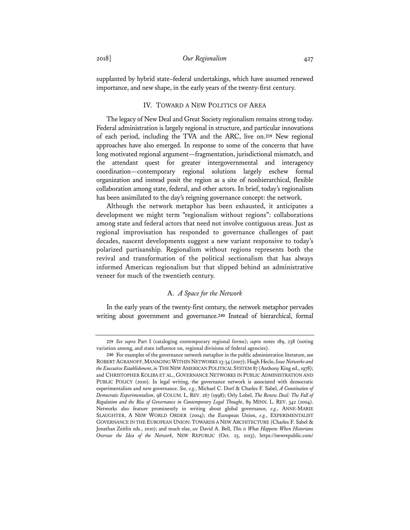supplanted by hybrid state–federal undertakings, which have assumed renewed importance, and new shape, in the early years of the twenty-first century.

## IV. TOWARD A NEW POLITICS OF AREA

The legacy of New Deal and Great Society regionalism remains strong today. Federal administration is largely regional in structure, and particular innovations of each period, including the TVA and the ARC, live on.**<sup>239</sup>** New regional approaches have also emerged. In response to some of the concerns that have long motivated regional argument—fragmentation, jurisdictional mismatch, and the attendant quest for greater intergovernmental and interagency coordination—contemporary regional solutions largely eschew formal organization and instead posit the region as a site of nonhierarchical, flexible collaboration among state, federal, and other actors. In brief, today's regionalism has been assimilated to the day's reigning governance concept: the network.

Although the network metaphor has been exhausted, it anticipates a development we might term "regionalism without regions": collaborations among state and federal actors that need not involve contiguous areas. Just as regional improvisation has responded to governance challenges of past decades, nascent developments suggest a new variant responsive to today's polarized partisanship. Regionalism without regions represents both the revival and transformation of the political sectionalism that has always informed American regionalism but that slipped behind an administrative veneer for much of the twentieth century.

## A. *A Space for the Network*

In the early years of the twenty-first century, the network metaphor pervades writing about government and governance.**<sup>240</sup>** Instead of hierarchical, formal

**<sup>239</sup>** *See supra* Part I (cataloging contemporary regional forms); *supra* notes 189, 238 (noting variation among, and state influence on, regional divisions of federal agencies).

**<sup>240</sup>** For examples of the governance network metaphor in the public administration literature, see ROBERT AGRANOFF,MANAGING WITHIN NETWORKS 23-34 (2007); Hugh Heclo, *Issue Networks and the Executive Establishment*, *in* THE NEW AMERICAN POLITICAL SYSTEM 87 (Anthony King ed., 1978); and CHRISTOPHER KOLIBA ET AL., GOVERNANCE NETWORKS IN PUBLIC ADMINISTRATION AND PUBLIC POLICY (2010). In legal writing, the governance network is associated with democratic experimentalism and new governance. *See, e.g.*, Michael C. Dorf & Charles F. Sabel, *A Constitution of Democratic Experimentalism*, 98 COLUM. L. REV. 267 (1998); Orly Lobel, *The Renew Deal: The Fall of Regulation and the Rise of Governance in Contemporary Legal Thought*, 89 MINN. L. REV. 342 (2004). Networks also feature prominently in writing about global governance, *e.g.*, ANNE-MARIE SLAUGHTER, A NEW WORLD ORDER (2004); the European Union, *e.g.*, EXPERIMENTALIST GOVERNANCE IN THE EUROPEAN UNION: TOWARDS A NEW ARCHITECTURE (Charles F. Sabel & Jonathan Zeitlin eds., 2010); and much else, *see* David A. Bell, *This is What Happens When Historians Overuse the Idea of the Network*, NEW REPUBLIC (Oct. 25, 2013), https://newrepublic.com/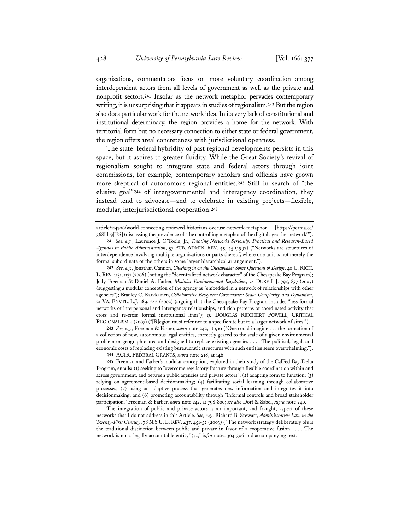organizations, commentators focus on more voluntary coordination among interdependent actors from all levels of government as well as the private and nonprofit sectors.**<sup>241</sup>** Insofar as the network metaphor pervades contemporary writing, it is unsurprising that it appears in studies of regionalism.**<sup>242</sup>** But the region also does particular work for the network idea. In its very lack of constitutional and institutional determinacy, the region provides a home for the network. With territorial form but no necessary connection to either state or federal government, the region offers areal concreteness with jurisdictional openness.

The state–federal hybridity of past regional developments persists in this space, but it aspires to greater fluidity. While the Great Society's revival of regionalism sought to integrate state and federal actors through joint commissions, for example, contemporary scholars and officials have grown more skeptical of autonomous regional entities.**<sup>243</sup>** Still in search of "the elusive goal"**<sup>244</sup>** of intergovernmental and interagency coordination, they instead tend to advocate—and to celebrate in existing projects—flexible, modular, interjurisdictional cooperation.**<sup>245</sup>**

**243** *See, e.g.*, Freeman & Farber, *supra* note 242, at 910 ("One could imagine . . . the formation of a collection of new, autonomous legal entities, correctly geared to the scale of a given environmental problem or geographic area and designed to replace existing agencies . . . . The political, legal, and economic costs of replacing existing bureaucratic structures with such entities seem overwhelming."). **244** ACIR, FEDERAL GRANTS, *supra* note 218, at 146.

**245** Freeman and Farber's modular conception, explored in their study of the CalFed Bay-Delta Program, entails: (1) seeking to "overcome regulatory fracture through flexible coordination within and across government, and between public agencies and private actors"; (2) adapting form to function; (3) relying on agreement-based decisionmaking; (4) facilitating social learning through collaborative processes; (5) using an adaptive process that generates new information and integrates it into decisionmaking; and (6) promoting accountability through "informal controls and broad stakeholder participation." Freeman & Farber, *supra* note 242, at 798-800; *see also* Dorf & Sabel, *supra* note 240.

The integration of public and private actors is an important, and fraught, aspect of these networks that I do not address in this Article. *See, e.g.*, Richard B. Stewart, *Administrative Law in the Twenty-First Century*, 78 N.Y.U. L. REV. 437, 451-52 (2003) ("The network strategy deliberately blurs the traditional distinction between public and private in favor of a cooperative fusion . . . . The network is not a legally accountable entity."); *cf. infra* notes 304-306 and accompanying text.

article/114709/world-connecting-reviewed-historians-overuse-network-metaphor [https://perma.cc/ 368H-9JFS] (discussing the prevalence of "the controlling metaphor of the digital age: the 'network'").

**<sup>241</sup>** *See, e.g.*, Laurence J. O'Toole, Jr., *Treating Networks Seriously: Practical and Research-Based Agendas in Public Administration*, 57 PUB. ADMIN. REV. 45, 45 (1997) ("Networks are structures of interdependence involving multiple organizations or parts thereof, where one unit is not merely the formal subordinate of the others in some larger hierarchical arrangement.").

**<sup>242</sup>** *See, e.g.*, Jonathan Cannon, *Checking in on the Chesapeake: Some Questions of Design*, 40 U. RICH. L.REV. 1131, 1131 (2006) (noting the "decentralized network character" of the Chesapeake Bay Program); Jody Freeman & Daniel A. Farber, *Modular Environmental Regulation*, 54 DUKE L.J. 795, 837 (2005) (suggesting a modular conception of the agency as "embedded in a network of relationships with other agencies"); Bradley C. Karkkainen, *Collaborative Ecosystem Governance: Scale, Complexity, and Dynamism*, 21 VA. ENVTL. L.J. 189, 242 (2002) (arguing that the Chesapeake Bay Program includes "less formal networks of interpersonal and interagency relationships, and rich patterns of coordinated activity that cross and re-cross formal institutional lines"); *cf.* DOUGLAS REICHERT POWELL, CRITICAL REGIONALISM 4 (2007) ("[R]egion must refer not to a specific site but to a larger network of sites.").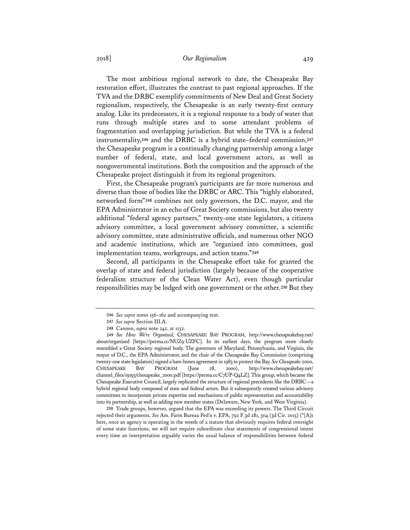## 2018] *Our Regionalism* 429

The most ambitious regional network to date, the Chesapeake Bay restoration effort, illustrates the contrast to past regional approaches. If the TVA and the DRBC exemplify commitments of New Deal and Great Society regionalism, respectively, the Chesapeake is an early twenty-first century analog. Like its predecessors, it is a regional response to a body of water that runs through multiple states and to some attendant problems of fragmentation and overlapping jurisdiction. But while the TVA is a federal instrumentality,**<sup>246</sup>** and the DRBC is a hybrid state–federal commission,**<sup>247</sup>** the Chesapeake program is a continually changing partnership among a large number of federal, state, and local government actors, as well as nongovernmental institutions. Both the composition and the approach of the Chesapeake project distinguish it from its regional progenitors.

First, the Chesapeake program's participants are far more numerous and diverse than those of bodies like the DRBC or ARC. This "highly elaborated, networked form"**<sup>248</sup>** combines not only governors, the D.C. mayor, and the EPA Administrator in an echo of Great Society commissions, but also twenty additional "federal agency partners," twenty-one state legislators, a citizens advisory committee, a local government advisory committee, a scientific advisory committee, state administrative officials, and numerous other NGO and academic institutions, which are "organized into committees, goal implementation teams, workgroups, and action teams."**<sup>249</sup>**

Second, all participants in the Chesapeake effort take for granted the overlap of state and federal jurisdiction (largely because of the cooperative federalism structure of the Clean Water Act), even though particular responsibilities may be lodged with one government or the other.**<sup>250</sup>** But they

**250** Trade groups, however, argued that the EPA was exceeding its powers. The Third Circuit rejected their arguments. *See* Am. Farm Bureau Fed'n v. EPA, 792 F.3d 281, 304 (3d Cir. 2015) ("[A]s here, once an agency is operating in the weeds of a statute that obviously requires federal oversight of some state functions, we will not require subordinate clear statements of congressional intent every time an interpretation arguably varies the usual balance of responsibilities between federal

**<sup>246</sup>** *See supra* notes 156–162 and accompanying text.

**<sup>247</sup>** *See supra* Section III.A.

**<sup>248</sup>** Cannon, *supra* note 242, at 1132.

**<sup>249</sup>** *See How We're Organized,* CHESAPEAKE BAY PROGRAM, http://www.chesapeakebay.net/ about/organized [https://perma.cc/NUZ9-UZFC]. In its earliest days, the program more closely resembled a Great Society regional body. The governors of Maryland, Pennsylvania, and Virginia, the mayor of D.C., the EPA Administrator, and the chair of the Chesapeake Bay Commission (comprising twenty-one state legislators) signed a bare-bones agreement in 1983 to protect the Bay. *SeeChesapeake 2000*, CHESAPEAKE BAY PROGRAM (June 28, 2000), http://www.chesapeakebay.net/ channel\_files/19193/chesapeake\_2000.pdf [https://perma.cc/C7UP-Q4LZ]. This group, which became the Chesapeake Executive Council, largely replicated the structure of regional precedents like the DRBC—a hybrid regional body composed of state and federal actors. But it subsequently created various advisory committees to incorporate private expertise and mechanisms of public representation and accountability into its partnership, as well as adding new member states (Delaware, New York, and West Virginia).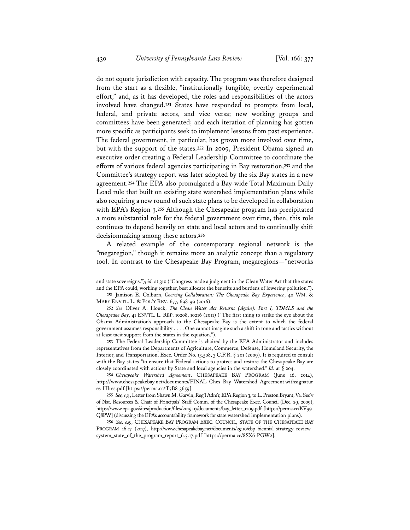do not equate jurisdiction with capacity. The program was therefore designed from the start as a flexible, "institutionally fungible, overtly experimental effort," and, as it has developed, the roles and responsibilities of the actors involved have changed.**<sup>251</sup>** States have responded to prompts from local, federal, and private actors, and vice versa; new working groups and committees have been generated; and each iteration of planning has gotten more specific as participants seek to implement lessons from past experience. The federal government, in particular, has grown more involved over time, but with the support of the states.**<sup>252</sup>** In 2009, President Obama signed an executive order creating a Federal Leadership Committee to coordinate the efforts of various federal agencies participating in Bay restoration,**<sup>253</sup>** and the Committee's strategy report was later adopted by the six Bay states in a new agreement.**<sup>254</sup>** The EPA also promulgated a Bay-wide Total Maximum Daily Load rule that built on existing state watershed implementation plans while also requiring a new round of such state plans to be developed in collaboration with EPA's Region 3.**<sup>255</sup>** Although the Chesapeake program has precipitated a more substantial role for the federal government over time, then, this role continues to depend heavily on state and local actors and to continually shift decisionmaking among these actors.**<sup>256</sup>**

A related example of the contemporary regional network is the "megaregion," though it remains more an analytic concept than a regulatory tool. In contrast to the Chesapeake Bay Program, megaregions—"networks

**253** The Federal Leadership Committee is chaired by the EPA Administrator and includes representatives from the Departments of Agriculture, Commerce, Defense, Homeland Security, the Interior, and Transportation. Exec. Order No. 13,508, 3 C.F.R. § 201 (2009). It is required to consult with the Bay states "to ensure that Federal actions to protect and restore the Chesapeake Bay are closely coordinated with actions by State and local agencies in the watershed." *Id.* at § 204.

**254** *Chesapeake Watershed Agreement*, CHESAPEAKE BAY PROGRAM (June 16, 2014), http://www.chesapeakebay.net/documents/FINAL*\_*Ches*\_*Bay\_Watershed\_Agreement.withsignatur es-HIres.pdf [https://perma.cc/T7B8-3659].

**255** *See, e.g.*, Letter from Shawn M. Garvin, Reg'l Adm'r, EPA Region 3, to L. Preston Bryant, Va. Sec'y of Nat. Resources & Chair of Principals' Staff Comm. of the Chesapeake Exec. Council (Dec. 29, 2009), https://www.epa.gov/sites/production/files/2015-07/documents/bay\_letter\_1209.pdf [https://perma.cc/KV99- Q8PW] (discussing the EPA's accountability framework for state watershed implementation plans).

**256** *See, e.g.*, CHESAPEAKE BAY PROGRAM EXEC. COUNCIL, STATE OF THE CHESAPEAKE BAY PROGRAM 16-17 (2017), http://www.chesapeakebay.net/documents/25110/cbp\_biennial\_strategy\_review\_ system\_state\_of\_the\_program\_report\_6.5.17.pdf [https://perma.cc/8SX6-PGW2].

and state sovereigns."); *id.* at 310 ("Congress made a judgment in the Clean Water Act that the states and the EPA could, working together, best allocate the benefits and burdens of lowering pollution.").

**<sup>251</sup>** Jamison E. Colburn, *Coercing Collaboration: The Chesapeake Bay Experience*, 40 WM. & MARY ENVTL. L. & POL'Y REV. 677, 698-99 (2016).

**<sup>252</sup>** *See* Oliver A. Houck, *The Clean Water Act Returns (Again): Part I, TDMLS and the Chesapeake Bay*, 41 ENVTL. L. REP. 10208, 10216 (2011) ("The first thing to strike the eye about the Obama Administration's approach to the Chesapeake Bay is the extent to which the federal government assumes responsibility . . . . One cannot imagine such a shift in tone and tactics without at least tacit support from the states in the equation.").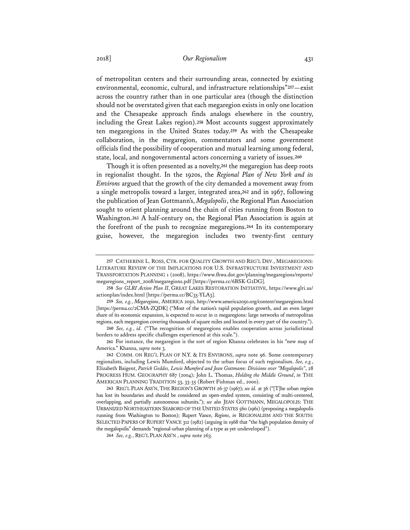of metropolitan centers and their surrounding areas, connected by existing environmental, economic, cultural, and infrastructure relationships"**<sup>257</sup>**—exist across the country rather than in one particular area (though the distinction should not be overstated given that each megaregion exists in only one location and the Chesapeake approach finds analogs elsewhere in the country, including the Great Lakes region).**<sup>258</sup>** Most accounts suggest approximately ten megaregions in the United States today.**<sup>259</sup>** As with the Chesapeake collaboration, in the megaregion, commentators and some government officials find the possibility of cooperation and mutual learning among federal, state, local, and nongovernmental actors concerning a variety of issues.**<sup>260</sup>**

Though it is often presented as a novelty,**<sup>261</sup>** the megaregion has deep roots in regionalist thought. In the 1920s, the *Regional Plan of New York and its Environs* argued that the growth of the city demanded a movement away from a single metropolis toward a larger, integrated area,**<sup>262</sup>** and in 1967, following the publication of Jean Gottmann's, *Megalopolis*, the Regional Plan Association sought to orient planning around the chain of cities running from Boston to Washington.**<sup>263</sup>** A half-century on, the Regional Plan Association is again at the forefront of the push to recognize megaregions.**<sup>264</sup>** In its contemporary guise, however, the megaregion includes two twenty-first century

**<sup>257</sup>** CATHERINE L. ROSS, CTR. FOR QUALITY GROWTH AND REG'L DEV., MEGAREGIONS: LITERATURE REVIEW OF THE IMPLICATIONS FOR U.S. INFRASTRUCTURE INVESTMENT AND TRANSPORTATION PLANNING 1 (2008), https://www.fhwa.dot.gov/planning/megaregions/reports/ megaregions\_report\_2008/megaregions.pdf [https://perma.cc/6BSK-G2DG].

**<sup>258</sup>** *See GLRI Action Plan II*, GREAT LAKES RESTORATION INITIATIVE, https://www.glri.us/ actionplan/index.html [https://perma.cc/BC35-YLA3].

**<sup>259</sup>** *See, e.g.*, *Megaregions*, AMERICA 2050, http://www.america2050.org/content/megaregions.html [https://perma.cc/2CMA-ZQDK] ("Most of the nation's rapid population growth, and an even larger share of its economic expansion, is expected to occur in 11 megaregions: large networks of metropolitan regions, each megaregion covering thousands of square miles and located in every part of the country.").

**<sup>260</sup>** *See, e.g.*, *id.* ("The recognition of megaregions enables cooperation across jurisdictional borders to address specific challenges experienced at this scale.").

**<sup>261</sup>** For instance, the megaregion is the sort of region Khanna celebrates in his "new map of America." Khanna, *supra* note 3.

**<sup>262</sup>** COMM. ON REG'L PLAN OF N.Y. & ITS ENVIRONS, *supra* note 96. Some contemporary regionalists, including Lewis Mumford, objected to the urban focus of such regionalism. *See, e.g.*, Elizabeth Baigent, *Patrick Geddes, Lewis Mumford and Jean Gottmann: Divisions over "Megalopolis"*, 28 PROGRESS HUM. GEOGRAPHY 687 (2004); John L. Thomas, *Holding the Middle Ground*, *in* THE AMERICAN PLANNING TRADITION 33, 33-35 (Robert Fishman ed., 2000).

**<sup>263</sup>** REG'L PLAN ASS'N, THE REGION'S GROWTH 26-37 (1967); *see id.* at 36 ("[T]he urban region has lost its boundaries and should be considered an open-ended system, consisting of multi-centered, overlapping, and partially autonomous subunits."); *see also* JEAN GOTTMANN, MEGALOPOLIS: THE URBANIZED NORTHEASTERN SEABORD OF THE UNITED STATES 560 (1961) (proposing a megalopolis running from Washington to Boston); Rupert Vance, *Regions*, *in* REGIONALISM AND THE SOUTH: SELECTED PAPERS OF RUPERT VANCE 312 (1982) (arguing in 1968 that "the high population density of the megalopolis" demands "regional-urban planning of a type as yet undeveloped").

**<sup>264</sup>** *See, e.g.*, REG'L PLAN ASS'N , *supra* note 263.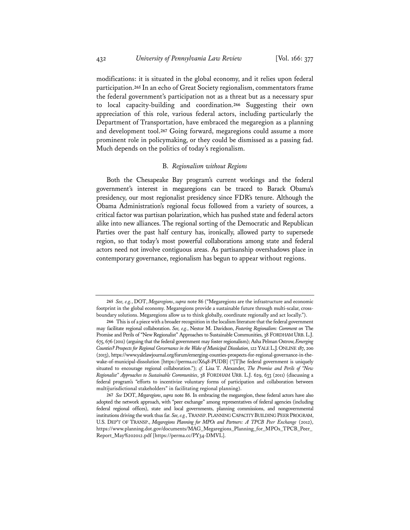modifications: it is situated in the global economy, and it relies upon federal participation.**<sup>265</sup>** In an echo of Great Society regionalism, commentators frame the federal government's participation not as a threat but as a necessary spur to local capacity-building and coordination.**<sup>266</sup>** Suggesting their own appreciation of this role, various federal actors, including particularly the Department of Transportation, have embraced the megaregion as a planning and development tool.**<sup>267</sup>** Going forward, megaregions could assume a more prominent role in policymaking, or they could be dismissed as a passing fad. Much depends on the politics of today's regionalism.

#### B. *Regionalism without Regions*

Both the Chesapeake Bay program's current workings and the federal government's interest in megaregions can be traced to Barack Obama's presidency, our most regionalist presidency since FDR's tenure. Although the Obama Administration's regional focus followed from a variety of sources, a critical factor was partisan polarization, which has pushed state and federal actors alike into new alliances. The regional sorting of the Democratic and Republican Parties over the past half century has, ironically, allowed party to supersede region, so that today's most powerful collaborations among state and federal actors need not involve contiguous areas. As partisanship overshadows place in contemporary governance, regionalism has begun to appear without regions.

**<sup>265</sup>** *See, e.g.*, DOT, *Megaregions*, *supra* note 86 ("Megaregions are the infrastructure and economic footprint in the global economy. Megaregions provide a sustainable future through multi-scalar, crossboundary solutions. Megaregions allow us to think globally, coordinate regionally and act locally.").

**<sup>266</sup>** This is of a piece with a broader recognition in the localism literature that the federal government may facilitate regional collaboration. *See, e.g.*, Nestor M. Davidson, *Fostering Regionalism: Comment on* The Promise and Perils of "New Regionalist" Approaches to Sustainable Communities, 38 FORDHAM URB.L.J. 675, 676 (2011) (arguing that the federal government may foster regionalism); Asha Pelman Ostrow, *Emerging Counties? Prospects for Regional Governance in the Wake of Municipal Dissolution*, 122 YALE L.J.ONLINE 187, 200 (2013), https://www.yalelawjournal.org/forum/emerging-counties-prospects-for-regional-governance-in-thewake-of-municipal-dissolution [https://perma.cc/X648-PUDB] ("[T]he federal government is uniquely situated to encourage regional collaboration."); *cf.* Lisa T. Alexander, *The Promise and Perils of "New Regionalist" Approaches to Sustainable Communities*, 38 FORDHAM URB. L.J. 629, 633 (2011) (discussing a federal program's "efforts to incentivize voluntary forms of participation and collaboration between multijurisdictional stakeholders" in facilitating regional planning).

**<sup>267</sup>** *See* DOT, *Megaregions*, *supra* note 86. In embracing the megaregion, these federal actors have also adopted the network approach, with "peer exchange" among representatives of federal agencies (including federal regional offices), state and local governments, planning commissions, and nongovernmental institutions driving the work thus far. *See, e.g.*, TRANSP. PLANNING CAPACITY BUILDING PEER PROGRAM, U.S. DEP'T OF TRANSP., *Megaregions Planning for MPOs and Partners: A TPCB Peer Exchange* (2012), https://www.planning.dot.gov/documents/MAG\_Megaregions\_Planning\_for\_MPOs\_TPCB\_Peer\_ Report\_May%202012.pdf [https://perma.cc/PY34-DMVL].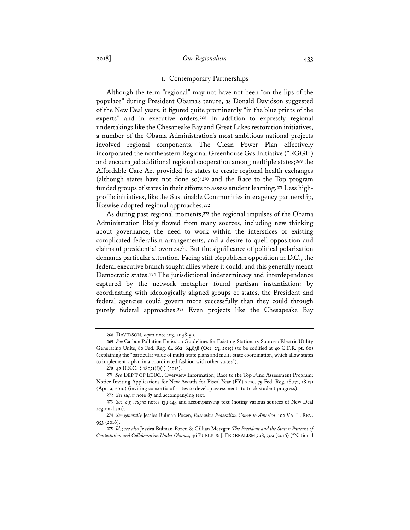#### 1. Contemporary Partnerships

Although the term "regional" may not have not been "on the lips of the populace" during President Obama's tenure, as Donald Davidson suggested of the New Deal years, it figured quite prominently "in the blue prints of the experts" and in executive orders.**<sup>268</sup>** In addition to expressly regional undertakings like the Chesapeake Bay and Great Lakes restoration initiatives, a number of the Obama Administration's most ambitious national projects involved regional components. The Clean Power Plan effectively incorporated the northeastern Regional Greenhouse Gas Initiative ("RGGI") and encouraged additional regional cooperation among multiple states;**<sup>269</sup>** the Affordable Care Act provided for states to create regional health exchanges (although states have not done so);**<sup>270</sup>** and the Race to the Top program funded groups of states in their efforts to assess student learning.**271** Less highprofile initiatives, like the Sustainable Communities interagency partnership, likewise adopted regional approaches.**<sup>272</sup>**

As during past regional moments,**<sup>273</sup>** the regional impulses of the Obama Administration likely flowed from many sources, including new thinking about governance, the need to work within the interstices of existing complicated federalism arrangements, and a desire to quell opposition and claims of presidential overreach. But the significance of political polarization demands particular attention. Facing stiff Republican opposition in D.C., the federal executive branch sought allies where it could, and this generally meant Democratic states.**<sup>274</sup>** The jurisdictional indeterminacy and interdependence captured by the network metaphor found partisan instantiation: by coordinating with ideologically aligned groups of states, the President and federal agencies could govern more successfully than they could through purely federal approaches.**<sup>275</sup>** Even projects like the Chesapeake Bay

**<sup>268</sup>** DAVIDSON, *supra* note 103, at 58-59.

**<sup>269</sup>** *See* Carbon Pollution Emission Guidelines for Existing Stationary Sources: Electric Utility Generating Units, 80 Fed. Reg. 64,662, 64,838 (Oct. 23, 2015) (to be codified at 40 C.F.R. pt. 60) (explaining the "particular value of multi-state plans and multi-state coordination, which allow states to implement a plan in a coordinated fashion with other states").

**<sup>270</sup>** 42 U.S.C. § 18031(f)(1) (2012).

**<sup>271</sup>** *See* DEP'T OF EDUC., Overview Information; Race to the Top Fund Assessment Program; Notice Inviting Applications for New Awards for Fiscal Year (FY) 2010, 75 Fed. Reg. 18,171, 18,171 (Apr. 9, 2010) (inviting consortia of states to develop assessments to track student progress).

**<sup>272</sup>** *See supra* note 87 and accompanying text.

**<sup>273</sup>** *See, e.g.*, *supra* notes 139-143 and accompanying text (noting various sources of New Deal regionalism).

**<sup>274</sup>** *See generally* Jessica Bulman-Pozen, *Executive Federalism Comes to America*, 102 VA. L. REV. 953 (2016).

**<sup>275</sup>** *Id.*; *see also* Jessica Bulman-Pozen & Gillian Metzger, *The President and the States: Patterns of Contestation and Collaboration Under Obama*, 46 PUBLIUS: J. FEDERALISM 308, 309 (2016) ("National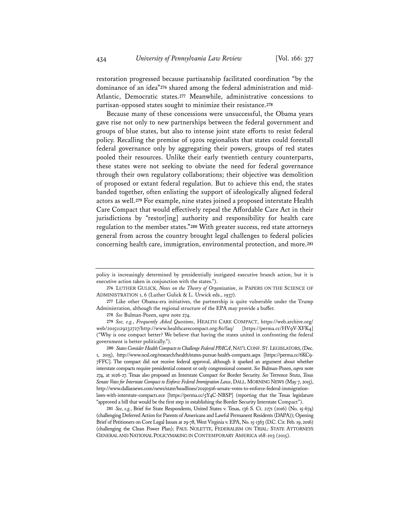restoration progressed because partisanship facilitated coordination "by the dominance of an idea"**276** shared among the federal administration and mid-Atlantic, Democratic states.**<sup>277</sup>** Meanwhile, administrative concessions to partisan-opposed states sought to minimize their resistance.**<sup>278</sup>**

Because many of these concessions were unsuccessful, the Obama years gave rise not only to new partnerships between the federal government and groups of blue states, but also to intense joint state efforts to resist federal policy. Recalling the premise of 1920s regionalists that states could forestall federal governance only by aggregating their powers, groups of red states pooled their resources. Unlike their early twentieth century counterparts, these states were not seeking to obviate the need for federal governance through their own regulatory collaborations; their objective was demolition of proposed or extant federal regulation. But to achieve this end, the states banded together, often enlisting the support of ideologically aligned federal actors as well.**<sup>279</sup>** For example, nine states joined a proposed interstate Health Care Compact that would effectively repeal the Affordable Care Act in their jurisdictions by "restor[ing] authority and responsibility for health care regulation to the member states."**<sup>280</sup>** With greater success, red state attorneys general from across the country brought legal challenges to federal policies concerning health care, immigration, environmental protection, and more.**<sup>281</sup>**

**278** *See* Bulman-Pozen, *supra* note 274.

**280** *States Consider Health Compacts to Challenge Federal PPACA*, NAT'L CONF.ST.LEGISLATORS, (Dec. 1, 2015), http://www.ncsl.org/research/health/states-pursue-health-compacts.aspx [https://perma.cc/6KC9- 7FFC]. The compact did not receive federal approval, although it sparked an argument about whether interstate compacts require presidential consent or only congressional consent. *See* Bulman-Pozen, *supra* note 274, at 1026-27. Texas also proposed an Interstate Compact for Border Security. *See* Terrence Stutz, *Texas Senate Votes for Interstate Compact to Enforce Federal Immigration Laws*, DALL. MORNING NEWS (May 7, 2015), http://www.dallasnews.com/news/state/headlines/20150506-senate-votes-to-enforce-federal-immigrationlaws-with-interstate-compact1.ece [https://perma.cc/5Y4C-NBSP] (reporting that the Texas legislature "approved a bill that would be the first step in establishing the Border Security Interstate Compact").

**281** *See, e.g.*, Brief for State Respondents, United States v. Texas, 136 S. Ct. 2271 (2016) (No. 15-674) (challenging Deferred Action for Parents of Americans and Lawful Permanent Residents (DAPA)); Opening Brief of Petitioners on Core Legal Issues at 29-78, West Virginia v. EPA, No. 15-1363 (D.C. Cir. Feb. 19, 2016) (challenging the Clean Power Plan); PAUL NOLETTE, FEDERALISM ON TRIAL: STATE ATTORNEYS GENERAL AND NATIONAL POLICYMAKING IN CONTEMPORARY AMERICA 168-203 (2015).

policy is increasingly determined by presidentially instigated executive branch action, but it is executive action taken in conjunction with the states.").

**<sup>276</sup>** LUTHER GULICK, *Notes on the Theory of Organization*, *in* PAPERS ON THE SCIENCE OF ADMINISTRATION 1, 6 (Luther Gulick & L. Urwick eds., 1937).

**<sup>277</sup>** Like other Obama-era initiatives, the partnership is quite vulnerable under the Trump Administration, although the regional structure of the EPA may provide a buffer.

**<sup>279</sup>** *See, e.g.*, *Frequently Asked Questions*, HEALTH CARE COMPACT, https://web.archive.org/ web/20151129232727/http://www.healthcarecompact.org:80/faq/ [https://perma.cc/HV9V-XFK4] ("Why is one compact better? We believe that having the states united in confronting the federal government is better politically.").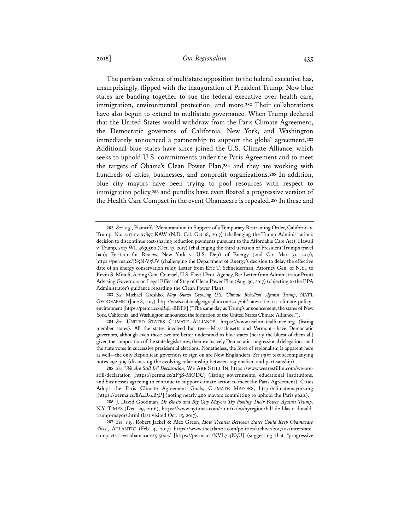## 2018] *Our Regionalism* 435

The partisan valence of multistate opposition to the federal executive has, unsurprisingly, flipped with the inauguration of President Trump. Now blue states are banding together to sue the federal executive over health care, immigration, environmental protection, and more.**<sup>282</sup>** Their collaborations have also begun to extend to multistate governance. When Trump declared that the United States would withdraw from the Paris Climate Agreement, the Democratic governors of California, New York, and Washington immediately announced a partnership to support the global agreement.**<sup>283</sup>** Additional blue states have since joined the U.S. Climate Alliance, which seeks to uphold U.S. commitments under the Paris Agreement and to meet the targets of Obama's Clean Power Plan,**<sup>284</sup>** and they are working with hundreds of cities, businesses, and nonprofit organizations.**<sup>285</sup>** In addition, blue city mayors have been trying to pool resources with respect to immigration policy,**<sup>286</sup>** and pundits have even floated a progressive version of the Health Care Compact in the event Obamacare is repealed.**<sup>287</sup>** In these and

**283** *See* Michael Greshko, *Map Shows Growing U.S. 'Climate Rebellion' Against Trump*, NAT'L GEOGRAPHIC (June 8, 2017), http://news.nationalgeographic.com/2017/06/states-cities-usa-climate-policyenvironment [https://perma.cc/4R4L-BBTF] ("The same day as Trump's announcement, the states of New York, California, and Washington announced the formation of the United States Climate Alliance.").

**284** *See* UNITED STATES CLIMATE ALLIANCE, https://www.usclimatealliance.org (listing member states). All the states involved but two—Massachusetts and Vermont—have Democratic governors, although even those two are better understood as blue states (nearly the bluest of them all) given the composition of the state legislatures, their exclusively Democratic congressional delegations, and the state votes in successive presidential elections. Nonetheless, the force of regionalism is apparent here as well—the only Republican governors to sign on are New Englanders. *See infra* text accompanying notes 292-309 (discussing the evolving relationship between regionalism and partisanship).

**285** *See "We Are Still In" Declaration*, WE ARE STILL IN, https://www.wearestillin.com/we-arestill-declaration [https://perma.cc/2F3S-MQDC] (listing governments, educational institutions, and businesses agreeing to continue to support climate action to meet the Paris Agreement); Cities Adopt the Paris Climate Agreement Goals, CLIMATE MAYORS, http://climatemayors.org [https://perma.cc/8A4R-4B3P] (noting nearly 400 mayors committing to uphold the Paris goals).

**286** J. David Goodman, *De Blasio and Big City Mayors Try Pooling Their Power Against Trump*, N.Y. TIMES (Dec. 29, 2016), https://www.nytimes.com/2016/12/29/nyregion/bill-de-blasio-donaldtrump-mayors.html (last visited Oct. 15, 2017).

**287** *See, e.g.*, Robert Jackel & Alex Green, *How Treaties Between States Could Keep Obamacare Alive*, ATLANTIC (Feb. 4, 2017) https://www.theatlantic.com/politics/archive/2017/02/interstatecompacts-save-obamacare/515604/ [https://perma.cc/NVL7-4N5U] (suggesting that "progressive

**<sup>282</sup>** *See, e.g.*, Plaintiffs' Memorandum in Support of a Temporary Restraining Order, California v. Trump, No. 4:17-cv-05895-KAW (N.D. Cal. Oct 18, 2017) (challenging the Trump Administration's decision to discontinue cost-sharing reduction payments pursuant to the Affordable Care Act); Hawaii v. Trump, 2017 WL 4639560 (Oct. 17, 2017) (challenging the third iteration of President Trump's travel ban); Petition for Review, New York v. U.S. Dep't of Energy (2nd Cir. Mar. 31, 2017), https://perma.cc/JS5N-V5UV (challenging the Department of Energy's decision to delay the effective date of an energy conservation rule); Letter from Eric T. Schneiderman, Attorney Gen. of N.Y., to Kevin S. Minoli, Acting Gen. Counsel, U.S. Envt'l Prot. Agency, Re: Letter from Administrator Pruitt Advising Governors on Legal Effect of Stay of Clean Power Plan (Aug. 30, 2017) (objecting to the EPA Administrator's guidance regarding the Clean Power Plan).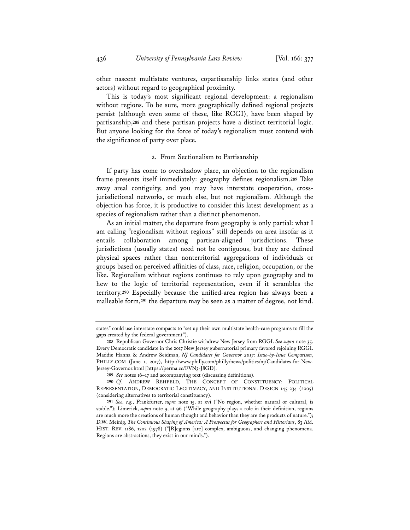other nascent multistate ventures, copartisanship links states (and other actors) without regard to geographical proximity.

This is today's most significant regional development: a regionalism without regions. To be sure, more geographically defined regional projects persist (although even some of these, like RGGI), have been shaped by partisanship,**<sup>288</sup>** and these partisan projects have a distinct territorial logic. But anyone looking for the force of today's regionalism must contend with the significance of party over place.

#### 2. From Sectionalism to Partisanship

If party has come to overshadow place, an objection to the regionalism frame presents itself immediately: geography defines regionalism.**<sup>289</sup>** Take away areal contiguity, and you may have interstate cooperation, crossjurisdictional networks, or much else, but not regionalism. Although the objection has force, it is productive to consider this latest development as a species of regionalism rather than a distinct phenomenon.

As an initial matter, the departure from geography is only partial: what I am calling "regionalism without regions" still depends on area insofar as it entails collaboration among partisan-aligned jurisdictions. These jurisdictions (usually states) need not be contiguous, but they are defined physical spaces rather than nonterritorial aggregations of individuals or groups based on perceived affinities of class, race, religion, occupation, or the like. Regionalism without regions continues to rely upon geography and to hew to the logic of territorial representation, even if it scrambles the territory.**<sup>290</sup>** Especially because the unified-area region has always been a malleable form,**<sup>291</sup>** the departure may be seen as a matter of degree, not kind.

states" could use interstate compacts to "set up their own multistate health-care programs to fill the gaps created by the federal government").

**<sup>288</sup>** Republican Governor Chris Christie withdrew New Jersey from RGGI. *See supra* note 35. Every Democratic candidate in the 2017 New Jersey gubernatorial primary favored rejoining RGGI. Maddie Hanna & Andrew Seidman, *NJ Candidates for Governor 2017: Issue-by-Issue Comparison*, PHILLY.COM (June 1, 2017), http://www.philly.com/philly/news/politics/nj/Candidates-for-New-Jersey-Governor.html [https://perma.cc/FVN3-J8GD].

**<sup>289</sup>** *See* notes 16–17 and accompanying text (discussing definitions).

**<sup>290</sup>** *Cf*. ANDREW REHFELD, THE CONCEPT OF CONSTITUENCY: POLITICAL REPRESENTATION, DEMOCRATIC LEGITIMACY, AND INSTITUTIONAL DESIGN 145-234 (2005) (considering alternatives to territorial constituency).

**<sup>291</sup>** *See, e.g.*, Frankfurter, *supra* note 15, at xvi ("No region, whether natural or cultural, is stable."); Limerick, *supra* note 9, at 96 ("While geography plays a role in their definition, regions are much more the creations of human thought and behavior than they are the products of nature."); D.W. Meinig, *The Continuous Shaping of America: A Prospectus for Geographers and Historians*, 83 AM. HIST. REV. 1186, 1202 (1978) ("[R]egions [are] complex, ambiguous, and changing phenomena. Regions are abstractions, they exist in our minds.").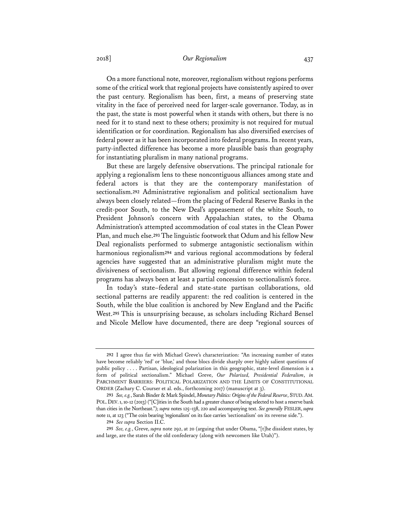## 2018] *Our Regionalism* 437

On a more functional note, moreover, regionalism without regions performs some of the critical work that regional projects have consistently aspired to over the past century. Regionalism has been, first, a means of preserving state vitality in the face of perceived need for larger-scale governance. Today, as in the past, the state is most powerful when it stands with others, but there is no need for it to stand next to these others; proximity is not required for mutual identification or for coordination. Regionalism has also diversified exercises of federal power as it has been incorporated into federal programs. In recent years, party-inflected difference has become a more plausible basis than geography for instantiating pluralism in many national programs.

But these are largely defensive observations. The principal rationale for applying a regionalism lens to these noncontiguous alliances among state and federal actors is that they are the contemporary manifestation of sectionalism.**<sup>292</sup>** Administrative regionalism and political sectionalism have always been closely related—from the placing of Federal Reserve Banks in the credit-poor South, to the New Deal's appeasement of the white South, to President Johnson's concern with Appalachian states, to the Obama Administration's attempted accommodation of coal states in the Clean Power Plan, and much else.**<sup>293</sup>** The linguistic footwork that Odum and his fellow New Deal regionalists performed to submerge antagonistic sectionalism within harmonious regionalism**<sup>294</sup>** and various regional accommodations by federal agencies have suggested that an administrative pluralism might mute the divisiveness of sectionalism. But allowing regional difference within federal programs has always been at least a partial concession to sectionalism's force.

In today's state–federal and state-state partisan collaborations, old sectional patterns are readily apparent: the red coalition is centered in the South, while the blue coalition is anchored by New England and the Pacific West.**<sup>295</sup>** This is unsurprising because, as scholars including Richard Bensel and Nicole Mellow have documented, there are deep "regional sources of

**<sup>292</sup>** I agree thus far with Michael Greve's characterization: "An increasing number of states have become reliably 'red' or 'blue,' and those blocs divide sharply over highly salient questions of public policy . . . . Partisan, ideological polarization in this geographic, state-level dimension is a form of political sectionalism." Michael Greve, *Our Polarized, Presidential Federalism*, *in* PARCHMENT BARRIERS: POLITICAL POLARIZATION AND THE LIMITS OF CONSTITUTIONAL ORDER (Zachary C. Courser et al. eds., forthcoming 2017) (manuscript at 3).

**<sup>293</sup>** *See, e.g.*, Sarah Binder & Mark Spindel, *Monetary Politics: Origins of the Federal Reserve*, STUD.AM. POL. DEV. 1, 10-12 (2013) ("[C]ities in the South had a greater chance of being selected to host a reserve bank than cities in the Northeast."); *supra* notes 125–138, 220 and accompanying text. *See generally* FESLER, *supra* note 11, at 123 ("The coin bearing 'regionalism' on its face carries 'sectionalism' on its reverse side.").

**<sup>294</sup>** *See supra* Section II.C.

**<sup>295</sup>** *See, e.g.*, Greve, *supra* note 292, at 20 (arguing that under Obama, "[t]he dissident states, by and large, are the states of the old confederacy (along with newcomers like Utah)").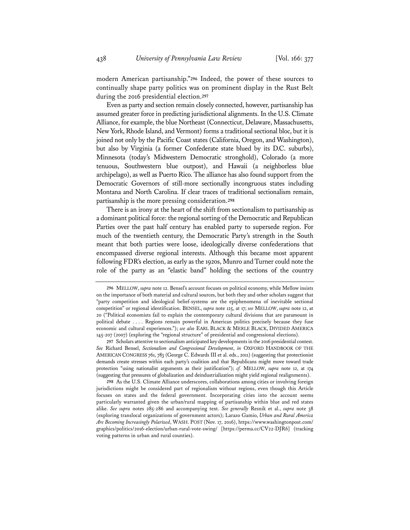modern American partisanship."**<sup>296</sup>** Indeed, the power of these sources to continually shape party politics was on prominent display in the Rust Belt during the 2016 presidential election.**<sup>297</sup>**

Even as party and section remain closely connected, however, partisanship has assumed greater force in predicting jurisdictional alignments. In the U.S. Climate Alliance, for example, the blue Northeast (Connecticut, Delaware, Massachusetts, New York, Rhode Island, and Vermont) forms a traditional sectional bloc, but it is joined not only by the Pacific Coast states (California, Oregon, and Washington), but also by Virginia (a former Confederate state blued by its D.C. suburbs), Minnesota (today's Midwestern Democratic stronghold), Colorado (a more tenuous, Southwestern blue outpost), and Hawaii (a neighborless blue archipelago), as well as Puerto Rico. The alliance has also found support from the Democratic Governors of still-more sectionally incongruous states including Montana and North Carolina. If clear traces of traditional sectionalism remain, partisanship is the more pressing consideration.**<sup>298</sup>**

There is an irony at the heart of the shift from sectionalism to partisanship as a dominant political force: the regional sorting of the Democratic and Republican Parties over the past half century has enabled party to supersede region. For much of the twentieth century, the Democratic Party's strength in the South meant that both parties were loose, ideologically diverse confederations that encompassed diverse regional interests. Although this became most apparent following FDR's election, as early as the 1920s, Munro and Turner could note the role of the party as an "elastic band" holding the sections of the country

**<sup>296</sup>** MELLOW, *supra* note 12. Bensel's account focuses on political economy, while Mellow insists on the importance of both material and cultural sources, but both they and other scholars suggest that "party competition and ideological belief-systems are the epiphenomena of inevitable sectional competition" or regional identification. BENSEL, *supra* note 125, at 17; *see* MELLOW, *supra* note 12, at 20 ("Political economists fail to explain the contemporary cultural divisions that are paramount in political debate . . . . Regions remain powerful in American politics precisely because they fuse economic and cultural experiences."); *see also* EARL BLACK & MERLE BLACK, DIVIDED AMERICA 145-207 (2007) (exploring the "regional structure" of presidential and congressional elections).

**<sup>297</sup>** Scholars attentive to sectionalism anticipated key developments in the 2016 presidential contest. *See* Richard Bensel, *Sectionalism and Congressional Development*, *in* OXFORD HANDBOOK OF THE AMERICAN CONGRESS 761, 783 (George C. Edwards III et al. eds., 2011) (suggesting that protectionist demands create stresses within each party's coalition and that Republicans might move toward trade protection "using nationalist arguments as their justification"); *cf.* MELLOW, *supra* note 12, at 174 (suggesting that pressures of globalization and deindustrialization might yield regional realignments).

**<sup>298</sup>** As the U.S. Climate Alliance underscores, collaborations among cities or involving foreign jurisdictions might be considered part of regionalism without regions, even though this Article focuses on states and the federal government. Incorporating cities into the account seems particularly warranted given the urban/rural mapping of partisanship within blue and red states alike. *See supra* notes 285-286 and accompanying text. *See generally* Resnik et al., *supra* note 38 (exploring translocal organizations of government actors); Larazo Gamio, *Urban and Rural America Are Becoming Increasingly Polarized*, WASH. POST (Nov. 17, 2016), https://www.washingtonpost.com/ graphics/politics/2016-election/urban-rural-vote-swing/ [https://perma.cc/CV22-DJR6] (tracking voting patterns in urban and rural counties).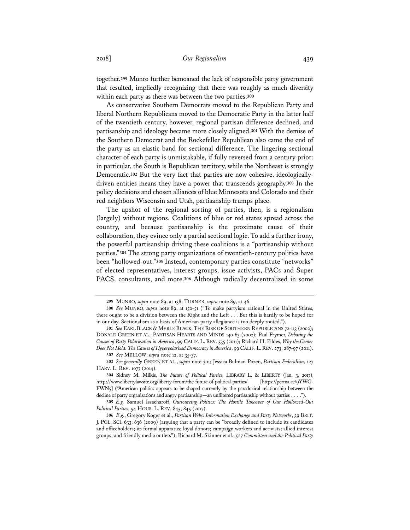together.**<sup>299</sup>** Munro further bemoaned the lack of responsible party government that resulted, impliedly recognizing that there was roughly as much diversity within each party as there was between the two parties.**<sup>300</sup>**

As conservative Southern Democrats moved to the Republican Party and liberal Northern Republicans moved to the Democratic Party in the latter half of the twentieth century, however, regional partisan difference declined, and partisanship and ideology became more closely aligned.**<sup>301</sup>** With the demise of the Southern Democrat and the Rockefeller Republican also came the end of the party as an elastic band for sectional difference. The lingering sectional character of each party is unmistakable, if fully reversed from a century prior: in particular, the South is Republican territory, while the Northeast is strongly Democratic.**302** But the very fact that parties are now cohesive, ideologicallydriven entities means they have a power that transcends geography.**<sup>303</sup>** In the policy decisions and chosen alliances of blue Minnesota and Colorado and their red neighbors Wisconsin and Utah, partisanship trumps place.

The upshot of the regional sorting of parties, then, is a regionalism (largely) without regions. Coalitions of blue or red states spread across the country, and because partisanship is the proximate cause of their collaboration, they evince only a partial sectional logic. To add a further irony, the powerful partisanship driving these coalitions is a "partisanship without parties."**<sup>304</sup>** The strong party organizations of twentieth-century politics have been "hollowed-out."**<sup>305</sup>** Instead, contemporary parties constitute "networks" of elected representatives, interest groups, issue activists, PACs and Super PACS, consultants, and more.**<sup>306</sup>** Although radically decentralized in some

**<sup>299</sup>** MUNRO, *supra* note 89, at 138; TURNER, *supra* note 89, at 46.

**<sup>300</sup>** *See* MUNRO, *supra* note 89, at 150-51 ("To make partyism rational in the United States, there ought to be a division between the Right and the Left . . . But this is hardly to be hoped for in our day. Sectionalism as a basis of American party allegiance is too deeply rooted.").

**<sup>301</sup>** *See* EARL BLACK & MERLE BLACK, THE RISE OF SOUTHERN REPUBLICANS 72-113 (2002); DONALD GREEN ET AL., PARTISAN HEARTS AND MINDS 140-63 (2002); Paul Frymer, *Debating the Causes of Party Polarization in America*, 99 CALIF. L. REV. 335 (2011); Richard H. Pildes, *Why the Center Does Not Hold: The Causes of Hyperpolarized Democracy in America*, 99 CALIF.L.REV. 273, 287-97 (2011). **302** *See* MELLOW, *supra* note 12, at 35-37.

**<sup>303</sup>** *See generally* GREEN ET AL., *supra* note 301; Jessica Bulman-Pozen, *Partisan Federalism*, 127 HARV. L. REV. 1077 (2014).

**<sup>304</sup>** Sidney M. Milkis, *The Future of Political Parties*, LIBRARY L. & LIBERTY (Jan. 3, 2017), http://www.libertylawsite.org/liberty-forum/the-future-of-political-parties/ [https://perma.cc/9YWG-FWN5] ("American politics appears to be shaped currently by the paradoxical relationship between the decline of party organizations and angry partisanship—an unfiltered partisanship without parties . . . .").

**<sup>305</sup>** *E.g.* Samuel Issacharoff, *Outsourcing Politics: The Hostile Takeover of Our Hollowed-Out Political Parties*, 54 HOUS. L. REV. 845, 845 (2017).

**<sup>306</sup>** *E.g.*, Gregory Koger et al., *Partisan Webs: Information Exchange and Party Networks*, 39 BRIT. J. POL. SCI. 633, 636 (2009) (arguing that a party can be "broadly defined to include its candidates and officeholders; its formal apparatus; loyal donors; campaign workers and activists; allied interest groups; and friendly media outlets"); Richard M. Skinner et al., *527 Committees and the Political Party*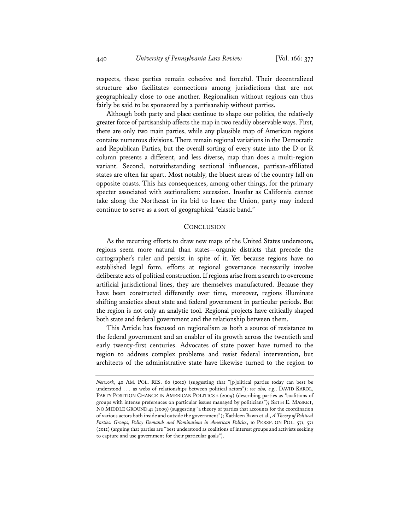respects, these parties remain cohesive and forceful. Their decentralized structure also facilitates connections among jurisdictions that are not geographically close to one another. Regionalism without regions can thus fairly be said to be sponsored by a partisanship without parties.

Although both party and place continue to shape our politics, the relatively greater force of partisanship affects the map in two readily observable ways. First, there are only two main parties, while any plausible map of American regions contains numerous divisions. There remain regional variations in the Democratic and Republican Parties, but the overall sorting of every state into the D or R column presents a different, and less diverse, map than does a multi-region variant. Second, notwithstanding sectional influences, partisan-affiliated states are often far apart. Most notably, the bluest areas of the country fall on opposite coasts. This has consequences, among other things, for the primary specter associated with sectionalism: secession. Insofar as California cannot take along the Northeast in its bid to leave the Union, party may indeed continue to serve as a sort of geographical "elastic band."

#### **CONCLUSION**

As the recurring efforts to draw new maps of the United States underscore, regions seem more natural than states—organic districts that precede the cartographer's ruler and persist in spite of it. Yet because regions have no established legal form, efforts at regional governance necessarily involve deliberate acts of political construction. If regions arise from a search to overcome artificial jurisdictional lines, they are themselves manufactured. Because they have been constructed differently over time, moreover, regions illuminate shifting anxieties about state and federal government in particular periods. But the region is not only an analytic tool. Regional projects have critically shaped both state and federal government and the relationship between them.

This Article has focused on regionalism as both a source of resistance to the federal government and an enabler of its growth across the twentieth and early twenty-first centuries. Advocates of state power have turned to the region to address complex problems and resist federal intervention, but architects of the administrative state have likewise turned to the region to

*Network*, 40 AM. POL. RES. 60 (2012) (suggesting that "[p]olitical parties today can best be understood . . . as webs of relationships between political actors"); *see also, e.g.*, DAVID KAROL, PARTY POSITION CHANGE IN AMERICAN POLITICS 2 (2009) (describing parties as "coalitions of groups with intense preferences on particular issues managed by politicians"); SETH E. MASKET, NO MIDDLE GROUND 41 (2009) (suggesting "a theory of parties that accounts for the coordination of various actors both inside and outside the government"); Kathleen Bawn et al., *A Theory of Political Parties: Groups, Policy Demands and Nominations in American Politics*, 10 PERSP. ON POL. 571, 571 (2012) (arguing that parties are "best understood as coalitions of interest groups and activists seeking to capture and use government for their particular goals").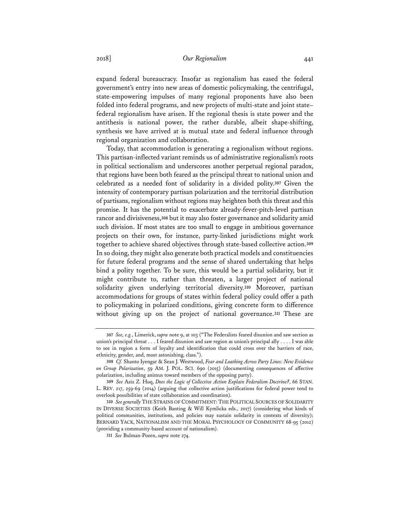expand federal bureaucracy. Insofar as regionalism has eased the federal government's entry into new areas of domestic policymaking, the centrifugal, state-empowering impulses of many regional proponents have also been folded into federal programs, and new projects of multi-state and joint state– federal regionalism have arisen. If the regional thesis is state power and the antithesis is national power, the rather durable, albeit shape-shifting, synthesis we have arrived at is mutual state and federal influence through regional organization and collaboration.

Today, that accommodation is generating a regionalism without regions. This partisan-inflected variant reminds us of administrative regionalism's roots in political sectionalism and underscores another perpetual regional paradox, that regions have been both feared as the principal threat to national union and celebrated as a needed font of solidarity in a divided polity.**<sup>307</sup>** Given the intensity of contemporary partisan polarization and the territorial distribution of partisans, regionalism without regions may heighten both this threat and this promise. It has the potential to exacerbate already-fever-pitch-level partisan rancor and divisiveness,**<sup>308</sup>** but it may also foster governance and solidarity amid such division. If most states are too small to engage in ambitious governance projects on their own, for instance, party-linked jurisdictions might work together to achieve shared objectives through state-based collective action.**<sup>309</sup>** In so doing, they might also generate both practical models and constituencies for future federal programs and the sense of shared undertaking that helps bind a polity together. To be sure, this would be a partial solidarity, but it might contribute to, rather than threaten, a larger project of national solidarity given underlying territorial diversity.**<sup>310</sup>** Moreover, partisan accommodations for groups of states within federal policy could offer a path to policymaking in polarized conditions, giving concrete form to difference without giving up on the project of national governance.**<sup>311</sup>** These are

**<sup>307</sup>** *See, e.g.*, Limerick, *supra* note 9, at 103 ("The Federalists feared disunion and saw section as union's principal threat . . . I feared disunion and saw region as union's principal ally . . . . I was able to see in region a form of loyalty and identification that could cross over the barriers of race, ethnicity, gender, and, most astonishing, class.").

**<sup>308</sup>** *Cf.* Shanto Iyengar & Sean J. Westwood, *Fear and Loathing Across Party Lines: New Evidence on Group Polarization*, 59 AM. J. POL. SCI. 690 (2015) (documenting consequences of affective polarization, including animus toward members of the opposing party).

**<sup>309</sup>** *See* Aziz Z. Huq, *Does the Logic of Collective Action Explain Federalism Doctrine?*, 66 STAN. L. REV. 217, 259-69 (2014) (arguing that collective action justifications for federal power tend to overlook possibilities of state collaboration and coordination).

<sup>310</sup> *See generally* THE STRAINS OF COMMITMENT: THE POLITICAL SOURCES OF SOLIDARITY IN DIVERSE SOCIETIES (Keith Banting & Will Kymlicka eds., 2017) (considering what kinds of political communities, institutions, and policies may sustain solidarity in contexts of diversity); BERNARD YACK, NATIONALISM AND THE MORAL PSYCHOLOGY OF COMMUNITY 68-95 (2012) (providing a community-based account of nationalism).

**<sup>311</sup>** *See* Bulman-Pozen, *supra* note 274.